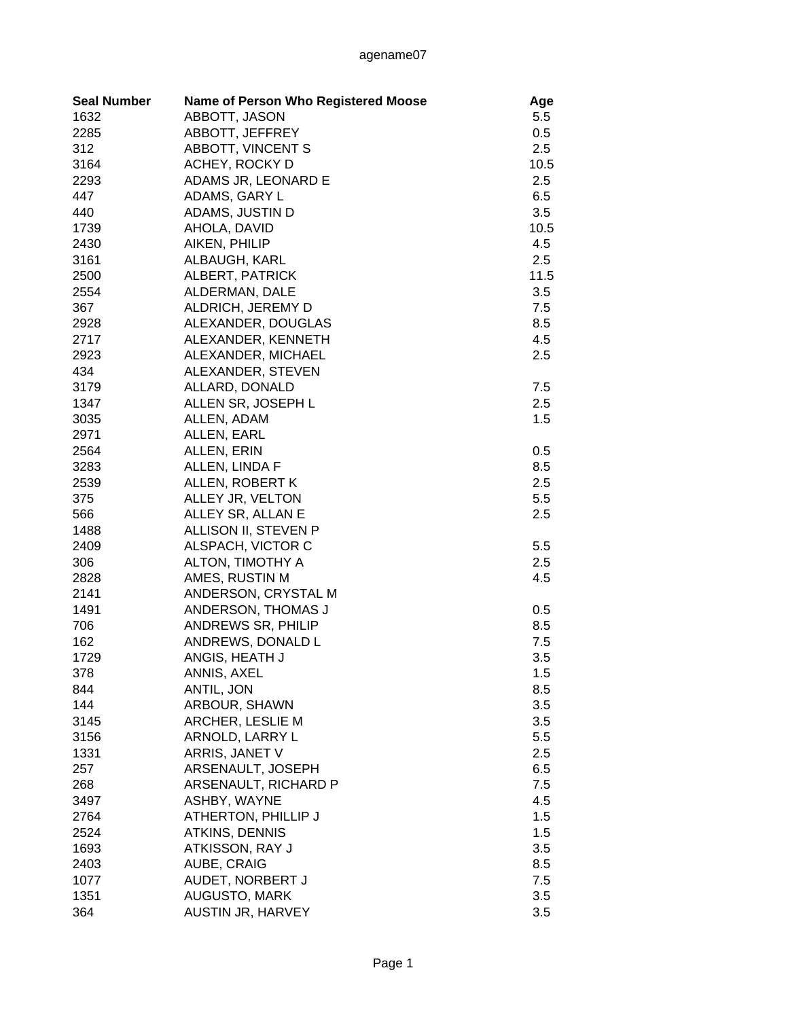| <b>Seal Number</b> | <b>Name of Person Who Registered Moose</b> | Age  |
|--------------------|--------------------------------------------|------|
| 1632               | ABBOTT, JASON                              | 5.5  |
| 2285               | ABBOTT, JEFFREY                            | 0.5  |
| 312                | ABBOTT, VINCENT S                          | 2.5  |
| 3164               | ACHEY, ROCKY D                             | 10.5 |
| 2293               | ADAMS JR, LEONARD E                        | 2.5  |
| 447                | ADAMS, GARY L                              | 6.5  |
| 440                | ADAMS, JUSTIN D                            | 3.5  |
| 1739               | AHOLA, DAVID                               | 10.5 |
| 2430               | AIKEN, PHILIP                              | 4.5  |
| 3161               | ALBAUGH, KARL                              | 2.5  |
| 2500               | ALBERT, PATRICK                            | 11.5 |
| 2554               | ALDERMAN, DALE                             | 3.5  |
| 367                | ALDRICH, JEREMY D                          | 7.5  |
| 2928               | ALEXANDER, DOUGLAS                         | 8.5  |
| 2717               | ALEXANDER, KENNETH                         | 4.5  |
| 2923               | ALEXANDER, MICHAEL                         | 2.5  |
| 434                | ALEXANDER, STEVEN                          |      |
| 3179               | ALLARD, DONALD                             | 7.5  |
| 1347               | ALLEN SR, JOSEPH L                         | 2.5  |
| 3035               | ALLEN, ADAM                                | 1.5  |
| 2971               | ALLEN, EARL                                |      |
| 2564               | ALLEN, ERIN                                | 0.5  |
| 3283               | ALLEN, LINDA F                             | 8.5  |
| 2539               | ALLEN, ROBERT K                            | 2.5  |
| 375                | ALLEY JR, VELTON                           | 5.5  |
| 566                | ALLEY SR, ALLAN E                          | 2.5  |
| 1488               | ALLISON II, STEVEN P                       |      |
| 2409               | ALSPACH, VICTOR C                          | 5.5  |
| 306                | ALTON, TIMOTHY A                           | 2.5  |
| 2828               | AMES, RUSTIN M                             | 4.5  |
| 2141               | ANDERSON, CRYSTAL M                        |      |
| 1491               | ANDERSON, THOMAS J                         | 0.5  |
| 706                | <b>ANDREWS SR, PHILIP</b>                  | 8.5  |
| 162                | ANDREWS, DONALD L                          | 7.5  |
| 1729               | ANGIS, HEATH J                             | 3.5  |
| 378                | ANNIS, AXEL                                | 1.5  |
| 844                | ANTIL, JON                                 | 8.5  |
| 144                | ARBOUR, SHAWN                              | 3.5  |
| 3145               | ARCHER, LESLIE M                           | 3.5  |
| 3156               | ARNOLD, LARRY L                            | 5.5  |
| 1331               | ARRIS, JANET V                             | 2.5  |
| 257                | ARSENAULT, JOSEPH                          | 6.5  |
| 268                | ARSENAULT, RICHARD P                       | 7.5  |
| 3497               | ASHBY, WAYNE                               | 4.5  |
| 2764               | ATHERTON, PHILLIP J                        | 1.5  |
| 2524               | <b>ATKINS, DENNIS</b>                      | 1.5  |
| 1693               | ATKISSON, RAY J                            | 3.5  |
| 2403               | AUBE, CRAIG                                | 8.5  |
| 1077               | AUDET, NORBERT J                           | 7.5  |
| 1351               | AUGUSTO, MARK                              | 3.5  |
| 364                | AUSTIN JR, HARVEY                          | 3.5  |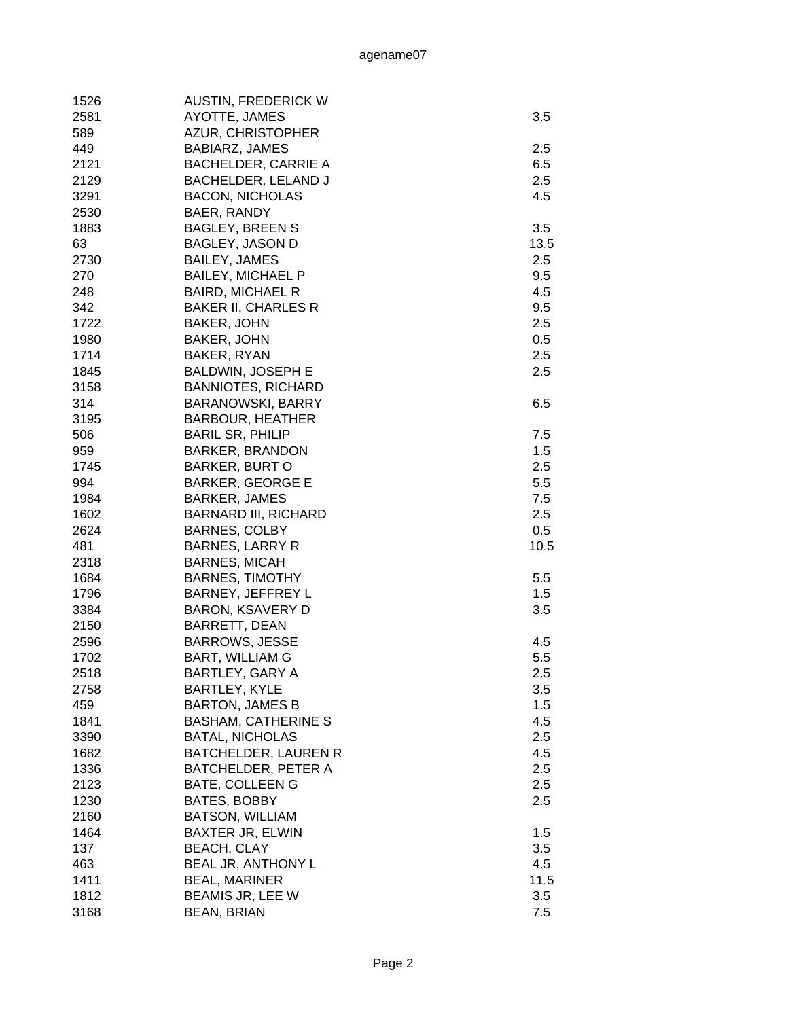| 1526 | <b>AUSTIN, FREDERICK W</b>  |      |
|------|-----------------------------|------|
| 2581 | AYOTTE, JAMES               | 3.5  |
| 589  | <b>AZUR, CHRISTOPHER</b>    |      |
| 449  | BABIARZ, JAMES              | 2.5  |
| 2121 | <b>BACHELDER, CARRIE A</b>  | 6.5  |
| 2129 | BACHELDER, LELAND J         | 2.5  |
| 3291 | <b>BACON, NICHOLAS</b>      | 4.5  |
| 2530 | BAER, RANDY                 |      |
| 1883 | <b>BAGLEY, BREEN S</b>      | 3.5  |
| 63   | <b>BAGLEY, JASON D</b>      | 13.5 |
| 2730 | <b>BAILEY, JAMES</b>        | 2.5  |
| 270  | <b>BAILEY, MICHAEL P</b>    | 9.5  |
| 248  | <b>BAIRD, MICHAEL R</b>     | 4.5  |
| 342  | <b>BAKER II, CHARLES R</b>  | 9.5  |
| 1722 | <b>BAKER, JOHN</b>          | 2.5  |
| 1980 | <b>BAKER, JOHN</b>          | 0.5  |
| 1714 | BAKER, RYAN                 | 2.5  |
| 1845 | <b>BALDWIN, JOSEPH E</b>    | 2.5  |
| 3158 | <b>BANNIOTES, RICHARD</b>   |      |
| 314  | <b>BARANOWSKI, BARRY</b>    | 6.5  |
| 3195 | <b>BARBOUR, HEATHER</b>     |      |
| 506  | <b>BARIL SR, PHILIP</b>     | 7.5  |
| 959  | <b>BARKER, BRANDON</b>      | 1.5  |
| 1745 | <b>BARKER, BURT O</b>       | 2.5  |
| 994  | <b>BARKER, GEORGE E</b>     | 5.5  |
| 1984 | <b>BARKER, JAMES</b>        | 7.5  |
| 1602 | <b>BARNARD III, RICHARD</b> | 2.5  |
| 2624 | <b>BARNES, COLBY</b>        | 0.5  |
| 481  | <b>BARNES, LARRY R</b>      | 10.5 |
| 2318 | <b>BARNES, MICAH</b>        |      |
| 1684 | <b>BARNES, TIMOTHY</b>      | 5.5  |
| 1796 | BARNEY, JEFFREY L           | 1.5  |
| 3384 | <b>BARON, KSAVERY D</b>     | 3.5  |
| 2150 | <b>BARRETT, DEAN</b>        |      |
| 2596 | <b>BARROWS, JESSE</b>       | 4.5  |
| 1702 | <b>BART, WILLIAM G</b>      | 5.5  |
| 2518 | <b>BARTLEY, GARY A</b>      | 2.5  |
| 2758 | <b>BARTLEY, KYLE</b>        | 3.5  |
| 459  | <b>BARTON, JAMES B</b>      | 1.5  |
| 1841 | <b>BASHAM, CATHERINE S</b>  | 4.5  |
| 3390 | <b>BATAL, NICHOLAS</b>      | 2.5  |
| 1682 | BATCHELDER, LAUREN R        | 4.5  |
| 1336 | BATCHELDER, PETER A         | 2.5  |
| 2123 | <b>BATE, COLLEEN G</b>      | 2.5  |
| 1230 | <b>BATES, BOBBY</b>         | 2.5  |
| 2160 | <b>BATSON, WILLIAM</b>      |      |
| 1464 | <b>BAXTER JR, ELWIN</b>     | 1.5  |
|      |                             |      |
| 137  | <b>BEACH, CLAY</b>          | 3.5  |
| 463  | BEAL JR, ANTHONY L          | 4.5  |
| 1411 | <b>BEAL, MARINER</b>        | 11.5 |
| 1812 | BEAMIS JR, LEE W            | 3.5  |
| 3168 | <b>BEAN, BRIAN</b>          | 7.5  |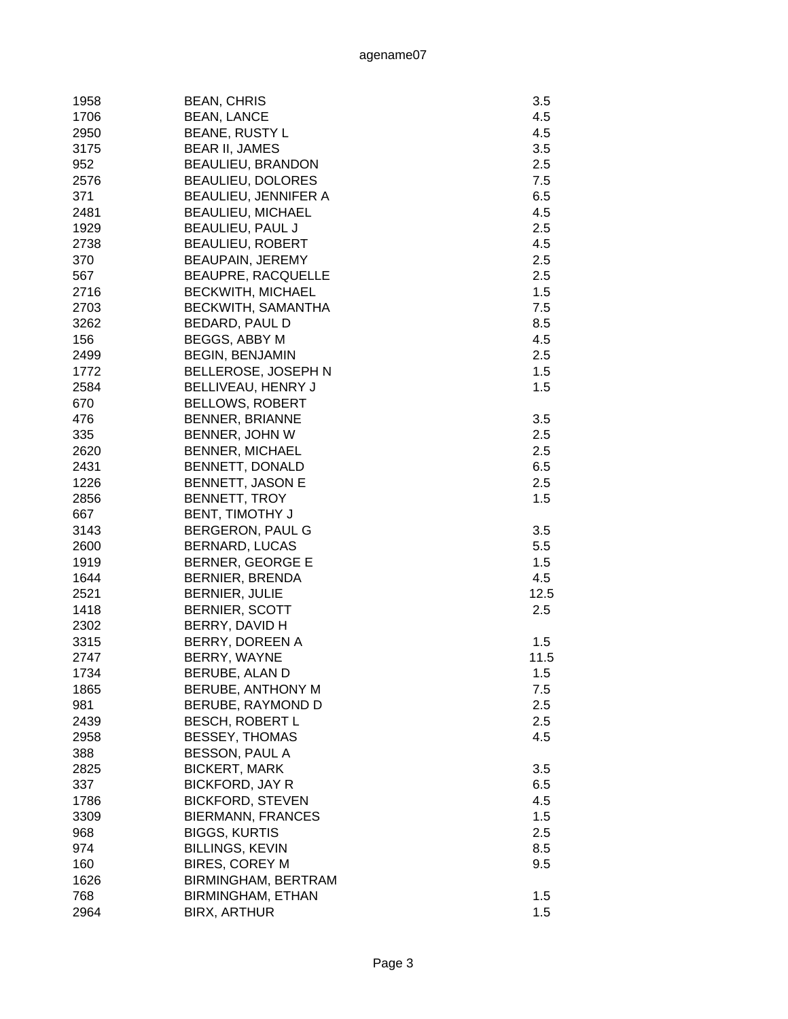| 1958 | <b>BEAN, CHRIS</b>          | 3.5        |
|------|-----------------------------|------------|
| 1706 | <b>BEAN, LANCE</b>          | 4.5        |
| 2950 | <b>BEANE, RUSTY L</b>       | 4.5        |
| 3175 | <b>BEAR II, JAMES</b>       | 3.5        |
| 952  | <b>BEAULIEU, BRANDON</b>    | 2.5        |
| 2576 | <b>BEAULIEU, DOLORES</b>    | 7.5        |
| 371  | <b>BEAULIEU, JENNIFER A</b> | 6.5        |
| 2481 | <b>BEAULIEU, MICHAEL</b>    | 4.5        |
| 1929 | <b>BEAULIEU, PAUL J</b>     | 2.5        |
| 2738 | <b>BEAULIEU, ROBERT</b>     | 4.5        |
| 370  | BEAUPAIN, JEREMY            | 2.5        |
| 567  | <b>BEAUPRE, RACQUELLE</b>   | 2.5        |
| 2716 | <b>BECKWITH, MICHAEL</b>    | 1.5        |
| 2703 | BECKWITH, SAMANTHA          | 7.5        |
| 3262 | BEDARD, PAUL D              | 8.5        |
| 156  | BEGGS, ABBY M               | 4.5        |
| 2499 | <b>BEGIN, BENJAMIN</b>      | 2.5        |
| 1772 | BELLEROSE, JOSEPH N         | 1.5        |
| 2584 | BELLIVEAU, HENRY J          | 1.5        |
| 670  | <b>BELLOWS, ROBERT</b>      |            |
| 476  | <b>BENNER, BRIANNE</b>      | 3.5        |
| 335  | BENNER, JOHN W              | 2.5        |
| 2620 | <b>BENNER, MICHAEL</b>      | 2.5        |
| 2431 | BENNETT, DONALD             | 6.5        |
| 1226 | <b>BENNETT, JASON E</b>     | 2.5        |
| 2856 | BENNETT, TROY               | 1.5        |
| 667  | <b>BENT, TIMOTHY J</b>      |            |
| 3143 | BERGERON, PAUL G            | 3.5        |
| 2600 | <b>BERNARD, LUCAS</b>       | 5.5        |
| 1919 | BERNER, GEORGE E            | 1.5        |
| 1644 | BERNIER, BRENDA             | 4.5        |
| 2521 | BERNIER, JULIE              | 12.5       |
| 1418 | <b>BERNIER, SCOTT</b>       | 2.5        |
| 2302 | BERRY, DAVID H              |            |
| 3315 | BERRY, DOREEN A             | 1.5        |
| 2747 | BERRY, WAYNE                | 11.5       |
| 1734 | BERUBE, ALAN D              | 1.5        |
| 1865 | <b>BERUBE, ANTHONY M</b>    | 7.5        |
| 981  | BERUBE, RAYMOND D           | 2.5        |
| 2439 | <b>BESCH, ROBERT L</b>      | 2.5        |
| 2958 | <b>BESSEY, THOMAS</b>       | 4.5        |
| 388  | BESSON, PAUL A              |            |
| 2825 | <b>BICKERT, MARK</b>        | 3.5        |
|      | <b>BICKFORD, JAY R</b>      |            |
| 337  |                             | 6.5<br>4.5 |
| 1786 | <b>BICKFORD, STEVEN</b>     |            |
| 3309 | <b>BIERMANN, FRANCES</b>    | 1.5        |
| 968  | <b>BIGGS, KURTIS</b>        | 2.5        |
| 974  | <b>BILLINGS, KEVIN</b>      | 8.5        |
| 160  | <b>BIRES, COREY M</b>       | 9.5        |
| 1626 | BIRMINGHAM, BERTRAM         |            |
| 768  | <b>BIRMINGHAM, ETHAN</b>    | 1.5        |
| 2964 | <b>BIRX, ARTHUR</b>         | 1.5        |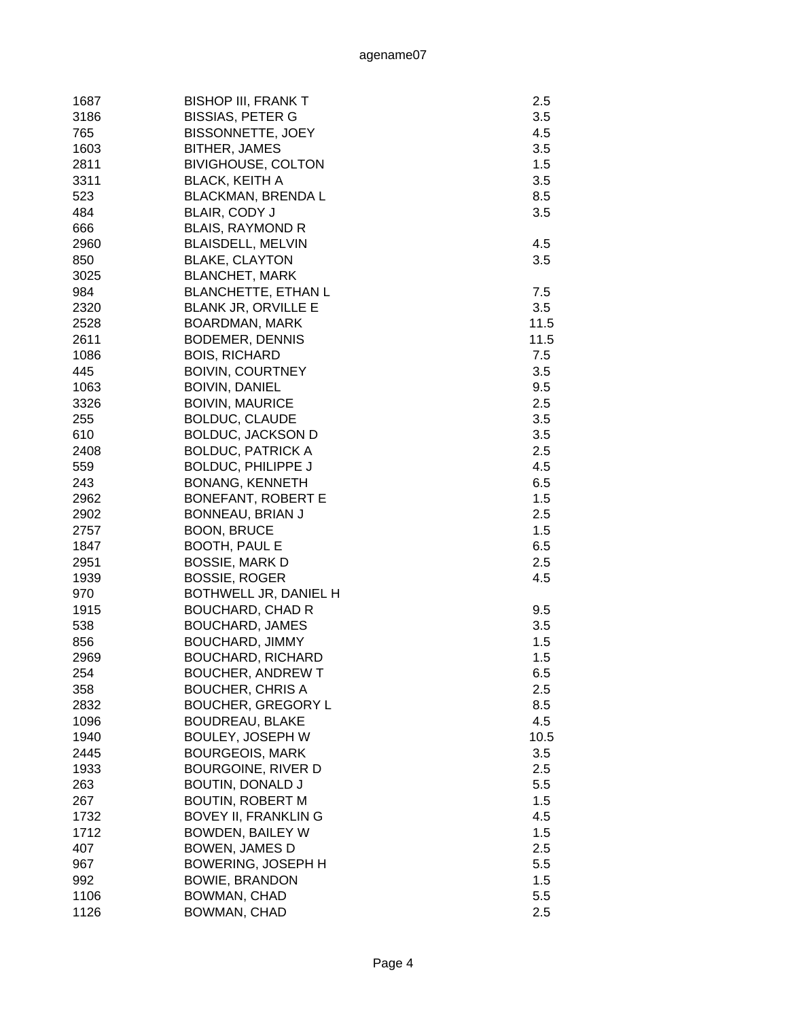| 1687 | <b>BISHOP III, FRANK T</b> | 2.5  |
|------|----------------------------|------|
| 3186 | <b>BISSIAS, PETER G</b>    | 3.5  |
| 765  | <b>BISSONNETTE, JOEY</b>   | 4.5  |
| 1603 | BITHER, JAMES              | 3.5  |
| 2811 | <b>BIVIGHOUSE, COLTON</b>  | 1.5  |
| 3311 | <b>BLACK, KEITH A</b>      | 3.5  |
| 523  | <b>BLACKMAN, BRENDA L</b>  | 8.5  |
| 484  | BLAIR, CODY J              | 3.5  |
| 666  | <b>BLAIS, RAYMOND R</b>    |      |
| 2960 | <b>BLAISDELL, MELVIN</b>   | 4.5  |
| 850  | <b>BLAKE, CLAYTON</b>      | 3.5  |
| 3025 | <b>BLANCHET, MARK</b>      |      |
| 984  | <b>BLANCHETTE, ETHAN L</b> | 7.5  |
| 2320 |                            |      |
|      | <b>BLANK JR, ORVILLE E</b> | 3.5  |
| 2528 | <b>BOARDMAN, MARK</b>      | 11.5 |
| 2611 | <b>BODEMER, DENNIS</b>     | 11.5 |
| 1086 | <b>BOIS, RICHARD</b>       | 7.5  |
| 445  | <b>BOIVIN, COURTNEY</b>    | 3.5  |
| 1063 | <b>BOIVIN, DANIEL</b>      | 9.5  |
| 3326 | <b>BOIVIN, MAURICE</b>     | 2.5  |
| 255  | <b>BOLDUC, CLAUDE</b>      | 3.5  |
| 610  | <b>BOLDUC, JACKSON D</b>   | 3.5  |
| 2408 | <b>BOLDUC, PATRICK A</b>   | 2.5  |
| 559  | <b>BOLDUC, PHILIPPE J</b>  | 4.5  |
| 243  | <b>BONANG, KENNETH</b>     | 6.5  |
| 2962 | <b>BONEFANT, ROBERT E</b>  | 1.5  |
| 2902 | BONNEAU, BRIAN J           | 2.5  |
| 2757 | <b>BOON, BRUCE</b>         | 1.5  |
| 1847 | <b>BOOTH, PAUL E</b>       | 6.5  |
| 2951 | <b>BOSSIE, MARK D</b>      | 2.5  |
| 1939 | <b>BOSSIE, ROGER</b>       | 4.5  |
| 970  | BOTHWELL JR, DANIEL H      |      |
| 1915 | <b>BOUCHARD, CHAD R</b>    | 9.5  |
| 538  | <b>BOUCHARD, JAMES</b>     | 3.5  |
| 856  | <b>BOUCHARD, JIMMY</b>     | 1.5  |
| 2969 | <b>BOUCHARD, RICHARD</b>   | 1.5  |
| 254  | <b>BOUCHER, ANDREW T</b>   | 6.5  |
| 358  | <b>BOUCHER, CHRIS A</b>    | 2.5  |
| 2832 | <b>BOUCHER, GREGORY L</b>  | 8.5  |
| 1096 | <b>BOUDREAU, BLAKE</b>     | 4.5  |
| 1940 | BOULEY, JOSEPH W           | 10.5 |
| 2445 | <b>BOURGEOIS, MARK</b>     | 3.5  |
| 1933 | BOURGOINE, RIVER D         | 2.5  |
| 263  | <b>BOUTIN, DONALD J</b>    | 5.5  |
| 267  | <b>BOUTIN, ROBERT M</b>    | 1.5  |
| 1732 | <b>BOVEY II, FRANKLING</b> | 4.5  |
| 1712 | <b>BOWDEN, BAILEY W</b>    | 1.5  |
| 407  | <b>BOWEN, JAMES D</b>      | 2.5  |
|      |                            |      |
| 967  | <b>BOWERING, JOSEPH H</b>  | 5.5  |
| 992  | <b>BOWIE, BRANDON</b>      | 1.5  |
| 1106 | BOWMAN, CHAD               | 5.5  |
| 1126 | BOWMAN, CHAD               | 2.5  |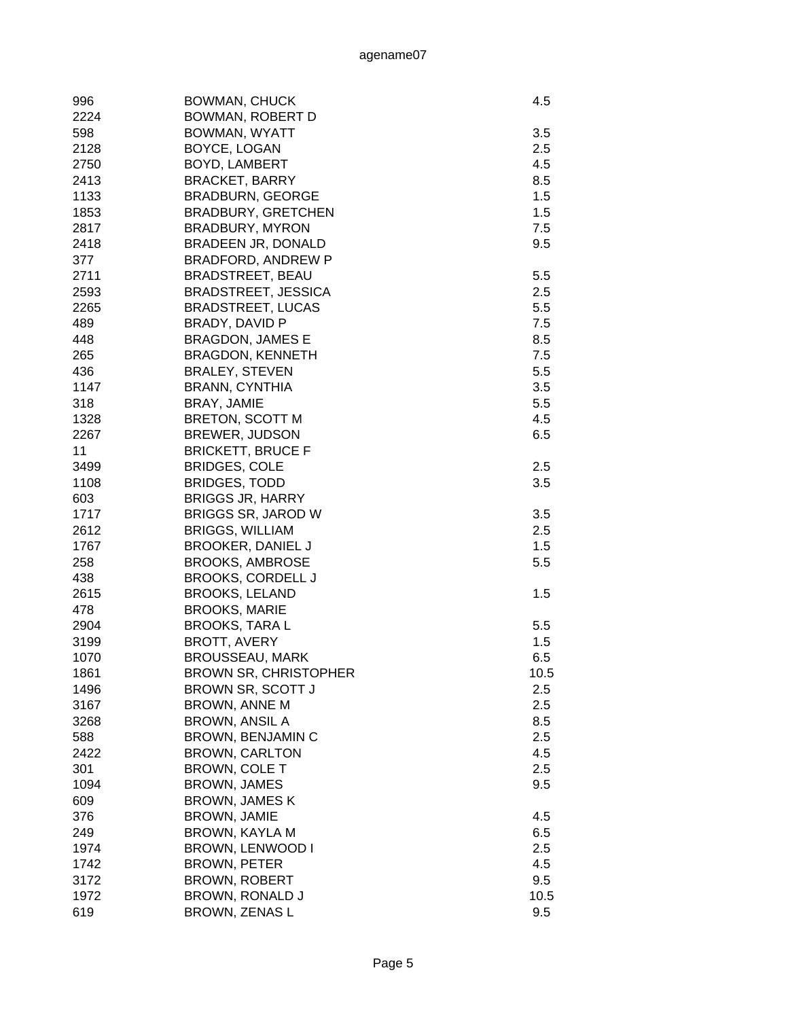| 996  | <b>BOWMAN, CHUCK</b>         | 4.5  |
|------|------------------------------|------|
| 2224 | BOWMAN, ROBERT D             |      |
| 598  | BOWMAN, WYATT                | 3.5  |
| 2128 | BOYCE, LOGAN                 | 2.5  |
| 2750 | <b>BOYD, LAMBERT</b>         | 4.5  |
| 2413 | <b>BRACKET, BARRY</b>        | 8.5  |
| 1133 | <b>BRADBURN, GEORGE</b>      | 1.5  |
| 1853 | <b>BRADBURY, GRETCHEN</b>    | 1.5  |
| 2817 | <b>BRADBURY, MYRON</b>       | 7.5  |
| 2418 | BRADEEN JR, DONALD           | 9.5  |
| 377  | <b>BRADFORD, ANDREW P</b>    |      |
| 2711 | <b>BRADSTREET, BEAU</b>      | 5.5  |
| 2593 | <b>BRADSTREET, JESSICA</b>   | 2.5  |
| 2265 | <b>BRADSTREET, LUCAS</b>     | 5.5  |
| 489  | BRADY, DAVID P               | 7.5  |
| 448  | <b>BRAGDON, JAMES E</b>      | 8.5  |
| 265  | <b>BRAGDON, KENNETH</b>      | 7.5  |
| 436  | <b>BRALEY, STEVEN</b>        | 5.5  |
| 1147 | <b>BRANN, CYNTHIA</b>        | 3.5  |
| 318  | BRAY, JAMIE                  | 5.5  |
| 1328 | <b>BRETON, SCOTT M</b>       | 4.5  |
| 2267 | <b>BREWER, JUDSON</b>        | 6.5  |
| 11   | <b>BRICKETT, BRUCE F</b>     |      |
| 3499 | <b>BRIDGES, COLE</b>         | 2.5  |
| 1108 | <b>BRIDGES, TODD</b>         | 3.5  |
| 603  | <b>BRIGGS JR, HARRY</b>      |      |
| 1717 | <b>BRIGGS SR, JAROD W</b>    | 3.5  |
| 2612 | <b>BRIGGS, WILLIAM</b>       | 2.5  |
| 1767 | <b>BROOKER, DANIEL J</b>     | 1.5  |
| 258  | <b>BROOKS, AMBROSE</b>       | 5.5  |
| 438  | <b>BROOKS, CORDELL J</b>     |      |
| 2615 | <b>BROOKS, LELAND</b>        | 1.5  |
| 478  | <b>BROOKS, MARIE</b>         |      |
| 2904 | <b>BROOKS, TARAL</b>         | 5.5  |
| 3199 | <b>BROTT, AVERY</b>          | 1.5  |
| 1070 | <b>BROUSSEAU, MARK</b>       | 6.5  |
| 1861 | <b>BROWN SR, CHRISTOPHER</b> | 10.5 |
| 1496 | BROWN SR, SCOTT J            | 2.5  |
| 3167 | <b>BROWN, ANNE M</b>         | 2.5  |
| 3268 | <b>BROWN, ANSIL A</b>        | 8.5  |
| 588  | BROWN, BENJAMIN C            | 2.5  |
| 2422 | <b>BROWN, CARLTON</b>        | 4.5  |
| 301  | <b>BROWN, COLE T</b>         | 2.5  |
| 1094 | <b>BROWN, JAMES</b>          | 9.5  |
| 609  | <b>BROWN, JAMES K</b>        |      |
| 376  | <b>BROWN, JAMIE</b>          | 4.5  |
| 249  | BROWN, KAYLA M               | 6.5  |
| 1974 | BROWN, LENWOOD I             | 2.5  |
| 1742 | BROWN, PETER                 | 4.5  |
| 3172 | <b>BROWN, ROBERT</b>         | 9.5  |
| 1972 | BROWN, RONALD J              | 10.5 |
| 619  | BROWN, ZENAS L               | 9.5  |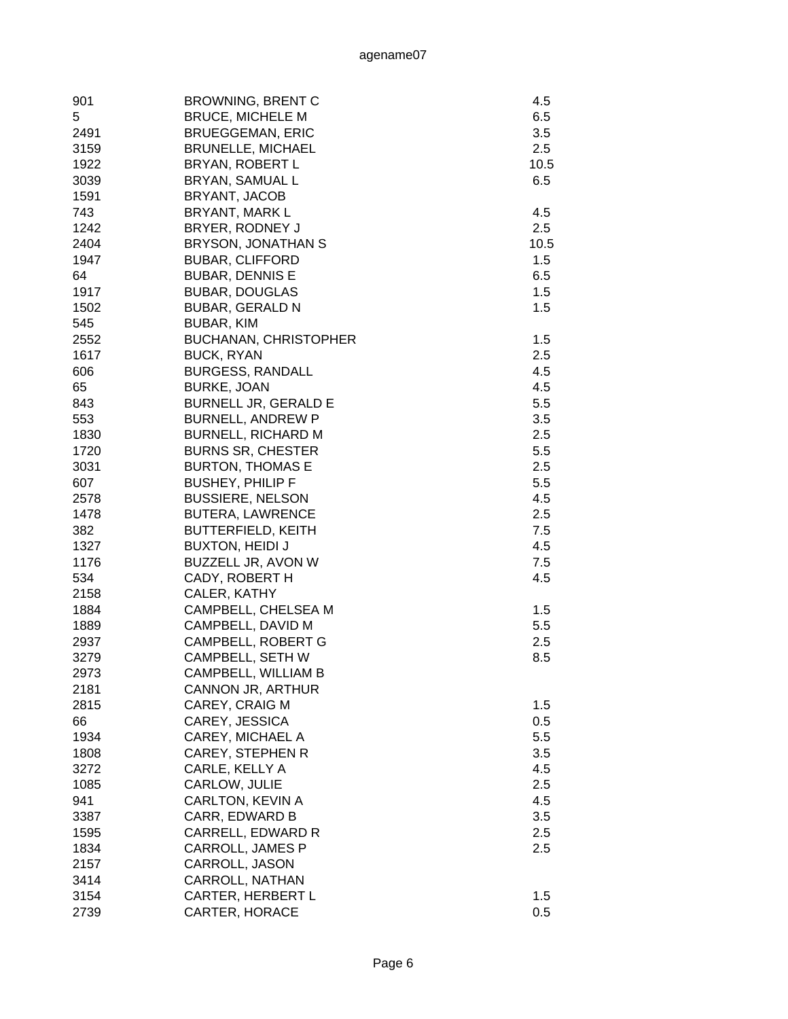| 901  | <b>BROWNING, BRENT C</b>     | 4.5  |
|------|------------------------------|------|
| 5    | <b>BRUCE, MICHELE M</b>      | 6.5  |
| 2491 | <b>BRUEGGEMAN, ERIC</b>      | 3.5  |
| 3159 | <b>BRUNELLE, MICHAEL</b>     | 2.5  |
| 1922 | <b>BRYAN, ROBERT L</b>       | 10.5 |
| 3039 | BRYAN, SAMUAL L              | 6.5  |
| 1591 | BRYANT, JACOB                |      |
| 743  | BRYANT, MARK L               | 4.5  |
| 1242 | BRYER, RODNEY J              | 2.5  |
| 2404 | BRYSON, JONATHAN S           | 10.5 |
| 1947 | <b>BUBAR, CLIFFORD</b>       | 1.5  |
| 64   | <b>BUBAR, DENNIS E</b>       | 6.5  |
| 1917 | <b>BUBAR, DOUGLAS</b>        | 1.5  |
| 1502 |                              | 1.5  |
| 545  | <b>BUBAR, GERALD N</b>       |      |
|      | BUBAR, KIM                   |      |
| 2552 | <b>BUCHANAN, CHRISTOPHER</b> | 1.5  |
| 1617 | <b>BUCK, RYAN</b>            | 2.5  |
| 606  | <b>BURGESS, RANDALL</b>      | 4.5  |
| 65   | <b>BURKE, JOAN</b>           | 4.5  |
| 843  | <b>BURNELL JR, GERALD E</b>  | 5.5  |
| 553  | <b>BURNELL, ANDREW P</b>     | 3.5  |
| 1830 | <b>BURNELL, RICHARD M</b>    | 2.5  |
| 1720 | <b>BURNS SR, CHESTER</b>     | 5.5  |
| 3031 | <b>BURTON, THOMAS E</b>      | 2.5  |
| 607  | <b>BUSHEY, PHILIP F</b>      | 5.5  |
| 2578 | <b>BUSSIERE, NELSON</b>      | 4.5  |
| 1478 | <b>BUTERA, LAWRENCE</b>      | 2.5  |
| 382  | <b>BUTTERFIELD, KEITH</b>    | 7.5  |
| 1327 | <b>BUXTON, HEIDI J</b>       | 4.5  |
| 1176 | BUZZELL JR, AVON W           | 7.5  |
| 534  | CADY, ROBERT H               | 4.5  |
| 2158 | CALER, KATHY                 |      |
| 1884 | CAMPBELL, CHELSEA M          | 1.5  |
| 1889 | CAMPBELL, DAVID M            | 5.5  |
| 2937 | CAMPBELL, ROBERT G           | 2.5  |
| 3279 | CAMPBELL, SETH W             | 8.5  |
| 2973 | CAMPBELL, WILLIAM B          |      |
| 2181 | CANNON JR, ARTHUR            |      |
| 2815 | CAREY, CRAIG M               | 1.5  |
| 66   | CAREY, JESSICA               | 0.5  |
| 1934 | CAREY, MICHAEL A             | 5.5  |
| 1808 | <b>CAREY, STEPHEN R</b>      | 3.5  |
| 3272 | CARLE, KELLY A               | 4.5  |
| 1085 | CARLOW, JULIE                | 2.5  |
| 941  | CARLTON, KEVIN A             | 4.5  |
| 3387 | CARR, EDWARD B               | 3.5  |
| 1595 | CARRELL, EDWARD R            | 2.5  |
| 1834 | CARROLL, JAMES P             | 2.5  |
| 2157 | CARROLL, JASON               |      |
| 3414 | CARROLL, NATHAN              |      |
|      |                              |      |
| 3154 | <b>CARTER, HERBERT L</b>     | 1.5  |
| 2739 | CARTER, HORACE               | 0.5  |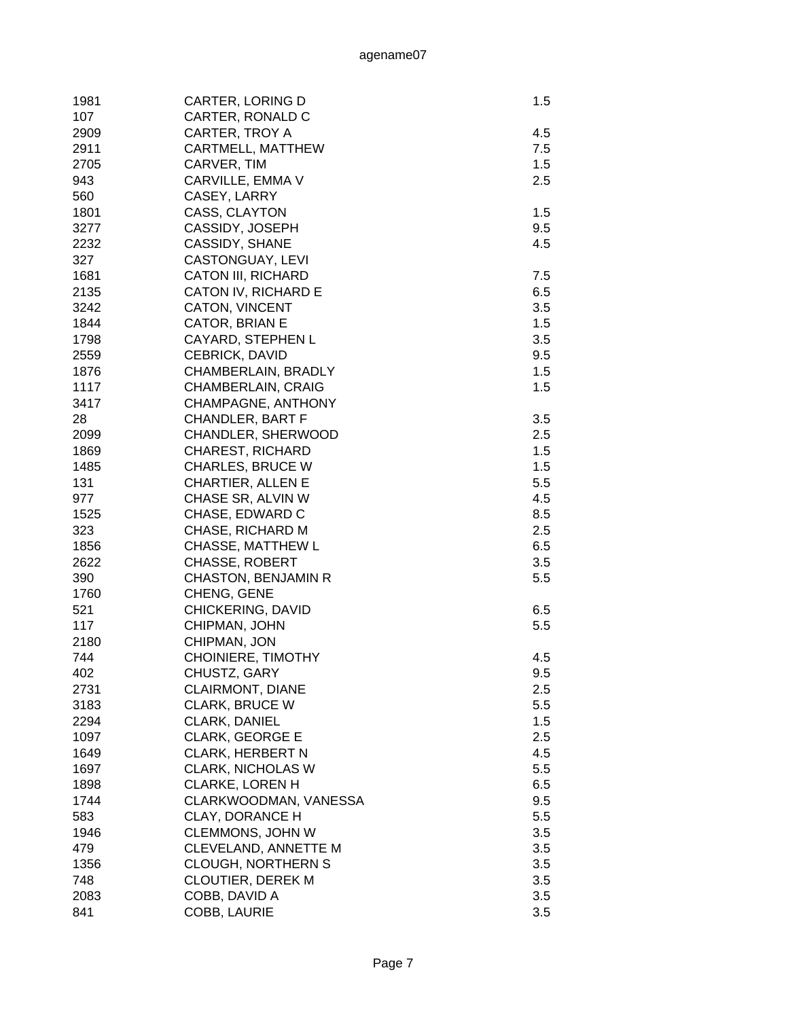| 1981 | CARTER, LORING D           | 1.5 |
|------|----------------------------|-----|
| 107  | CARTER, RONALD C           |     |
| 2909 | CARTER, TROY A             | 4.5 |
| 2911 | CARTMELL, MATTHEW          | 7.5 |
|      |                            |     |
| 2705 | CARVER, TIM                | 1.5 |
| 943  | CARVILLE, EMMA V           | 2.5 |
| 560  | CASEY, LARRY               |     |
| 1801 | CASS, CLAYTON              | 1.5 |
| 3277 | CASSIDY, JOSEPH            | 9.5 |
| 2232 | CASSIDY, SHANE             | 4.5 |
| 327  | CASTONGUAY, LEVI           |     |
| 1681 | <b>CATON III, RICHARD</b>  | 7.5 |
| 2135 | CATON IV, RICHARD E        | 6.5 |
| 3242 | <b>CATON, VINCENT</b>      | 3.5 |
| 1844 | CATOR, BRIAN E             | 1.5 |
| 1798 | CAYARD, STEPHEN L          | 3.5 |
| 2559 | CEBRICK, DAVID             | 9.5 |
| 1876 | CHAMBERLAIN, BRADLY        | 1.5 |
| 1117 | CHAMBERLAIN, CRAIG         | 1.5 |
| 3417 | CHAMPAGNE, ANTHONY         |     |
| 28   | <b>CHANDLER, BART F</b>    | 3.5 |
| 2099 | CHANDLER, SHERWOOD         | 2.5 |
| 1869 | <b>CHAREST, RICHARD</b>    | 1.5 |
| 1485 | <b>CHARLES, BRUCE W</b>    | 1.5 |
| 131  | CHARTIER, ALLEN E          | 5.5 |
| 977  | CHASE SR, ALVIN W          | 4.5 |
| 1525 | CHASE, EDWARD C            | 8.5 |
| 323  | CHASE, RICHARD M           | 2.5 |
| 1856 | CHASSE, MATTHEW L          | 6.5 |
| 2622 | <b>CHASSE, ROBERT</b>      | 3.5 |
| 390  | <b>CHASTON, BENJAMIN R</b> | 5.5 |
|      |                            |     |
| 1760 | CHENG, GENE                |     |
| 521  | CHICKERING, DAVID          | 6.5 |
| 117  | CHIPMAN, JOHN              | 5.5 |
| 2180 | CHIPMAN, JON               |     |
| 744  | CHOINIERE, TIMOTHY         | 4.5 |
| 402  | CHUSTZ, GARY               | 9.5 |
| 2731 | <b>CLAIRMONT, DIANE</b>    | 2.5 |
| 3183 | <b>CLARK, BRUCE W</b>      | 5.5 |
| 2294 | CLARK, DANIEL              | 1.5 |
| 1097 | <b>CLARK, GEORGE E</b>     | 2.5 |
| 1649 | <b>CLARK, HERBERT N</b>    | 4.5 |
| 1697 | <b>CLARK, NICHOLAS W</b>   | 5.5 |
| 1898 | <b>CLARKE, LOREN H</b>     | 6.5 |
| 1744 | CLARKWOODMAN, VANESSA      | 9.5 |
| 583  | <b>CLAY, DORANCE H</b>     | 5.5 |
| 1946 | CLEMMONS, JOHN W           | 3.5 |
| 479  | CLEVELAND, ANNETTE M       | 3.5 |
| 1356 | <b>CLOUGH, NORTHERN S</b>  | 3.5 |
| 748  | <b>CLOUTIER, DEREK M</b>   | 3.5 |
| 2083 | COBB, DAVID A              | 3.5 |
| 841  | <b>COBB, LAURIE</b>        | 3.5 |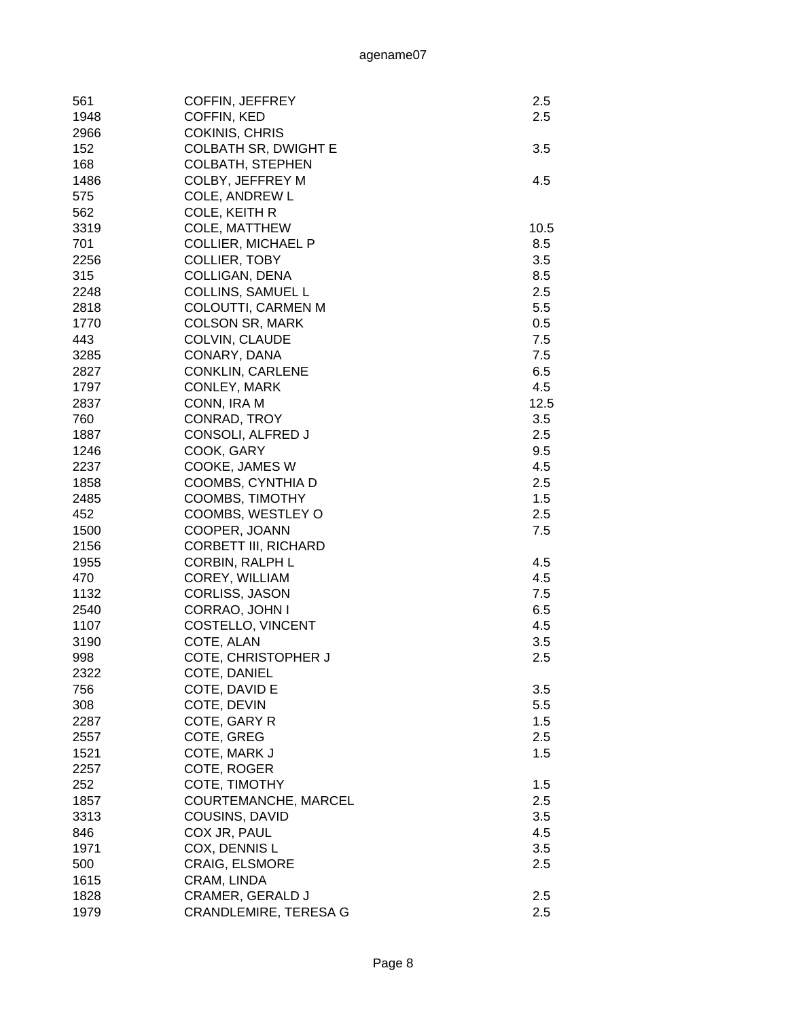| 561  | <b>COFFIN, JEFFREY</b>       | 2.5  |
|------|------------------------------|------|
| 1948 | COFFIN, KED                  | 2.5  |
| 2966 | <b>COKINIS, CHRIS</b>        |      |
| 152  | <b>COLBATH SR, DWIGHT E</b>  | 3.5  |
| 168  | <b>COLBATH, STEPHEN</b>      |      |
| 1486 | COLBY, JEFFREY M             | 4.5  |
| 575  | <b>COLE, ANDREW L</b>        |      |
| 562  | COLE, KEITH R                |      |
| 3319 | COLE, MATTHEW                | 10.5 |
| 701  | <b>COLLIER, MICHAEL P</b>    | 8.5  |
| 2256 | <b>COLLIER, TOBY</b>         | 3.5  |
| 315  | COLLIGAN, DENA               | 8.5  |
| 2248 | <b>COLLINS, SAMUEL L</b>     | 2.5  |
| 2818 | COLOUTTI, CARMEN M           | 5.5  |
| 1770 | <b>COLSON SR, MARK</b>       | 0.5  |
| 443  | COLVIN, CLAUDE               | 7.5  |
| 3285 | CONARY, DANA                 | 7.5  |
|      |                              |      |
| 2827 | <b>CONKLIN, CARLENE</b>      | 6.5  |
| 1797 | CONLEY, MARK                 | 4.5  |
| 2837 | CONN, IRA M                  | 12.5 |
| 760  | CONRAD, TROY                 | 3.5  |
| 1887 | CONSOLI, ALFRED J            | 2.5  |
| 1246 | COOK, GARY                   | 9.5  |
| 2237 | COOKE, JAMES W               | 4.5  |
| 1858 | COOMBS, CYNTHIA D            | 2.5  |
| 2485 | COOMBS, TIMOTHY              | 1.5  |
| 452  | COOMBS, WESTLEY O            | 2.5  |
| 1500 | COOPER, JOANN                | 7.5  |
| 2156 | <b>CORBETT III, RICHARD</b>  |      |
| 1955 | <b>CORBIN, RALPH L</b>       | 4.5  |
| 470  | COREY, WILLIAM               | 4.5  |
| 1132 | <b>CORLISS, JASON</b>        | 7.5  |
| 2540 | CORRAO, JOHN I               | 6.5  |
| 1107 | COSTELLO, VINCENT            | 4.5  |
| 3190 | COTE, ALAN                   | 3.5  |
|      |                              | 2.5  |
| 998  | COTE, CHRISTOPHER J          |      |
| 2322 | COTE, DANIEL                 |      |
| 756  | COTE, DAVID E                | 3.5  |
| 308  | COTE, DEVIN                  | 5.5  |
| 2287 | COTE, GARY R                 | 1.5  |
| 2557 | COTE, GREG                   | 2.5  |
| 1521 | COTE, MARK J                 | 1.5  |
| 2257 | COTE, ROGER                  |      |
| 252  | COTE, TIMOTHY                | 1.5  |
| 1857 | COURTEMANCHE, MARCEL         | 2.5  |
| 3313 | COUSINS, DAVID               | 3.5  |
| 846  | COX JR, PAUL                 | 4.5  |
| 1971 | COX, DENNIS L                | 3.5  |
| 500  | <b>CRAIG, ELSMORE</b>        | 2.5  |
| 1615 | CRAM, LINDA                  |      |
| 1828 | <b>CRAMER, GERALD J</b>      | 2.5  |
| 1979 | <b>CRANDLEMIRE, TERESA G</b> | 2.5  |
|      |                              |      |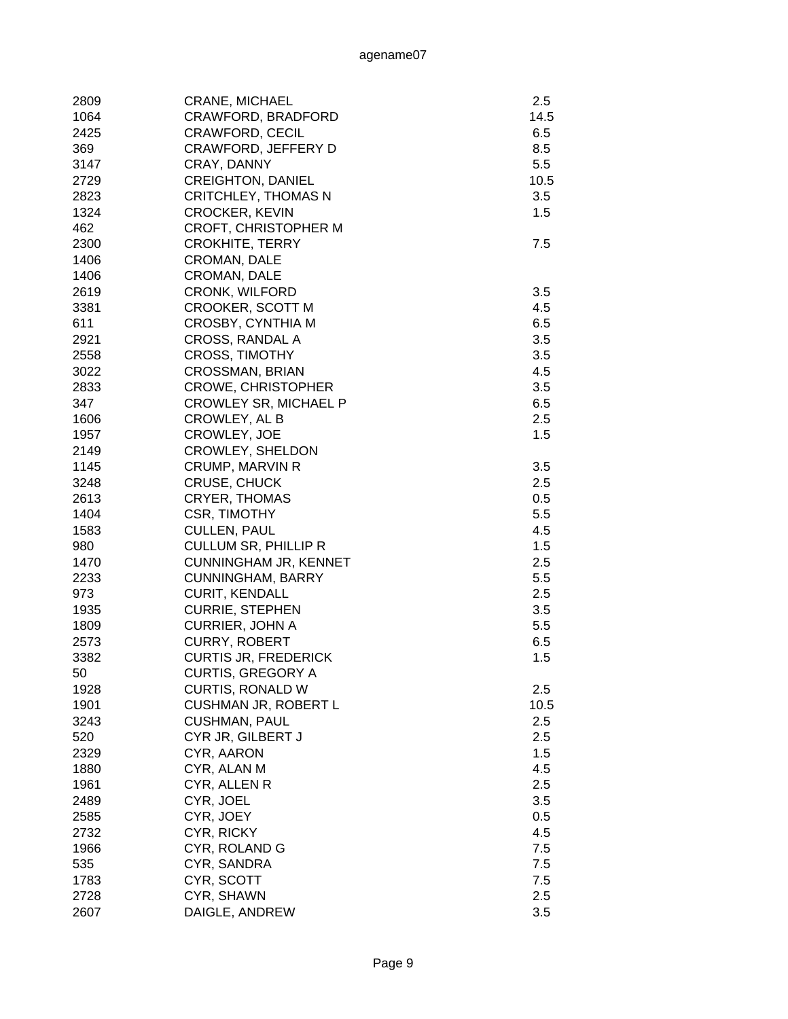| 2809 | <b>CRANE, MICHAEL</b>        | 2.5  |
|------|------------------------------|------|
| 1064 | CRAWFORD, BRADFORD           | 14.5 |
| 2425 | <b>CRAWFORD, CECIL</b>       | 6.5  |
| 369  | <b>CRAWFORD, JEFFERY D</b>   | 8.5  |
| 3147 | CRAY, DANNY                  | 5.5  |
| 2729 | <b>CREIGHTON, DANIEL</b>     | 10.5 |
| 2823 | <b>CRITCHLEY, THOMAS N</b>   | 3.5  |
| 1324 | <b>CROCKER, KEVIN</b>        | 1.5  |
| 462  | <b>CROFT, CHRISTOPHER M</b>  |      |
| 2300 | <b>CROKHITE, TERRY</b>       | 7.5  |
| 1406 | <b>CROMAN, DALE</b>          |      |
| 1406 | CROMAN, DALE                 |      |
| 2619 | <b>CRONK, WILFORD</b>        | 3.5  |
| 3381 | CROOKER, SCOTT M             | 4.5  |
| 611  | <b>CROSBY, CYNTHIA M</b>     | 6.5  |
| 2921 | CROSS, RANDAL A              | 3.5  |
| 2558 | <b>CROSS, TIMOTHY</b>        | 3.5  |
| 3022 | <b>CROSSMAN, BRIAN</b>       | 4.5  |
| 2833 | <b>CROWE, CHRISTOPHER</b>    | 3.5  |
| 347  | <b>CROWLEY SR, MICHAEL P</b> | 6.5  |
| 1606 | CROWLEY, AL B                | 2.5  |
| 1957 | CROWLEY, JOE                 | 1.5  |
| 2149 | <b>CROWLEY, SHELDON</b>      |      |
| 1145 | <b>CRUMP, MARVIN R</b>       | 3.5  |
| 3248 | <b>CRUSE, CHUCK</b>          | 2.5  |
| 2613 | <b>CRYER, THOMAS</b>         | 0.5  |
| 1404 | CSR, TIMOTHY                 | 5.5  |
| 1583 | <b>CULLEN, PAUL</b>          | 4.5  |
| 980  | <b>CULLUM SR, PHILLIP R</b>  | 1.5  |
| 1470 | <b>CUNNINGHAM JR, KENNET</b> | 2.5  |
| 2233 | <b>CUNNINGHAM, BARRY</b>     | 5.5  |
| 973  | <b>CURIT, KENDALL</b>        | 2.5  |
| 1935 | <b>CURRIE, STEPHEN</b>       | 3.5  |
| 1809 | <b>CURRIER, JOHN A</b>       | 5.5  |
| 2573 | <b>CURRY, ROBERT</b>         | 6.5  |
| 3382 | <b>CURTIS JR, FREDERICK</b>  | 1.5  |
| 50   | <b>CURTIS, GREGORY A</b>     |      |
| 1928 | <b>CURTIS, RONALD W</b>      | 2.5  |
| 1901 | CUSHMAN JR, ROBERT L         | 10.5 |
| 3243 | <b>CUSHMAN, PAUL</b>         | 2.5  |
| 520  | CYR JR, GILBERT J            | 2.5  |
| 2329 | CYR, AARON                   | 1.5  |
| 1880 | CYR, ALAN M                  | 4.5  |
| 1961 | CYR, ALLEN R                 | 2.5  |
| 2489 | CYR, JOEL                    | 3.5  |
| 2585 | CYR, JOEY                    | 0.5  |
| 2732 | CYR, RICKY                   | 4.5  |
| 1966 | CYR, ROLAND G                | 7.5  |
| 535  | CYR, SANDRA                  | 7.5  |
| 1783 | CYR, SCOTT                   | 7.5  |
| 2728 | CYR, SHAWN                   | 2.5  |
| 2607 | DAIGLE, ANDREW               | 3.5  |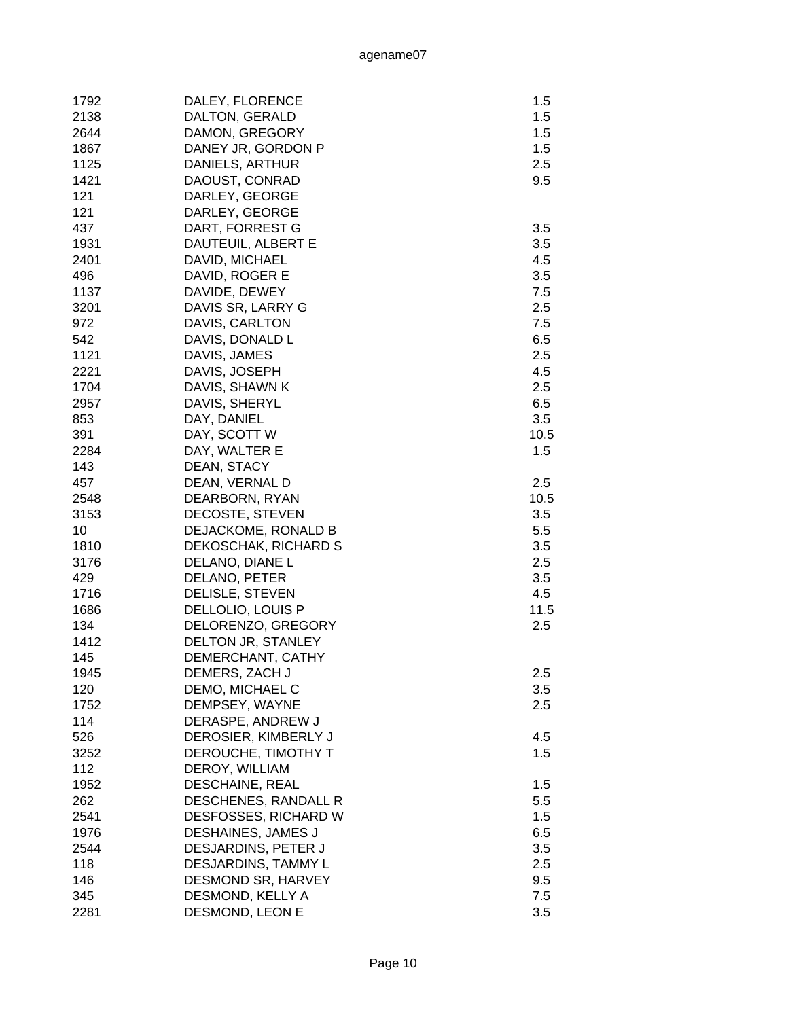| 1792 | DALEY, FLORENCE      | 1.5  |
|------|----------------------|------|
| 2138 | DALTON, GERALD       | 1.5  |
| 2644 | DAMON, GREGORY       | 1.5  |
| 1867 | DANEY JR, GORDON P   | 1.5  |
| 1125 | DANIELS, ARTHUR      | 2.5  |
| 1421 | DAOUST, CONRAD       | 9.5  |
| 121  | DARLEY, GEORGE       |      |
| 121  | DARLEY, GEORGE       |      |
| 437  | DART, FORREST G      | 3.5  |
| 1931 | DAUTEUIL, ALBERT E   | 3.5  |
| 2401 | DAVID, MICHAEL       | 4.5  |
| 496  | DAVID, ROGER E       | 3.5  |
| 1137 | DAVIDE, DEWEY        | 7.5  |
| 3201 | DAVIS SR, LARRY G    | 2.5  |
| 972  | DAVIS, CARLTON       | 7.5  |
| 542  | DAVIS, DONALD L      | 6.5  |
| 1121 | DAVIS, JAMES         | 2.5  |
| 2221 | DAVIS, JOSEPH        | 4.5  |
| 1704 | DAVIS, SHAWN K       | 2.5  |
| 2957 | DAVIS, SHERYL        | 6.5  |
| 853  | DAY, DANIEL          | 3.5  |
| 391  | DAY, SCOTT W         | 10.5 |
| 2284 | DAY, WALTER E        | 1.5  |
| 143  | DEAN, STACY          |      |
| 457  | DEAN, VERNAL D       | 2.5  |
| 2548 | DEARBORN, RYAN       | 10.5 |
| 3153 | DECOSTE, STEVEN      | 3.5  |
| 10   | DEJACKOME, RONALD B  | 5.5  |
| 1810 | DEKOSCHAK, RICHARD S | 3.5  |
| 3176 | DELANO, DIANE L      | 2.5  |
| 429  | DELANO, PETER        | 3.5  |
| 1716 | DELISLE, STEVEN      | 4.5  |
| 1686 | DELLOLIO, LOUIS P    | 11.5 |
| 134  | DELORENZO, GREGORY   | 2.5  |
| 1412 | DELTON JR, STANLEY   |      |
| 145  | DEMERCHANT, CATHY    |      |
| 1945 | DEMERS, ZACH J       | 2.5  |
| 120  | DEMO, MICHAEL C      | 3.5  |
| 1752 | DEMPSEY, WAYNE       | 2.5  |
| 114  | DERASPE, ANDREW J    |      |
| 526  | DEROSIER, KIMBERLY J | 4.5  |
| 3252 | DEROUCHE, TIMOTHY T  | 1.5  |
| 112  | DEROY, WILLIAM       |      |
| 1952 | DESCHAINE, REAL      | 1.5  |
| 262  | DESCHENES, RANDALL R | 5.5  |
| 2541 | DESFOSSES, RICHARD W | 1.5  |
| 1976 | DESHAINES, JAMES J   | 6.5  |
| 2544 | DESJARDINS, PETER J  | 3.5  |
| 118  | DESJARDINS, TAMMY L  | 2.5  |
| 146  | DESMOND SR, HARVEY   | 9.5  |
| 345  | DESMOND, KELLY A     | 7.5  |
| 2281 | DESMOND, LEON E      | 3.5  |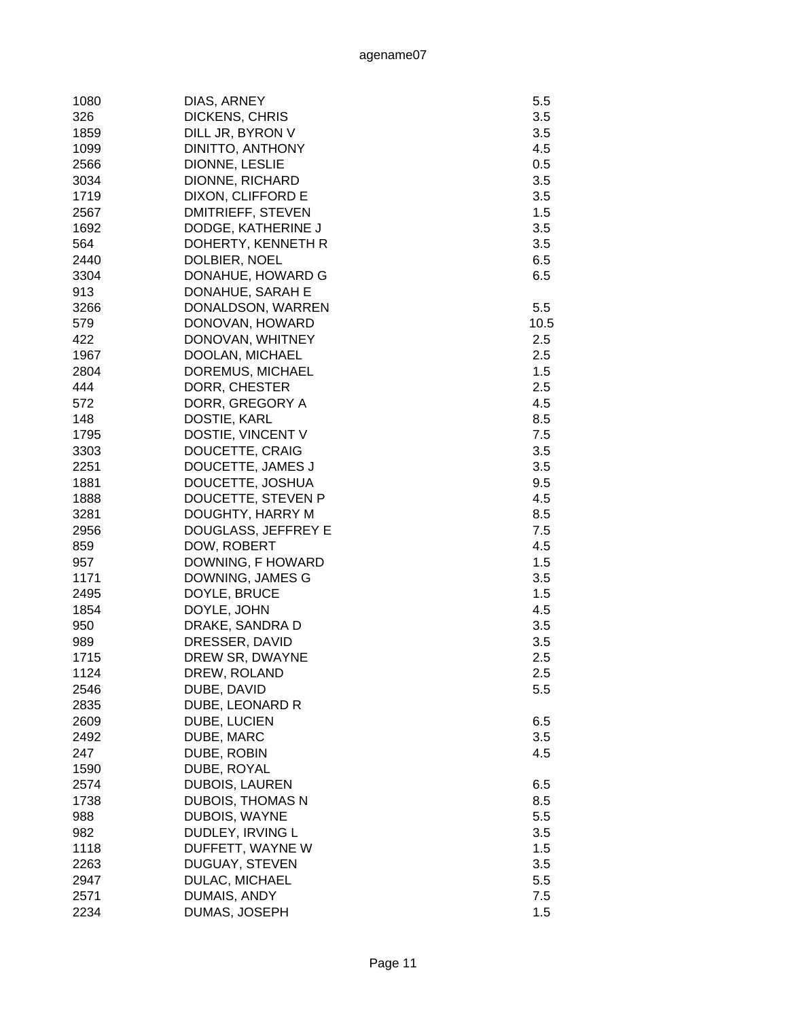| 1080 | DIAS, ARNEY             | 5.5  |
|------|-------------------------|------|
| 326  | <b>DICKENS, CHRIS</b>   | 3.5  |
| 1859 | DILL JR, BYRON V        | 3.5  |
| 1099 | DINITTO, ANTHONY        | 4.5  |
| 2566 | DIONNE, LESLIE          | 0.5  |
| 3034 | DIONNE, RICHARD         | 3.5  |
| 1719 | DIXON, CLIFFORD E       | 3.5  |
| 2567 | DMITRIEFF, STEVEN       | 1.5  |
| 1692 | DODGE, KATHERINE J      | 3.5  |
| 564  | DOHERTY, KENNETH R      | 3.5  |
| 2440 | DOLBIER, NOEL           | 6.5  |
| 3304 | DONAHUE, HOWARD G       | 6.5  |
|      |                         |      |
| 913  | DONAHUE, SARAH E        |      |
| 3266 | DONALDSON, WARREN       | 5.5  |
| 579  | DONOVAN, HOWARD         | 10.5 |
| 422  | DONOVAN, WHITNEY        | 2.5  |
| 1967 | DOOLAN, MICHAEL         | 2.5  |
| 2804 | DOREMUS, MICHAEL        | 1.5  |
| 444  | DORR, CHESTER           | 2.5  |
| 572  | DORR, GREGORY A         | 4.5  |
| 148  | DOSTIE, KARL            | 8.5  |
| 1795 | DOSTIE, VINCENT V       | 7.5  |
| 3303 | DOUCETTE, CRAIG         | 3.5  |
| 2251 | DOUCETTE, JAMES J       | 3.5  |
| 1881 | DOUCETTE, JOSHUA        | 9.5  |
| 1888 | DOUCETTE, STEVEN P      | 4.5  |
| 3281 | DOUGHTY, HARRY M        | 8.5  |
| 2956 | DOUGLASS, JEFFREY E     | 7.5  |
| 859  | DOW, ROBERT             | 4.5  |
| 957  | DOWNING, F HOWARD       | 1.5  |
| 1171 | DOWNING, JAMES G        | 3.5  |
| 2495 | DOYLE, BRUCE            | 1.5  |
| 1854 | DOYLE, JOHN             | 4.5  |
| 950  | DRAKE, SANDRA D         | 3.5  |
| 989  | DRESSER, DAVID          | 3.5  |
| 1715 | DREW SR, DWAYNE         | 2.5  |
| 1124 | DREW, ROLAND            | 2.5  |
| 2546 | DUBE, DAVID             | 5.5  |
| 2835 | DUBE, LEONARD R         |      |
| 2609 | DUBE, LUCIEN            | 6.5  |
| 2492 | DUBE, MARC              | 3.5  |
| 247  | DUBE, ROBIN             | 4.5  |
| 1590 | DUBE, ROYAL             |      |
| 2574 | <b>DUBOIS, LAUREN</b>   | 6.5  |
| 1738 | <b>DUBOIS, THOMAS N</b> | 8.5  |
| 988  | DUBOIS, WAYNE           | 5.5  |
| 982  | DUDLEY, IRVING L        | 3.5  |
|      |                         |      |
| 1118 | DUFFETT, WAYNE W        | 1.5  |
| 2263 | <b>DUGUAY, STEVEN</b>   | 3.5  |
| 2947 | DULAC, MICHAEL          | 5.5  |
| 2571 | DUMAIS, ANDY            | 7.5  |
| 2234 | DUMAS, JOSEPH           | 1.5  |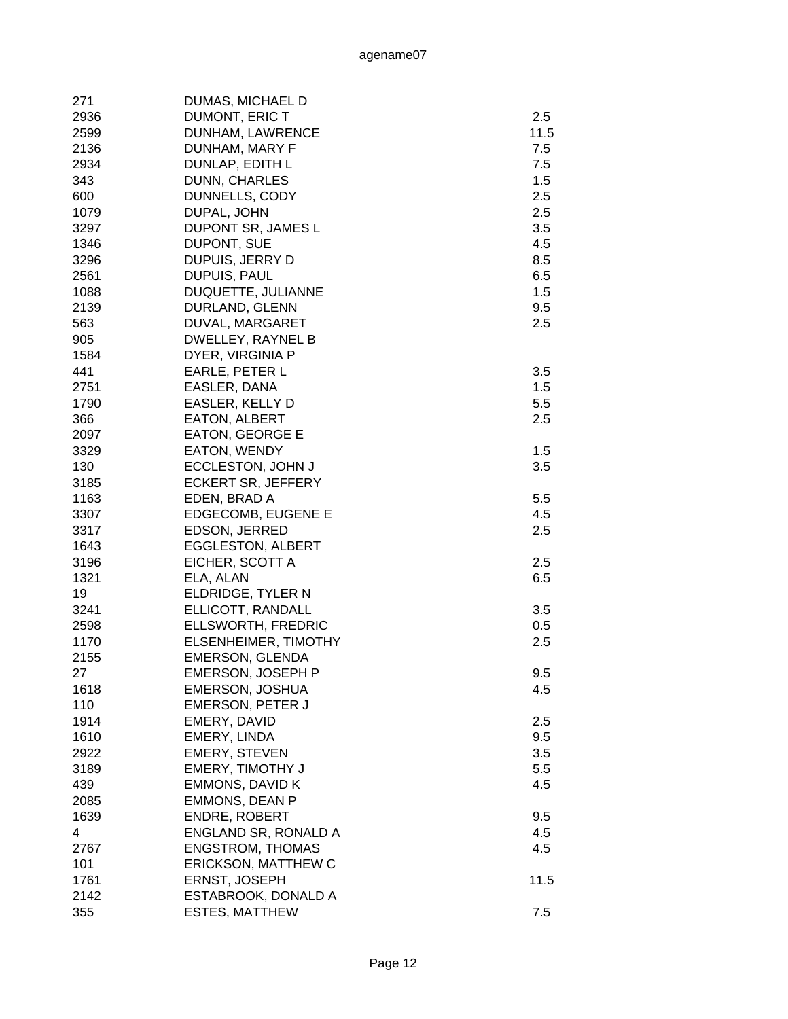| 271  | DUMAS, MICHAEL D         |      |
|------|--------------------------|------|
| 2936 | DUMONT, ERIC T           | 2.5  |
| 2599 | DUNHAM, LAWRENCE         | 11.5 |
| 2136 | DUNHAM, MARY F           | 7.5  |
| 2934 | DUNLAP, EDITH L          | 7.5  |
| 343  | DUNN, CHARLES            | 1.5  |
| 600  | DUNNELLS, CODY           | 2.5  |
| 1079 | DUPAL, JOHN              | 2.5  |
| 3297 | DUPONT SR, JAMES L       | 3.5  |
| 1346 | DUPONT, SUE              | 4.5  |
| 3296 | DUPUIS, JERRY D          | 8.5  |
| 2561 | DUPUIS, PAUL             | 6.5  |
| 1088 | DUQUETTE, JULIANNE       | 1.5  |
| 2139 | DURLAND, GLENN           | 9.5  |
| 563  | DUVAL, MARGARET          | 2.5  |
| 905  | DWELLEY, RAYNEL B        |      |
| 1584 | DYER, VIRGINIA P         |      |
| 441  | EARLE, PETER L           | 3.5  |
|      |                          | 1.5  |
| 2751 | EASLER, DANA             |      |
| 1790 | EASLER, KELLY D          | 5.5  |
| 366  | EATON, ALBERT            | 2.5  |
| 2097 | <b>EATON, GEORGE E</b>   |      |
| 3329 | EATON, WENDY             | 1.5  |
| 130  | ECCLESTON, JOHN J        | 3.5  |
| 3185 | ECKERT SR, JEFFERY       |      |
| 1163 | EDEN, BRAD A             | 5.5  |
| 3307 | EDGECOMB, EUGENE E       | 4.5  |
| 3317 | EDSON, JERRED            | 2.5  |
| 1643 | <b>EGGLESTON, ALBERT</b> |      |
| 3196 | EICHER, SCOTT A          | 2.5  |
| 1321 | ELA, ALAN                | 6.5  |
| 19   | ELDRIDGE, TYLER N        |      |
| 3241 | ELLICOTT, RANDALL        | 3.5  |
| 2598 | ELLSWORTH, FREDRIC       | 0.5  |
| 1170 | ELSENHEIMER, TIMOTHY     | 2.5  |
| 2155 | <b>EMERSON, GLENDA</b>   |      |
| 27   | EMERSON, JOSEPH P        | 9.5  |
| 1618 | EMERSON, JOSHUA          | 4.5  |
| 110  | <b>EMERSON, PETER J</b>  |      |
| 1914 | EMERY, DAVID             | 2.5  |
| 1610 | EMERY, LINDA             | 9.5  |
| 2922 | <b>EMERY, STEVEN</b>     | 3.5  |
| 3189 | EMERY, TIMOTHY J         | 5.5  |
| 439  | <b>EMMONS, DAVID K</b>   | 4.5  |
| 2085 | <b>EMMONS, DEAN P</b>    |      |
| 1639 | <b>ENDRE, ROBERT</b>     | 9.5  |
| 4    | ENGLAND SR, RONALD A     | 4.5  |
| 2767 | <b>ENGSTROM, THOMAS</b>  | 4.5  |
| 101  | ERICKSON, MATTHEW C      |      |
| 1761 | ERNST, JOSEPH            | 11.5 |
| 2142 | ESTABROOK, DONALD A      |      |
| 355  | <b>ESTES, MATTHEW</b>    | 7.5  |
|      |                          |      |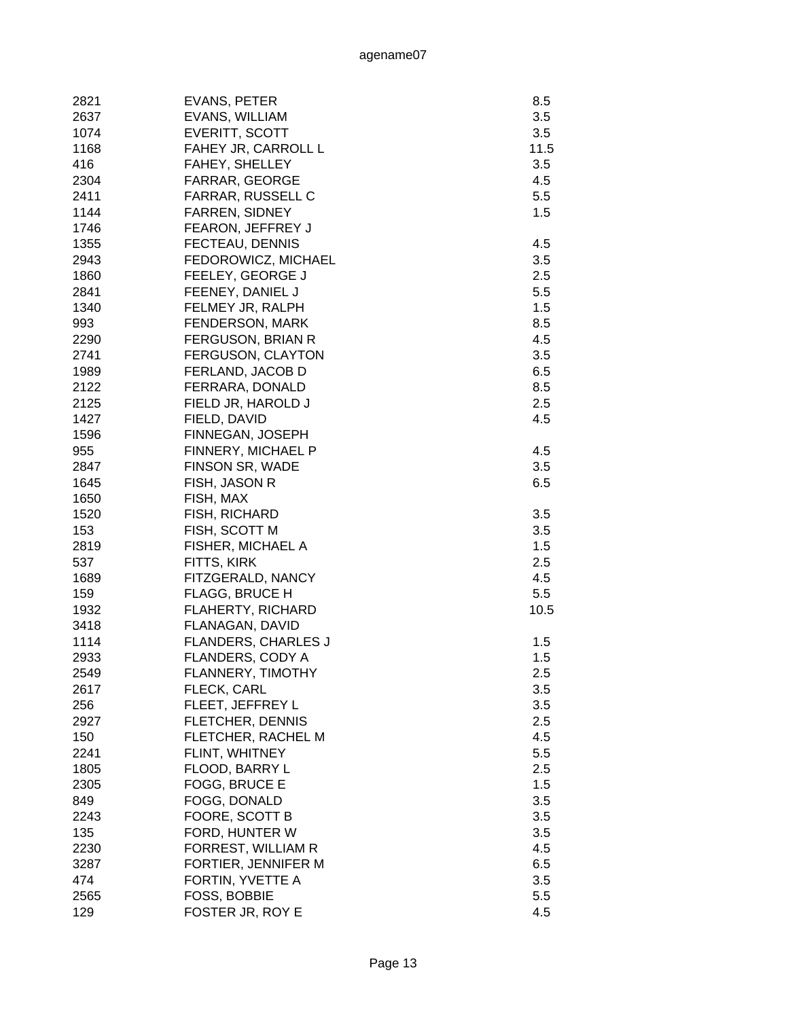| 2821 | EVANS, PETER               | 8.5  |
|------|----------------------------|------|
| 2637 | EVANS, WILLIAM             | 3.5  |
| 1074 | EVERITT, SCOTT             | 3.5  |
| 1168 | FAHEY JR, CARROLL L        | 11.5 |
| 416  | FAHEY, SHELLEY             | 3.5  |
| 2304 | FARRAR, GEORGE             | 4.5  |
| 2411 | FARRAR, RUSSELL C          | 5.5  |
| 1144 | <b>FARREN, SIDNEY</b>      | 1.5  |
| 1746 | FEARON, JEFFREY J          |      |
| 1355 | FECTEAU, DENNIS            | 4.5  |
| 2943 | FEDOROWICZ, MICHAEL        | 3.5  |
| 1860 | FEELEY, GEORGE J           | 2.5  |
| 2841 | FEENEY, DANIEL J           | 5.5  |
| 1340 | FELMEY JR, RALPH           | 1.5  |
| 993  | <b>FENDERSON, MARK</b>     | 8.5  |
| 2290 | FERGUSON, BRIAN R          | 4.5  |
| 2741 | <b>FERGUSON, CLAYTON</b>   | 3.5  |
| 1989 | FERLAND, JACOB D           | 6.5  |
| 2122 | FERRARA, DONALD            | 8.5  |
| 2125 | FIELD JR, HAROLD J         | 2.5  |
| 1427 | FIELD, DAVID               | 4.5  |
| 1596 | FINNEGAN, JOSEPH           |      |
| 955  | FINNERY, MICHAEL P         | 4.5  |
| 2847 | FINSON SR, WADE            | 3.5  |
| 1645 | FISH, JASON R              | 6.5  |
| 1650 | FISH, MAX                  |      |
| 1520 | FISH, RICHARD              | 3.5  |
| 153  | FISH, SCOTT M              | 3.5  |
| 2819 | FISHER, MICHAEL A          | 1.5  |
| 537  | FITTS, KIRK                | 2.5  |
| 1689 | FITZGERALD, NANCY          | 4.5  |
| 159  | <b>FLAGG, BRUCE H</b>      | 5.5  |
| 1932 | <b>FLAHERTY, RICHARD</b>   | 10.5 |
| 3418 | FLANAGAN, DAVID            |      |
| 1114 | <b>FLANDERS, CHARLES J</b> | 1.5  |
| 2933 | FLANDERS, CODY A           | 1.5  |
| 2549 | FLANNERY, TIMOTHY          | 2.5  |
| 2617 | FLECK, CARL                | 3.5  |
| 256  | FLEET, JEFFREY L           | 3.5  |
| 2927 | <b>FLETCHER, DENNIS</b>    | 2.5  |
| 150  | FLETCHER, RACHEL M         | 4.5  |
| 2241 | FLINT, WHITNEY             | 5.5  |
| 1805 | FLOOD, BARRY L             | 2.5  |
| 2305 | FOGG, BRUCE E              | 1.5  |
| 849  | FOGG, DONALD               | 3.5  |
| 2243 | FOORE, SCOTT B             | 3.5  |
| 135  | FORD, HUNTER W             | 3.5  |
| 2230 | FORREST, WILLIAM R         | 4.5  |
| 3287 | FORTIER, JENNIFER M        | 6.5  |
| 474  | FORTIN, YVETTE A           | 3.5  |
| 2565 | FOSS, BOBBIE               | 5.5  |
| 129  | FOSTER JR, ROY E           | 4.5  |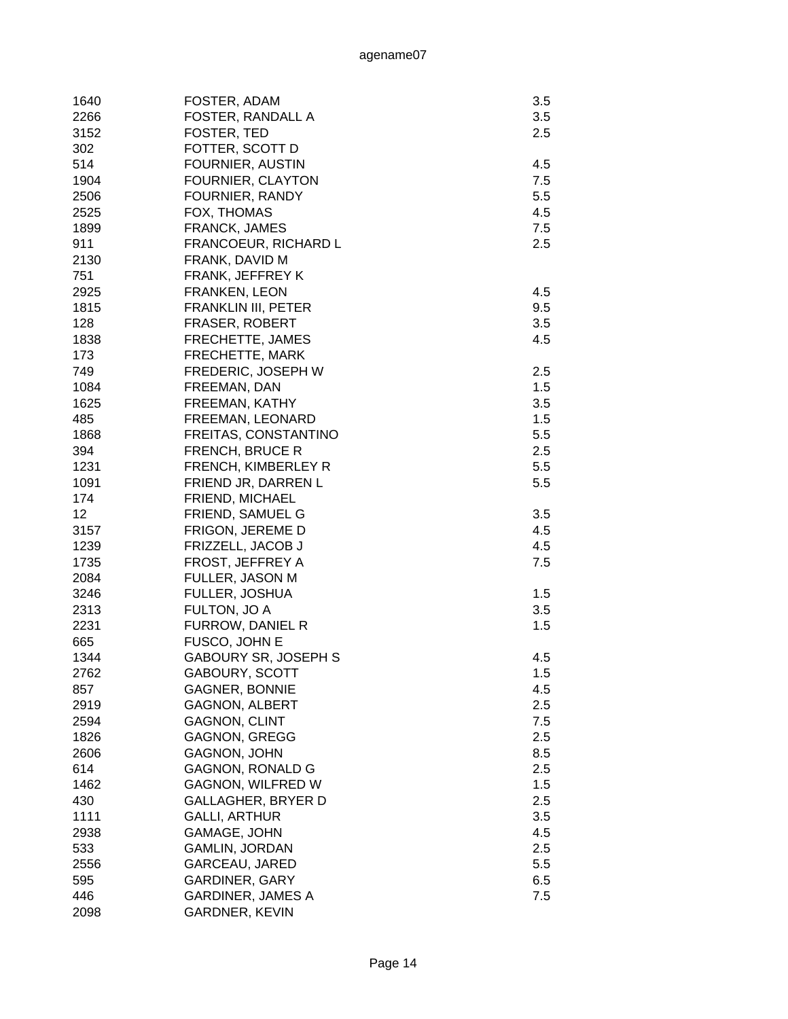| 1640 | FOSTER, ADAM                | 3.5 |
|------|-----------------------------|-----|
| 2266 | FOSTER, RANDALL A           | 3.5 |
| 3152 | FOSTER, TED                 | 2.5 |
| 302  | FOTTER, SCOTT D             |     |
| 514  | FOURNIER, AUSTIN            | 4.5 |
| 1904 | FOURNIER, CLAYTON           | 7.5 |
| 2506 | FOURNIER, RANDY             | 5.5 |
| 2525 | FOX, THOMAS                 | 4.5 |
| 1899 | FRANCK, JAMES               | 7.5 |
| 911  | FRANCOEUR, RICHARD L        | 2.5 |
| 2130 | FRANK, DAVID M              |     |
| 751  | FRANK, JEFFREY K            |     |
| 2925 | <b>FRANKEN, LEON</b>        | 4.5 |
| 1815 | FRANKLIN III, PETER         | 9.5 |
| 128  | <b>FRASER, ROBERT</b>       | 3.5 |
| 1838 | FRECHETTE, JAMES            | 4.5 |
| 173  | FRECHETTE, MARK             |     |
| 749  | FREDERIC, JOSEPH W          | 2.5 |
| 1084 | FREEMAN, DAN                | 1.5 |
| 1625 | FREEMAN, KATHY              | 3.5 |
| 485  | FREEMAN, LEONARD            | 1.5 |
| 1868 | FREITAS, CONSTANTINO        | 5.5 |
| 394  | FRENCH, BRUCE R             | 2.5 |
| 1231 | FRENCH, KIMBERLEY R         | 5.5 |
| 1091 | FRIEND JR, DARREN L         | 5.5 |
| 174  | FRIEND, MICHAEL             |     |
| 12   | FRIEND, SAMUEL G            | 3.5 |
| 3157 | FRIGON, JEREME D            | 4.5 |
| 1239 | FRIZZELL, JACOB J           | 4.5 |
| 1735 | FROST, JEFFREY A            | 7.5 |
| 2084 | FULLER, JASON M             |     |
| 3246 | FULLER, JOSHUA              | 1.5 |
| 2313 | FULTON, JO A                | 3.5 |
| 2231 | FURROW, DANIEL R            | 1.5 |
| 665  | FUSCO, JOHN E               |     |
| 1344 | <b>GABOURY SR, JOSEPH S</b> | 4.5 |
| 2762 | <b>GABOURY, SCOTT</b>       | 1.5 |
| 857  | <b>GAGNER, BONNIE</b>       | 4.5 |
| 2919 | <b>GAGNON, ALBERT</b>       | 2.5 |
| 2594 | <b>GAGNON, CLINT</b>        | 7.5 |
| 1826 | <b>GAGNON, GREGG</b>        | 2.5 |
| 2606 | GAGNON, JOHN                | 8.5 |
| 614  | <b>GAGNON, RONALD G</b>     | 2.5 |
| 1462 | <b>GAGNON, WILFRED W</b>    | 1.5 |
| 430  | <b>GALLAGHER, BRYER D</b>   | 2.5 |
| 1111 | <b>GALLI, ARTHUR</b>        | 3.5 |
| 2938 | GAMAGE, JOHN                | 4.5 |
| 533  | GAMLIN, JORDAN              | 2.5 |
| 2556 | GARCEAU, JARED              | 5.5 |
| 595  | <b>GARDINER, GARY</b>       | 6.5 |
| 446  | <b>GARDINER, JAMES A</b>    | 7.5 |
| 2098 | <b>GARDNER, KEVIN</b>       |     |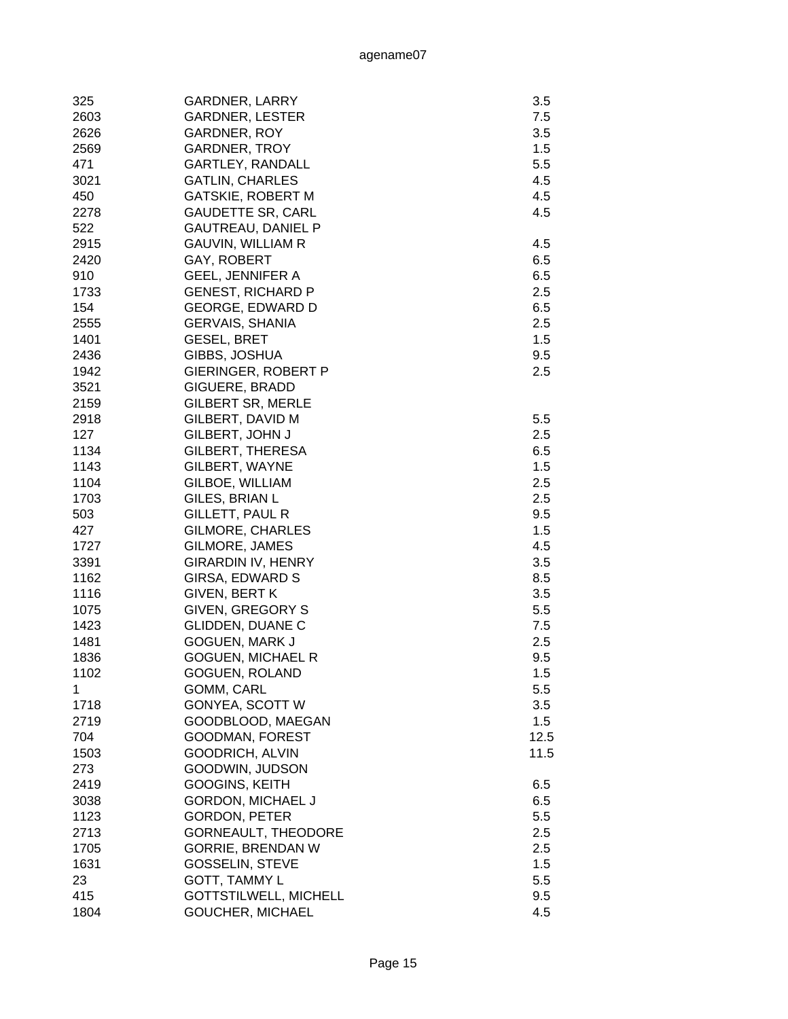| 325  | <b>GARDNER, LARRY</b>        | 3.5  |
|------|------------------------------|------|
| 2603 | <b>GARDNER, LESTER</b>       | 7.5  |
| 2626 | GARDNER, ROY                 | 3.5  |
| 2569 | <b>GARDNER, TROY</b>         | 1.5  |
| 471  | <b>GARTLEY, RANDALL</b>      | 5.5  |
| 3021 | <b>GATLIN, CHARLES</b>       | 4.5  |
| 450  | <b>GATSKIE, ROBERT M</b>     | 4.5  |
| 2278 | <b>GAUDETTE SR, CARL</b>     | 4.5  |
| 522  | <b>GAUTREAU, DANIEL P</b>    |      |
| 2915 | <b>GAUVIN, WILLIAM R</b>     | 4.5  |
| 2420 | GAY, ROBERT                  | 6.5  |
| 910  | <b>GEEL, JENNIFER A</b>      | 6.5  |
| 1733 | <b>GENEST, RICHARD P</b>     | 2.5  |
| 154  | <b>GEORGE, EDWARD D</b>      | 6.5  |
| 2555 | <b>GERVAIS, SHANIA</b>       | 2.5  |
| 1401 | <b>GESEL, BRET</b>           | 1.5  |
| 2436 | GIBBS, JOSHUA                | 9.5  |
| 1942 | GIERINGER, ROBERT P          | 2.5  |
| 3521 | GIGUERE, BRADD               |      |
| 2159 | <b>GILBERT SR, MERLE</b>     |      |
| 2918 | GILBERT, DAVID M             | 5.5  |
| 127  | GILBERT, JOHN J              | 2.5  |
| 1134 | GILBERT, THERESA             | 6.5  |
| 1143 | GILBERT, WAYNE               | 1.5  |
| 1104 | GILBOE, WILLIAM              | 2.5  |
| 1703 | GILES, BRIAN L               | 2.5  |
| 503  | GILLETT, PAUL R              | 9.5  |
| 427  | <b>GILMORE, CHARLES</b>      | 1.5  |
| 1727 | GILMORE, JAMES               | 4.5  |
| 3391 | <b>GIRARDIN IV, HENRY</b>    | 3.5  |
| 1162 | GIRSA, EDWARD S              | 8.5  |
| 1116 | <b>GIVEN, BERT K</b>         | 3.5  |
| 1075 | GIVEN, GREGORY S             | 5.5  |
| 1423 | GLIDDEN, DUANE C             | 7.5  |
| 1481 | GOGUEN, MARK J               | 2.5  |
| 1836 | <b>GOGUEN, MICHAEL R</b>     | 9.5  |
| 1102 | GOGUEN, ROLAND               | 1.5  |
| 1    | GOMM, CARL                   | 5.5  |
| 1718 | <b>GONYEA, SCOTT W</b>       | 3.5  |
| 2719 | GOODBLOOD, MAEGAN            | 1.5  |
| 704  | GOODMAN, FOREST              | 12.5 |
| 1503 | <b>GOODRICH, ALVIN</b>       | 11.5 |
| 273  | GOODWIN, JUDSON              |      |
| 2419 | <b>GOOGINS, KEITH</b>        | 6.5  |
| 3038 | <b>GORDON, MICHAEL J</b>     | 6.5  |
| 1123 | <b>GORDON, PETER</b>         | 5.5  |
| 2713 | <b>GORNEAULT, THEODORE</b>   | 2.5  |
| 1705 | <b>GORRIE, BRENDAN W</b>     | 2.5  |
| 1631 | <b>GOSSELIN, STEVE</b>       | 1.5  |
| 23   | GOTT, TAMMY L                | 5.5  |
| 415  | <b>GOTTSTILWELL, MICHELL</b> | 9.5  |
| 1804 | GOUCHER, MICHAEL             | 4.5  |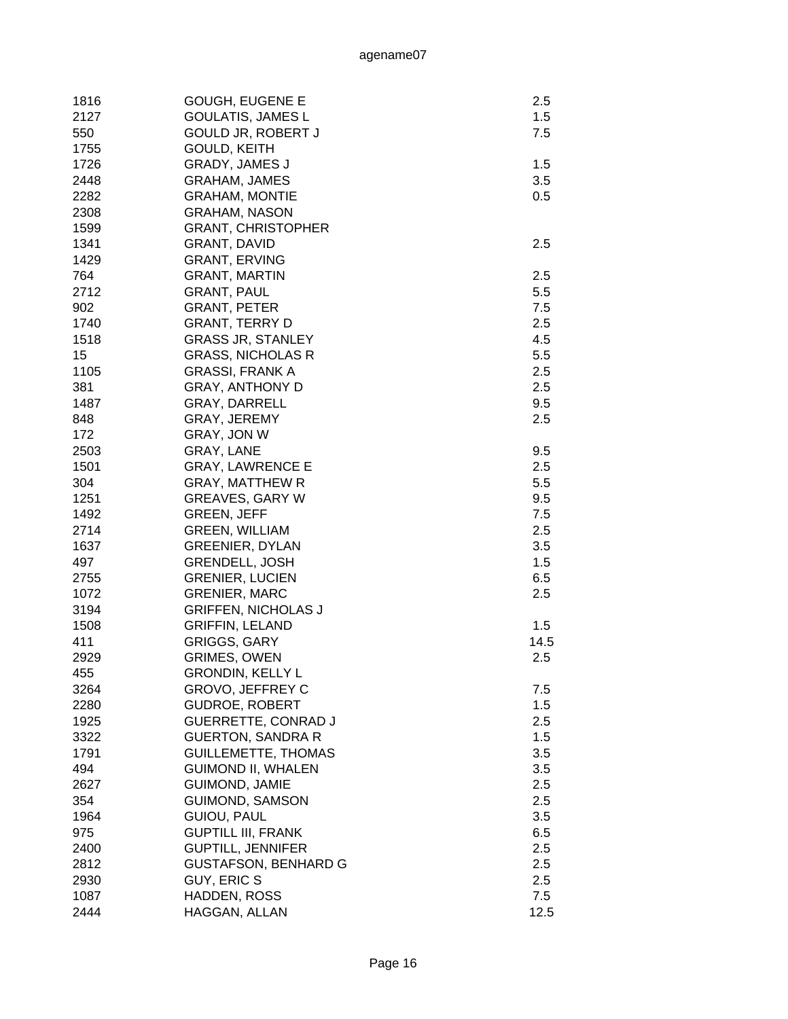| 1816 | <b>GOUGH, EUGENE E</b>      | 2.5     |
|------|-----------------------------|---------|
| 2127 | <b>GOULATIS, JAMES L</b>    | 1.5     |
| 550  | <b>GOULD JR, ROBERT J</b>   | 7.5     |
| 1755 | GOULD, KEITH                |         |
| 1726 | <b>GRADY, JAMES J</b>       | 1.5     |
| 2448 | <b>GRAHAM, JAMES</b>        | 3.5     |
| 2282 | <b>GRAHAM, MONTIE</b>       | 0.5     |
| 2308 | <b>GRAHAM, NASON</b>        |         |
| 1599 | <b>GRANT, CHRISTOPHER</b>   |         |
| 1341 | <b>GRANT, DAVID</b>         | 2.5     |
| 1429 | <b>GRANT, ERVING</b>        |         |
| 764  | <b>GRANT, MARTIN</b>        | 2.5     |
| 2712 | <b>GRANT, PAUL</b>          | 5.5     |
| 902  | <b>GRANT, PETER</b>         | 7.5     |
| 1740 | <b>GRANT, TERRY D</b>       | 2.5     |
| 1518 | <b>GRASS JR, STANLEY</b>    | 4.5     |
| 15   | <b>GRASS, NICHOLAS R</b>    | 5.5     |
| 1105 | <b>GRASSI, FRANK A</b>      | 2.5     |
| 381  | <b>GRAY, ANTHONY D</b>      | 2.5     |
| 1487 | GRAY, DARRELL               | 9.5     |
| 848  | GRAY, JEREMY                | 2.5     |
| 172  | GRAY, JON W                 |         |
| 2503 | GRAY, LANE                  | 9.5     |
| 1501 | <b>GRAY, LAWRENCE E</b>     | $2.5\,$ |
| 304  | <b>GRAY, MATTHEW R</b>      | 5.5     |
| 1251 | <b>GREAVES, GARY W</b>      | 9.5     |
| 1492 | <b>GREEN, JEFF</b>          | 7.5     |
| 2714 | <b>GREEN, WILLIAM</b>       | 2.5     |
| 1637 | <b>GREENIER, DYLAN</b>      | 3.5     |
| 497  | <b>GRENDELL, JOSH</b>       | 1.5     |
| 2755 | <b>GRENIER, LUCIEN</b>      | 6.5     |
| 1072 | <b>GRENIER, MARC</b>        | 2.5     |
| 3194 | <b>GRIFFEN, NICHOLAS J</b>  |         |
| 1508 | <b>GRIFFIN, LELAND</b>      | 1.5     |
| 411  | <b>GRIGGS, GARY</b>         | 14.5    |
| 2929 | <b>GRIMES, OWEN</b>         | 2.5     |
| 455  | <b>GRONDIN, KELLY L</b>     |         |
| 3264 | <b>GROVO, JEFFREY C</b>     | 7.5     |
| 2280 | <b>GUDROE, ROBERT</b>       | 1.5     |
| 1925 | <b>GUERRETTE, CONRAD J</b>  | 2.5     |
| 3322 | <b>GUERTON, SANDRA R</b>    | 1.5     |
| 1791 | <b>GUILLEMETTE, THOMAS</b>  | 3.5     |
| 494  | <b>GUIMOND II, WHALEN</b>   | 3.5     |
| 2627 | <b>GUIMOND, JAMIE</b>       | 2.5     |
| 354  | <b>GUIMOND, SAMSON</b>      | 2.5     |
| 1964 | GUIOU, PAUL                 | 3.5     |
| 975  | <b>GUPTILL III, FRANK</b>   | 6.5     |
| 2400 | <b>GUPTILL, JENNIFER</b>    | 2.5     |
| 2812 | <b>GUSTAFSON, BENHARD G</b> | 2.5     |
| 2930 | GUY, ERIC S                 | 2.5     |
| 1087 | HADDEN, ROSS                | 7.5     |
| 2444 | HAGGAN, ALLAN               | 12.5    |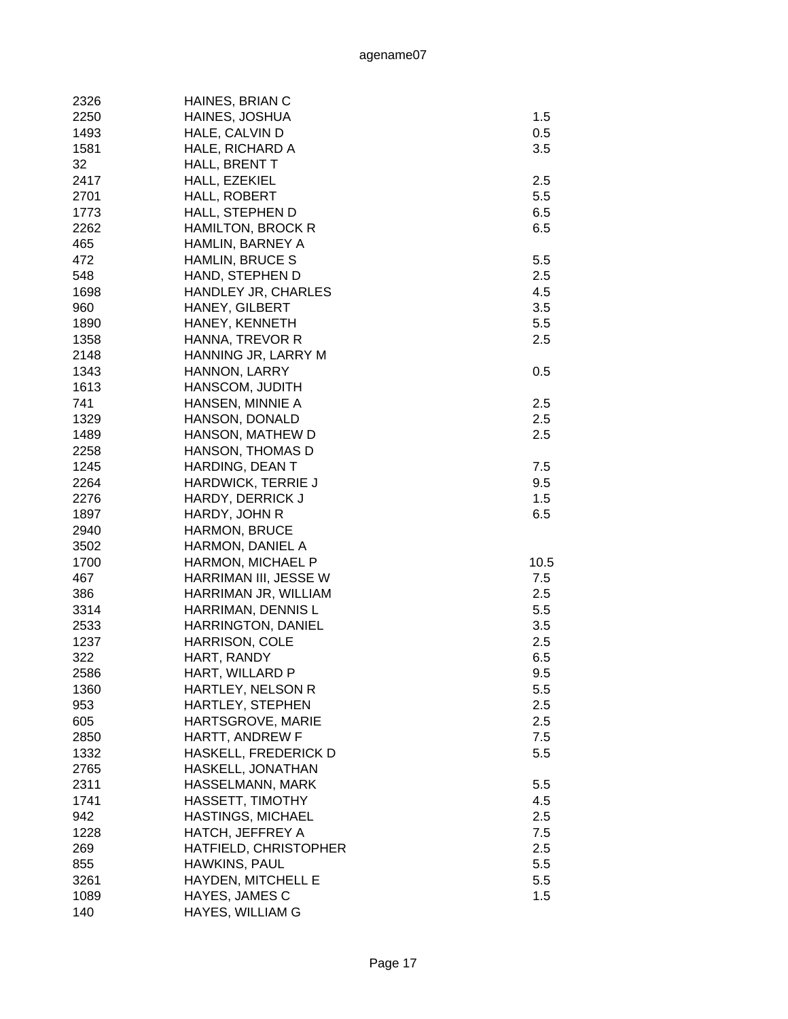| 2326 | HAINES, BRIAN C          |      |
|------|--------------------------|------|
| 2250 | HAINES, JOSHUA           | 1.5  |
| 1493 | HALE, CALVIN D           | 0.5  |
| 1581 | HALE, RICHARD A          | 3.5  |
| 32   | HALL, BRENT T            |      |
| 2417 | HALL, EZEKIEL            | 2.5  |
| 2701 | HALL, ROBERT             | 5.5  |
| 1773 | HALL, STEPHEN D          | 6.5  |
| 2262 | <b>HAMILTON, BROCK R</b> | 6.5  |
| 465  | HAMLIN, BARNEY A         |      |
| 472  | <b>HAMLIN, BRUCE S</b>   | 5.5  |
| 548  | HAND, STEPHEN D          | 2.5  |
| 1698 | HANDLEY JR, CHARLES      | 4.5  |
| 960  | HANEY, GILBERT           | 3.5  |
| 1890 | HANEY, KENNETH           | 5.5  |
| 1358 | HANNA, TREVOR R          | 2.5  |
| 2148 | HANNING JR, LARRY M      |      |
| 1343 | HANNON, LARRY            | 0.5  |
| 1613 | HANSCOM, JUDITH          |      |
| 741  | HANSEN, MINNIE A         | 2.5  |
| 1329 | HANSON, DONALD           | 2.5  |
| 1489 | HANSON, MATHEW D         | 2.5  |
| 2258 | HANSON, THOMAS D         |      |
| 1245 | HARDING, DEAN T          | 7.5  |
| 2264 | HARDWICK, TERRIE J       | 9.5  |
| 2276 | HARDY, DERRICK J         | 1.5  |
| 1897 | HARDY, JOHN R            | 6.5  |
| 2940 | <b>HARMON, BRUCE</b>     |      |
| 3502 | HARMON, DANIEL A         |      |
| 1700 | HARMON, MICHAEL P        | 10.5 |
| 467  | HARRIMAN III, JESSE W    | 7.5  |
| 386  | HARRIMAN JR, WILLIAM     | 2.5  |
| 3314 | HARRIMAN, DENNIS L       | 5.5  |
| 2533 | HARRINGTON, DANIEL       | 3.5  |
| 1237 | HARRISON, COLE           | 2.5  |
| 322  | HART, RANDY              | 6.5  |
| 2586 | HART, WILLARD P          | 9.5  |
| 1360 | HARTLEY, NELSON R        | 5.5  |
| 953  | HARTLEY, STEPHEN         | 2.5  |
| 605  | HARTSGROVE, MARIE        | 2.5  |
| 2850 | HARTT, ANDREW F          | 7.5  |
| 1332 | HASKELL, FREDERICK D     | 5.5  |
| 2765 | HASKELL, JONATHAN        |      |
| 2311 | HASSELMANN, MARK         | 5.5  |
| 1741 | HASSETT, TIMOTHY         | 4.5  |
| 942  | HASTINGS, MICHAEL        | 2.5  |
| 1228 | HATCH, JEFFREY A         | 7.5  |
| 269  | HATFIELD, CHRISTOPHER    | 2.5  |
| 855  | HAWKINS, PAUL            | 5.5  |
| 3261 | HAYDEN, MITCHELL E       | 5.5  |
| 1089 | HAYES, JAMES C           | 1.5  |
| 140  | HAYES, WILLIAM G         |      |
|      |                          |      |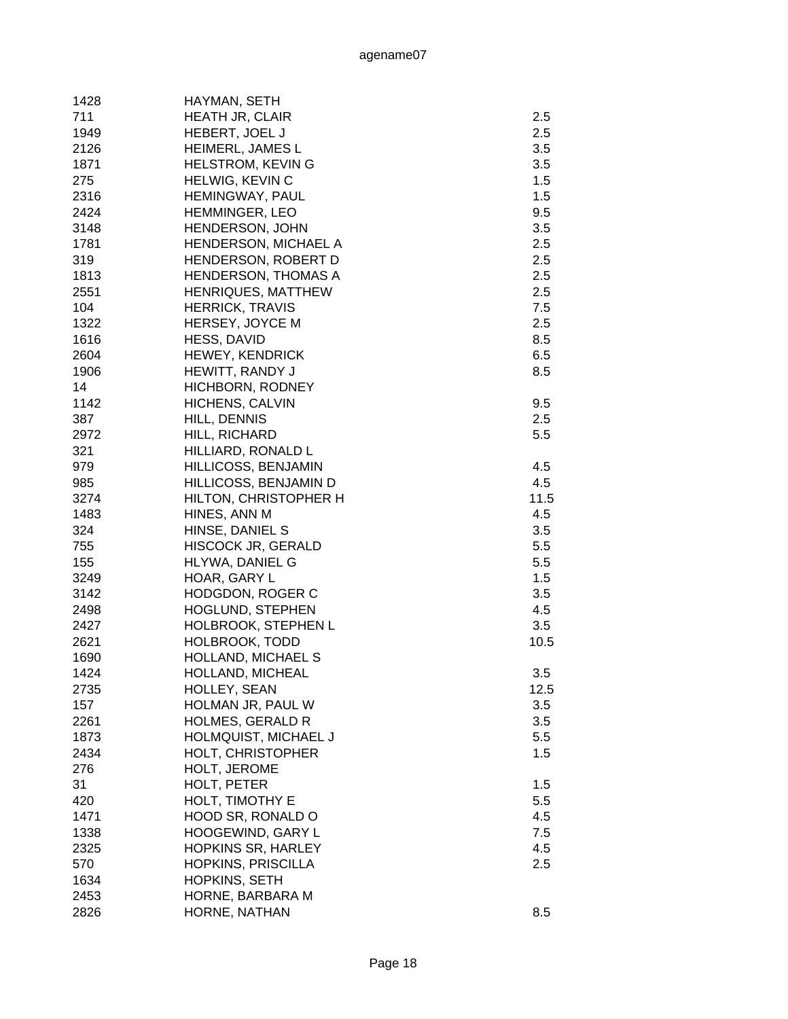| 1428 | HAYMAN, SETH               |      |
|------|----------------------------|------|
| 711  | HEATH JR, CLAIR            | 2.5  |
| 1949 | HEBERT, JOEL J             | 2.5  |
| 2126 | HEIMERL, JAMES L           | 3.5  |
| 1871 | <b>HELSTROM, KEVING</b>    | 3.5  |
| 275  | HELWIG, KEVIN C            | 1.5  |
| 2316 | <b>HEMINGWAY, PAUL</b>     | 1.5  |
| 2424 | <b>HEMMINGER, LEO</b>      | 9.5  |
| 3148 | HENDERSON, JOHN            | 3.5  |
| 1781 | HENDERSON, MICHAEL A       | 2.5  |
| 319  | HENDERSON, ROBERT D        | 2.5  |
| 1813 | <b>HENDERSON, THOMAS A</b> | 2.5  |
| 2551 | <b>HENRIQUES, MATTHEW</b>  | 2.5  |
| 104  | <b>HERRICK, TRAVIS</b>     | 7.5  |
| 1322 | HERSEY, JOYCE M            | 2.5  |
|      |                            |      |
| 1616 | HESS, DAVID                | 8.5  |
| 2604 | <b>HEWEY, KENDRICK</b>     | 6.5  |
| 1906 | HEWITT, RANDY J            | 8.5  |
| 14   | HICHBORN, RODNEY           |      |
| 1142 | HICHENS, CALVIN            | 9.5  |
| 387  | HILL, DENNIS               | 2.5  |
| 2972 | HILL, RICHARD              | 5.5  |
| 321  | HILLIARD, RONALD L         |      |
| 979  | HILLICOSS, BENJAMIN        | 4.5  |
| 985  | HILLICOSS, BENJAMIN D      | 4.5  |
| 3274 | HILTON, CHRISTOPHER H      | 11.5 |
| 1483 | HINES, ANN M               | 4.5  |
| 324  | HINSE, DANIEL S            | 3.5  |
| 755  | <b>HISCOCK JR, GERALD</b>  | 5.5  |
| 155  | HLYWA, DANIEL G            | 5.5  |
| 3249 | HOAR, GARY L               | 1.5  |
| 3142 | <b>HODGDON, ROGER C</b>    | 3.5  |
| 2498 | HOGLUND, STEPHEN           | 4.5  |
| 2427 | HOLBROOK, STEPHEN L        | 3.5  |
| 2621 | <b>HOLBROOK, TODD</b>      | 10.5 |
| 1690 | HOLLAND, MICHAEL S         |      |
| 1424 | HOLLAND, MICHEAL           | 3.5  |
| 2735 | HOLLEY, SEAN               | 12.5 |
| 157  | HOLMAN JR, PAUL W          | 3.5  |
| 2261 | <b>HOLMES, GERALD R</b>    | 3.5  |
| 1873 | HOLMQUIST, MICHAEL J       | 5.5  |
| 2434 | HOLT, CHRISTOPHER          | 1.5  |
|      |                            |      |
| 276  | HOLT, JEROME               |      |
| 31   | HOLT, PETER                | 1.5  |
| 420  | HOLT, TIMOTHY E            | 5.5  |
| 1471 | HOOD SR, RONALD O          | 4.5  |
| 1338 | HOOGEWIND, GARY L          | 7.5  |
| 2325 | <b>HOPKINS SR, HARLEY</b>  | 4.5  |
| 570  | <b>HOPKINS, PRISCILLA</b>  | 2.5  |
| 1634 | HOPKINS, SETH              |      |
| 2453 | HORNE, BARBARA M           |      |
| 2826 | HORNE, NATHAN              | 8.5  |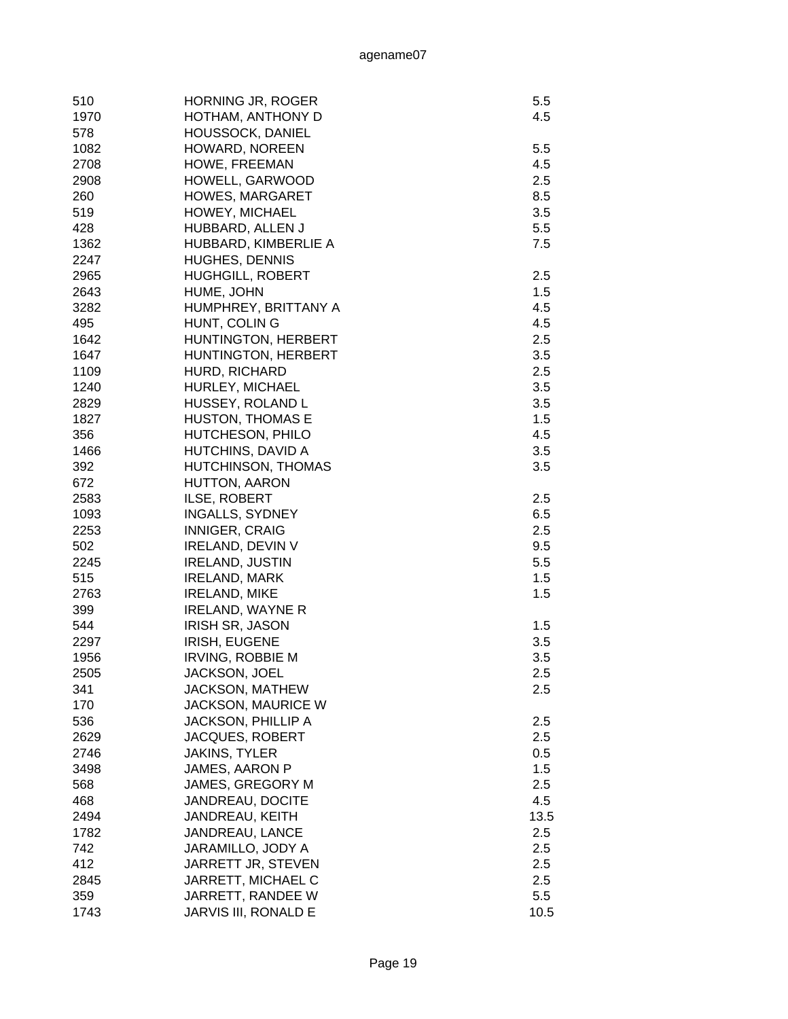| 510  | <b>HORNING JR, ROGER</b>  | 5.5  |
|------|---------------------------|------|
| 1970 | HOTHAM, ANTHONY D         | 4.5  |
| 578  | <b>HOUSSOCK, DANIEL</b>   |      |
| 1082 | HOWARD, NOREEN            | 5.5  |
| 2708 | HOWE, FREEMAN             | 4.5  |
|      | HOWELL, GARWOOD           | 2.5  |
| 2908 |                           |      |
| 260  | <b>HOWES, MARGARET</b>    | 8.5  |
| 519  | HOWEY, MICHAEL            | 3.5  |
| 428  | HUBBARD, ALLEN J          | 5.5  |
| 1362 | HUBBARD, KIMBERLIE A      | 7.5  |
| 2247 | HUGHES, DENNIS            |      |
| 2965 | <b>HUGHGILL, ROBERT</b>   | 2.5  |
| 2643 | HUME, JOHN                | 1.5  |
| 3282 | HUMPHREY, BRITTANY A      | 4.5  |
| 495  | HUNT, COLING              | 4.5  |
| 1642 | HUNTINGTON, HERBERT       | 2.5  |
| 1647 | HUNTINGTON, HERBERT       | 3.5  |
| 1109 | HURD, RICHARD             | 2.5  |
| 1240 | HURLEY, MICHAEL           | 3.5  |
| 2829 | HUSSEY, ROLAND L          | 3.5  |
| 1827 | <b>HUSTON, THOMAS E</b>   | 1.5  |
| 356  | HUTCHESON, PHILO          | 4.5  |
| 1466 | HUTCHINS, DAVID A         | 3.5  |
| 392  | HUTCHINSON, THOMAS        | 3.5  |
| 672  | HUTTON, AARON             |      |
| 2583 | ILSE, ROBERT              | 2.5  |
| 1093 | INGALLS, SYDNEY           | 6.5  |
| 2253 | <b>INNIGER, CRAIG</b>     | 2.5  |
| 502  | <b>IRELAND, DEVIN V</b>   | 9.5  |
| 2245 | <b>IRELAND, JUSTIN</b>    | 5.5  |
| 515  | <b>IRELAND, MARK</b>      | 1.5  |
| 2763 | <b>IRELAND, MIKE</b>      | 1.5  |
| 399  | <b>IRELAND, WAYNE R</b>   |      |
| 544  | <b>IRISH SR, JASON</b>    | 1.5  |
| 2297 | <b>IRISH, EUGENE</b>      | 3.5  |
| 1956 | <b>IRVING, ROBBIE M</b>   | 3.5  |
| 2505 | JACKSON, JOEL             | 2.5  |
| 341  | <b>JACKSON, MATHEW</b>    | 2.5  |
| 170  | <b>JACKSON, MAURICE W</b> |      |
| 536  | <b>JACKSON, PHILLIP A</b> | 2.5  |
| 2629 | JACQUES, ROBERT           | 2.5  |
| 2746 | <b>JAKINS, TYLER</b>      | 0.5  |
| 3498 | JAMES, AARON P            | 1.5  |
|      | JAMES, GREGORY M          |      |
| 568  |                           | 2.5  |
| 468  | JANDREAU, DOCITE          | 4.5  |
| 2494 | JANDREAU, KEITH           | 13.5 |
| 1782 | JANDREAU, LANCE           | 2.5  |
| 742  | JARAMILLO, JODY A         | 2.5  |
| 412  | JARRETT JR, STEVEN        | 2.5  |
| 2845 | JARRETT, MICHAEL C        | 2.5  |
| 359  | JARRETT, RANDEE W         | 5.5  |
| 1743 | JARVIS III, RONALD E      | 10.5 |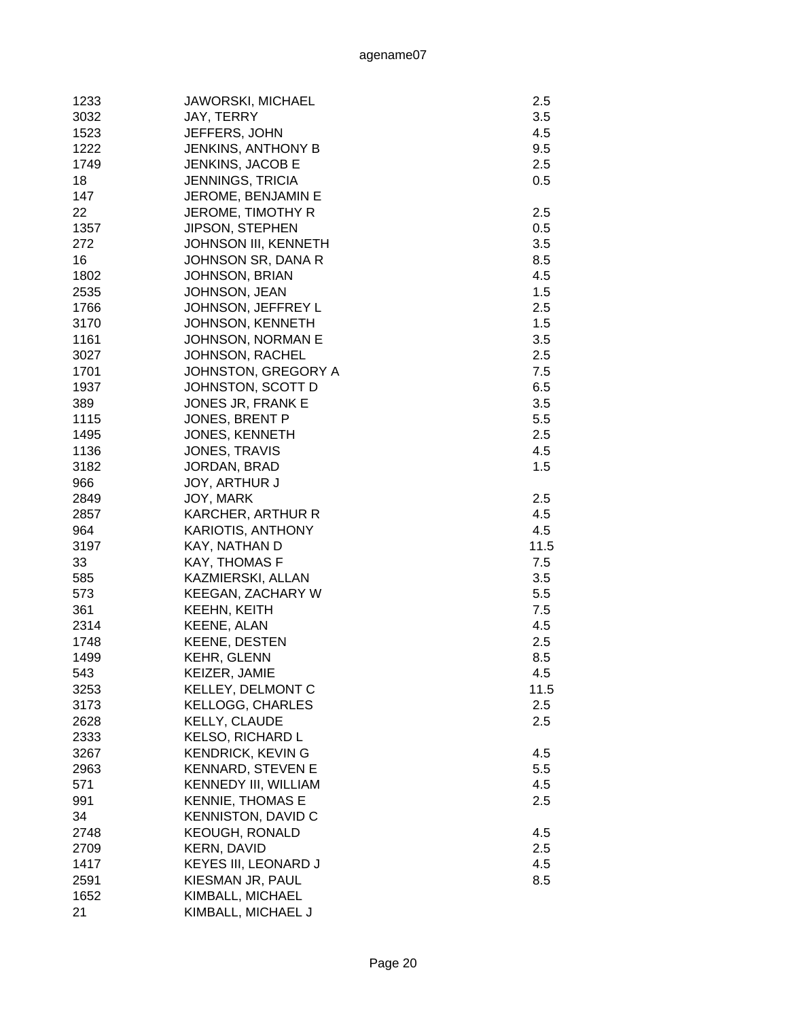| 1233 | <b>JAWORSKI, MICHAEL</b>    | 2.5  |
|------|-----------------------------|------|
| 3032 | JAY, TERRY                  | 3.5  |
| 1523 | JEFFERS, JOHN               | 4.5  |
| 1222 | <b>JENKINS, ANTHONY B</b>   | 9.5  |
| 1749 | JENKINS, JACOB E            | 2.5  |
| 18   | <b>JENNINGS, TRICIA</b>     | 0.5  |
| 147  | JEROME, BENJAMIN E          |      |
| 22   | JEROME, TIMOTHY R           | 2.5  |
| 1357 | JIPSON, STEPHEN             | 0.5  |
| 272  | <b>JOHNSON III, KENNETH</b> | 3.5  |
| 16   | JOHNSON SR, DANA R          | 8.5  |
| 1802 |                             | 4.5  |
|      | <b>JOHNSON, BRIAN</b>       | 1.5  |
| 2535 | JOHNSON, JEAN               |      |
| 1766 | JOHNSON, JEFFREY L          | 2.5  |
| 3170 | <b>JOHNSON, KENNETH</b>     | 1.5  |
| 1161 | <b>JOHNSON, NORMAN E</b>    | 3.5  |
| 3027 | <b>JOHNSON, RACHEL</b>      | 2.5  |
| 1701 | JOHNSTON, GREGORY A         | 7.5  |
| 1937 | JOHNSTON, SCOTT D           | 6.5  |
| 389  | JONES JR, FRANK E           | 3.5  |
| 1115 | JONES, BRENT P              | 5.5  |
| 1495 | JONES, KENNETH              | 2.5  |
| 1136 | <b>JONES, TRAVIS</b>        | 4.5  |
| 3182 | JORDAN, BRAD                | 1.5  |
| 966  | <b>JOY, ARTHUR J</b>        |      |
| 2849 | JOY, MARK                   | 2.5  |
| 2857 | KARCHER, ARTHUR R           | 4.5  |
| 964  | <b>KARIOTIS, ANTHONY</b>    | 4.5  |
| 3197 | KAY, NATHAN D               | 11.5 |
| 33   | KAY, THOMAS F               | 7.5  |
| 585  | KAZMIERSKI, ALLAN           | 3.5  |
| 573  | <b>KEEGAN, ZACHARY W</b>    | 5.5  |
| 361  | KEEHN, KEITH                | 7.5  |
| 2314 | KEENE, ALAN                 | 4.5  |
| 1748 | <b>KEENE, DESTEN</b>        | 2.5  |
| 1499 | <b>KEHR, GLENN</b>          | 8.5  |
| 543  | KEIZER, JAMIE               | 4.5  |
| 3253 | KELLEY, DELMONT C           | 11.5 |
| 3173 | <b>KELLOGG, CHARLES</b>     | 2.5  |
| 2628 | KELLY, CLAUDE               | 2.5  |
| 2333 | KELSO, RICHARD L            |      |
| 3267 | <b>KENDRICK, KEVING</b>     | 4.5  |
| 2963 | <b>KENNARD, STEVEN E</b>    | 5.5  |
| 571  | <b>KENNEDY III, WILLIAM</b> | 4.5  |
| 991  | <b>KENNIE, THOMAS E</b>     | 2.5  |
| 34   | <b>KENNISTON, DAVID C</b>   |      |
| 2748 | <b>KEOUGH, RONALD</b>       | 4.5  |
| 2709 | <b>KERN, DAVID</b>          | 2.5  |
| 1417 | <b>KEYES III, LEONARD J</b> | 4.5  |
| 2591 |                             |      |
|      | KIESMAN JR, PAUL            | 8.5  |
| 1652 | KIMBALL, MICHAEL            |      |
| 21   | KIMBALL, MICHAEL J          |      |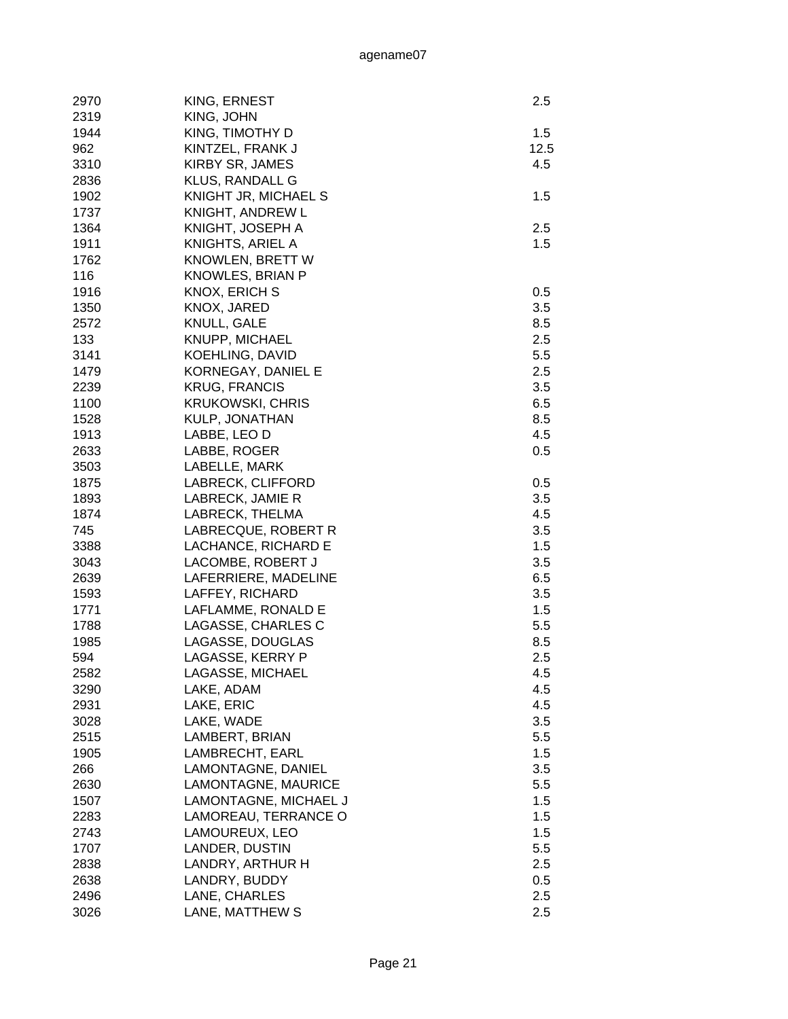| 2970 | KING, ERNEST           | 2.5  |
|------|------------------------|------|
| 2319 | KING, JOHN             |      |
| 1944 | KING, TIMOTHY D        | 1.5  |
| 962  | KINTZEL, FRANK J       | 12.5 |
| 3310 | <b>KIRBY SR, JAMES</b> | 4.5  |
| 2836 | <b>KLUS, RANDALL G</b> |      |
| 1902 | KNIGHT JR, MICHAEL S   | 1.5  |
| 1737 | KNIGHT, ANDREW L       |      |
| 1364 | KNIGHT, JOSEPH A       | 2.5  |
| 1911 | KNIGHTS, ARIEL A       | 1.5  |
| 1762 | KNOWLEN, BRETT W       |      |
| 116  | KNOWLES, BRIAN P       |      |
|      | <b>KNOX, ERICH S</b>   |      |
| 1916 |                        | 0.5  |
| 1350 | KNOX, JARED            | 3.5  |
| 2572 | <b>KNULL, GALE</b>     | 8.5  |
| 133  | KNUPP, MICHAEL         | 2.5  |
| 3141 | <b>KOEHLING, DAVID</b> | 5.5  |
| 1479 | KORNEGAY, DANIEL E     | 2.5  |
| 2239 | <b>KRUG, FRANCIS</b>   | 3.5  |
| 1100 | KRUKOWSKI, CHRIS       | 6.5  |
| 1528 | KULP, JONATHAN         | 8.5  |
| 1913 | LABBE, LEO D           | 4.5  |
| 2633 | LABBE, ROGER           | 0.5  |
| 3503 | LABELLE, MARK          |      |
| 1875 | LABRECK, CLIFFORD      | 0.5  |
| 1893 | LABRECK, JAMIE R       | 3.5  |
| 1874 | LABRECK, THELMA        | 4.5  |
| 745  | LABRECQUE, ROBERT R    | 3.5  |
| 3388 | LACHANCE, RICHARD E    | 1.5  |
| 3043 | LACOMBE, ROBERT J      | 3.5  |
| 2639 | LAFERRIERE, MADELINE   | 6.5  |
| 1593 | LAFFEY, RICHARD        | 3.5  |
| 1771 | LAFLAMME, RONALD E     | 1.5  |
| 1788 | LAGASSE, CHARLES C     | 5.5  |
| 1985 | LAGASSE, DOUGLAS       | 8.5  |
| 594  | LAGASSE, KERRY P       | 2.5  |
| 2582 | LAGASSE, MICHAEL       | 4.5  |
| 3290 | LAKE, ADAM             | 4.5  |
| 2931 | LAKE, ERIC             | 4.5  |
| 3028 | LAKE, WADE             | 3.5  |
| 2515 | LAMBERT, BRIAN         | 5.5  |
| 1905 | LAMBRECHT, EARL        | 1.5  |
| 266  | LAMONTAGNE, DANIEL     | 3.5  |
| 2630 | LAMONTAGNE, MAURICE    | 5.5  |
| 1507 | LAMONTAGNE, MICHAEL J  | 1.5  |
| 2283 | LAMOREAU, TERRANCE O   | 1.5  |
| 2743 | LAMOUREUX, LEO         | 1.5  |
| 1707 | LANDER, DUSTIN         | 5.5  |
| 2838 | LANDRY, ARTHUR H       | 2.5  |
| 2638 | LANDRY, BUDDY          | 0.5  |
| 2496 | LANE, CHARLES          | 2.5  |
| 3026 | LANE, MATTHEW S        | 2.5  |
|      |                        |      |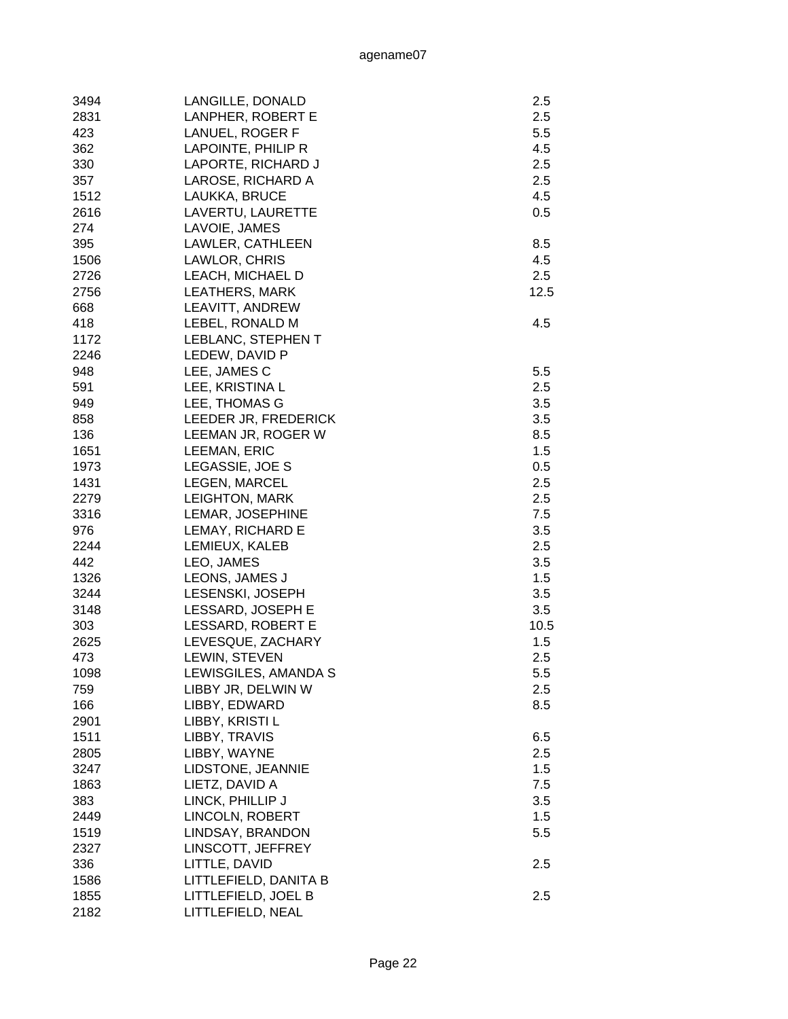| 3494 | LANGILLE, DONALD      | 2.5  |
|------|-----------------------|------|
| 2831 | LANPHER, ROBERT E     | 2.5  |
| 423  | LANUEL, ROGER F       | 5.5  |
| 362  | LAPOINTE, PHILIP R    | 4.5  |
| 330  | LAPORTE, RICHARD J    | 2.5  |
| 357  | LAROSE, RICHARD A     | 2.5  |
| 1512 | LAUKKA, BRUCE         | 4.5  |
| 2616 | LAVERTU, LAURETTE     | 0.5  |
| 274  | LAVOIE, JAMES         |      |
| 395  | LAWLER, CATHLEEN      | 8.5  |
| 1506 | LAWLOR, CHRIS         | 4.5  |
| 2726 | LEACH, MICHAEL D      | 2.5  |
| 2756 | <b>LEATHERS, MARK</b> | 12.5 |
| 668  | LEAVITT, ANDREW       |      |
| 418  | LEBEL, RONALD M       | 4.5  |
| 1172 | LEBLANC, STEPHEN T    |      |
| 2246 | LEDEW, DAVID P        |      |
| 948  | LEE, JAMES C          | 5.5  |
| 591  | LEE, KRISTINA L       | 2.5  |
|      |                       |      |
| 949  | LEE, THOMAS G         | 3.5  |
| 858  | LEEDER JR, FREDERICK  | 3.5  |
| 136  | LEEMAN JR, ROGER W    | 8.5  |
| 1651 | LEEMAN, ERIC          | 1.5  |
| 1973 | LEGASSIE, JOE S       | 0.5  |
| 1431 | LEGEN, MARCEL         | 2.5  |
| 2279 | <b>LEIGHTON, MARK</b> | 2.5  |
| 3316 | LEMAR, JOSEPHINE      | 7.5  |
| 976  | LEMAY, RICHARD E      | 3.5  |
| 2244 | LEMIEUX, KALEB        | 2.5  |
| 442  | LEO, JAMES            | 3.5  |
| 1326 | LEONS, JAMES J        | 1.5  |
| 3244 | LESENSKI, JOSEPH      | 3.5  |
| 3148 | LESSARD, JOSEPH E     | 3.5  |
| 303  | LESSARD, ROBERT E     | 10.5 |
| 2625 | LEVESQUE, ZACHARY     | 1.5  |
| 473  | LEWIN, STEVEN         | 2.5  |
| 1098 | LEWISGILES, AMANDA S  | 5.5  |
| 759  | LIBBY JR, DELWIN W    | 2.5  |
| 166  | LIBBY, EDWARD         | 8.5  |
| 2901 | LIBBY, KRISTI L       |      |
| 1511 | LIBBY, TRAVIS         | 6.5  |
| 2805 | LIBBY, WAYNE          | 2.5  |
| 3247 | LIDSTONE, JEANNIE     | 1.5  |
| 1863 | LIETZ, DAVID A        | 7.5  |
| 383  | LINCK, PHILLIP J      | 3.5  |
| 2449 | LINCOLN, ROBERT       | 1.5  |
| 1519 | LINDSAY, BRANDON      | 5.5  |
| 2327 | LINSCOTT, JEFFREY     |      |
| 336  | LITTLE, DAVID         | 2.5  |
| 1586 | LITTLEFIELD, DANITA B |      |
| 1855 | LITTLEFIELD, JOEL B   | 2.5  |
| 2182 | LITTLEFIELD, NEAL     |      |
|      |                       |      |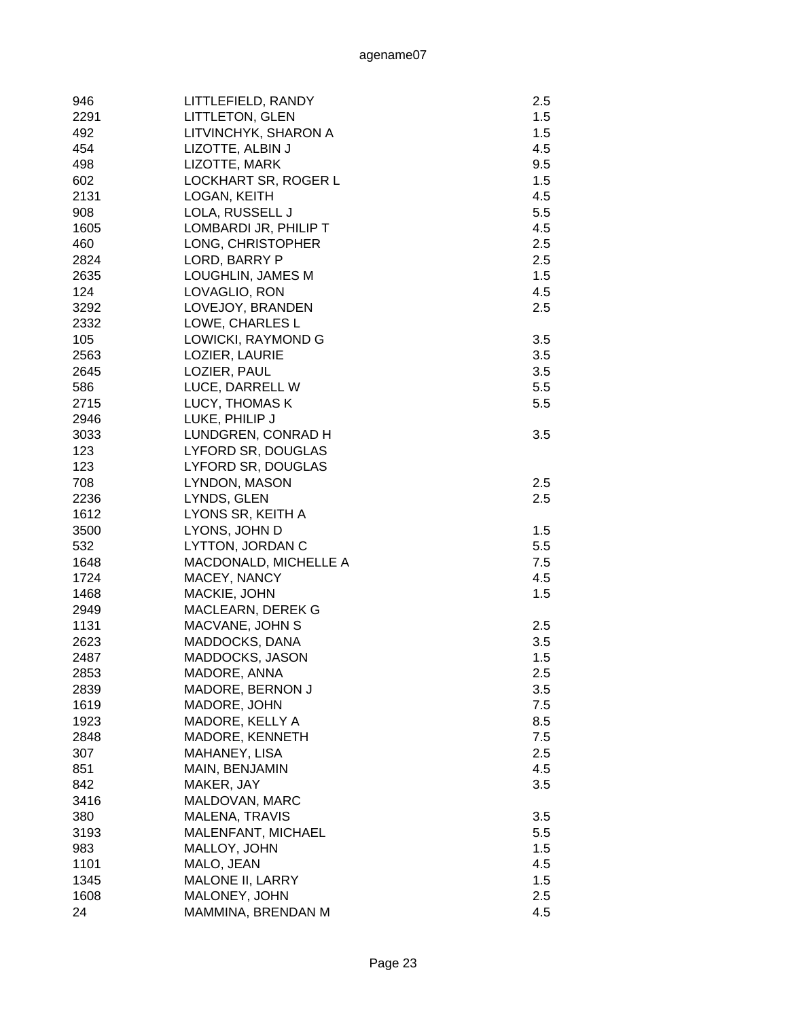| 946  | LITTLEFIELD, RANDY      | 2.5 |
|------|-------------------------|-----|
| 2291 | <b>LITTLETON, GLEN</b>  | 1.5 |
| 492  | LITVINCHYK, SHARON A    | 1.5 |
| 454  | LIZOTTE, ALBIN J        | 4.5 |
| 498  | LIZOTTE, MARK           | 9.5 |
| 602  | LOCKHART SR, ROGER L    | 1.5 |
| 2131 | LOGAN, KEITH            | 4.5 |
| 908  | LOLA, RUSSELL J         | 5.5 |
| 1605 | LOMBARDI JR, PHILIP T   | 4.5 |
| 460  | LONG, CHRISTOPHER       | 2.5 |
| 2824 | LORD, BARRY P           | 2.5 |
| 2635 | LOUGHLIN, JAMES M       | 1.5 |
| 124  | LOVAGLIO, RON           | 4.5 |
| 3292 | LOVEJOY, BRANDEN        | 2.5 |
| 2332 | LOWE, CHARLES L         |     |
| 105  | LOWICKI, RAYMOND G      | 3.5 |
| 2563 | LOZIER, LAURIE          | 3.5 |
| 2645 | LOZIER, PAUL            | 3.5 |
| 586  | LUCE, DARRELL W         | 5.5 |
| 2715 | LUCY, THOMAS K          | 5.5 |
| 2946 | LUKE, PHILIP J          |     |
| 3033 | LUNDGREN, CONRAD H      | 3.5 |
| 123  | LYFORD SR, DOUGLAS      |     |
| 123  | LYFORD SR, DOUGLAS      |     |
| 708  | LYNDON, MASON           | 2.5 |
| 2236 | LYNDS, GLEN             | 2.5 |
|      |                         |     |
| 1612 | LYONS SR, KEITH A       |     |
| 3500 | LYONS, JOHN D           | 1.5 |
| 532  | LYTTON, JORDAN C        | 5.5 |
| 1648 | MACDONALD, MICHELLE A   | 7.5 |
| 1724 | MACEY, NANCY            | 4.5 |
| 1468 | MACKIE, JOHN            | 1.5 |
| 2949 | MACLEARN, DEREK G       |     |
| 1131 | MACVANE, JOHN S         | 2.5 |
| 2623 | MADDOCKS, DANA          | 3.5 |
| 2487 | MADDOCKS, JASON         | 1.5 |
| 2853 | MADORE, ANNA            | 2.5 |
| 2839 | MADORE, BERNON J        | 3.5 |
| 1619 | MADORE, JOHN            | 7.5 |
| 1923 | MADORE, KELLY A         | 8.5 |
| 2848 | MADORE, KENNETH         | 7.5 |
| 307  | MAHANEY, LISA           | 2.5 |
| 851  | MAIN, BENJAMIN          | 4.5 |
| 842  | MAKER, JAY              | 3.5 |
| 3416 | MALDOVAN, MARC          |     |
| 380  | <b>MALENA, TRAVIS</b>   | 3.5 |
| 3193 | MALENFANT, MICHAEL      | 5.5 |
| 983  | MALLOY, JOHN            | 1.5 |
| 1101 | MALO, JEAN              | 4.5 |
| 1345 | <b>MALONE II, LARRY</b> | 1.5 |
| 1608 | MALONEY, JOHN           | 2.5 |
| 24   | MAMMINA, BRENDAN M      | 4.5 |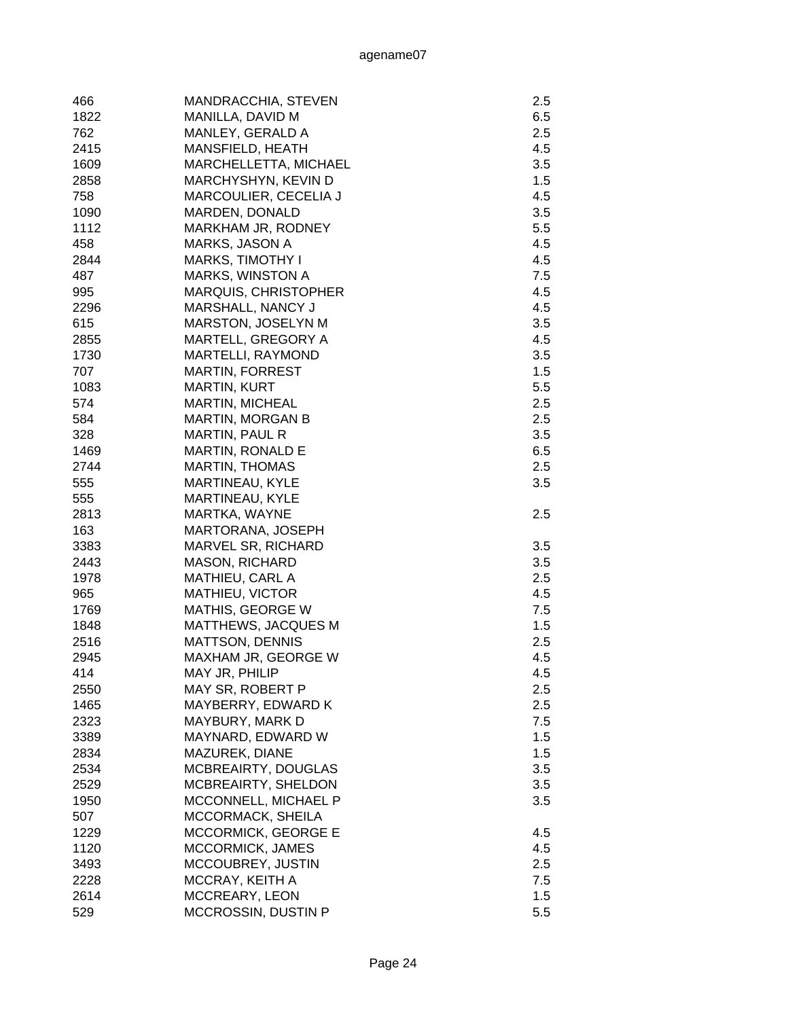| 466         | MANDRACCHIA, STEVEN         | 2.5 |
|-------------|-----------------------------|-----|
| 1822        | MANILLA, DAVID M            | 6.5 |
| 762         | MANLEY, GERALD A            | 2.5 |
| 2415        | MANSFIELD, HEATH            | 4.5 |
| 1609        | MARCHELLETTA, MICHAEL       | 3.5 |
| 2858        | MARCHYSHYN, KEVIN D         | 1.5 |
| 758         | MARCOULIER, CECELIA J       | 4.5 |
| 1090        | MARDEN, DONALD              | 3.5 |
| 1112        | MARKHAM JR, RODNEY          | 5.5 |
| 458         | MARKS, JASON A              | 4.5 |
| 2844        | <b>MARKS, TIMOTHY I</b>     | 4.5 |
| 487         | <b>MARKS, WINSTON A</b>     | 7.5 |
| 995         | <b>MARQUIS, CHRISTOPHER</b> | 4.5 |
| 2296        | MARSHALL, NANCY J           | 4.5 |
| 615         | MARSTON, JOSELYN M          | 3.5 |
| 2855        | MARTELL, GREGORY A          | 4.5 |
| 1730        | MARTELLI, RAYMOND           | 3.5 |
| 707         | <b>MARTIN, FORREST</b>      | 1.5 |
| 1083        | <b>MARTIN, KURT</b>         | 5.5 |
| 574         | <b>MARTIN, MICHEAL</b>      | 2.5 |
| 584         | <b>MARTIN, MORGAN B</b>     | 2.5 |
| 328         | <b>MARTIN, PAUL R</b>       | 3.5 |
| 1469        | <b>MARTIN, RONALD E</b>     | 6.5 |
| 2744        | <b>MARTIN, THOMAS</b>       | 2.5 |
| 555         |                             | 3.5 |
|             | MARTINEAU, KYLE             |     |
| 555         | MARTINEAU, KYLE             |     |
| 2813        | MARTKA, WAYNE               | 2.5 |
| 163         | MARTORANA, JOSEPH           |     |
| 3383        | MARVEL SR, RICHARD          | 3.5 |
| 2443        | <b>MASON, RICHARD</b>       | 3.5 |
| 1978<br>965 | MATHIEU, CARL A             | 2.5 |
|             | MATHIEU, VICTOR             | 4.5 |
| 1769        | <b>MATHIS, GEORGE W</b>     | 7.5 |
| 1848        | <b>MATTHEWS, JACQUES M</b>  | 1.5 |
| 2516        | <b>MATTSON, DENNIS</b>      | 2.5 |
| 2945        | MAXHAM JR, GEORGE W         | 4.5 |
| 414         | MAY JR, PHILIP              | 4.5 |
| 2550        | MAY SR, ROBERT P            | 2.5 |
| 1465        | MAYBERRY, EDWARD K          | 2.5 |
| 2323        | MAYBURY, MARK D             | 7.5 |
| 3389        | MAYNARD, EDWARD W           | 1.5 |
| 2834        | MAZUREK, DIANE              | 1.5 |
| 2534        | MCBREAIRTY, DOUGLAS         | 3.5 |
| 2529        | MCBREAIRTY, SHELDON         | 3.5 |
| 1950        | MCCONNELL, MICHAEL P        | 3.5 |
| 507         | MCCORMACK, SHEILA           |     |
| 1229        | <b>MCCORMICK, GEORGE E</b>  | 4.5 |
| 1120        | <b>MCCORMICK, JAMES</b>     | 4.5 |
| 3493        | MCCOUBREY, JUSTIN           | 2.5 |
| 2228        | MCCRAY, KEITH A             | 7.5 |
| 2614        | MCCREARY, LEON              | 1.5 |
| 529         | MCCROSSIN, DUSTIN P         | 5.5 |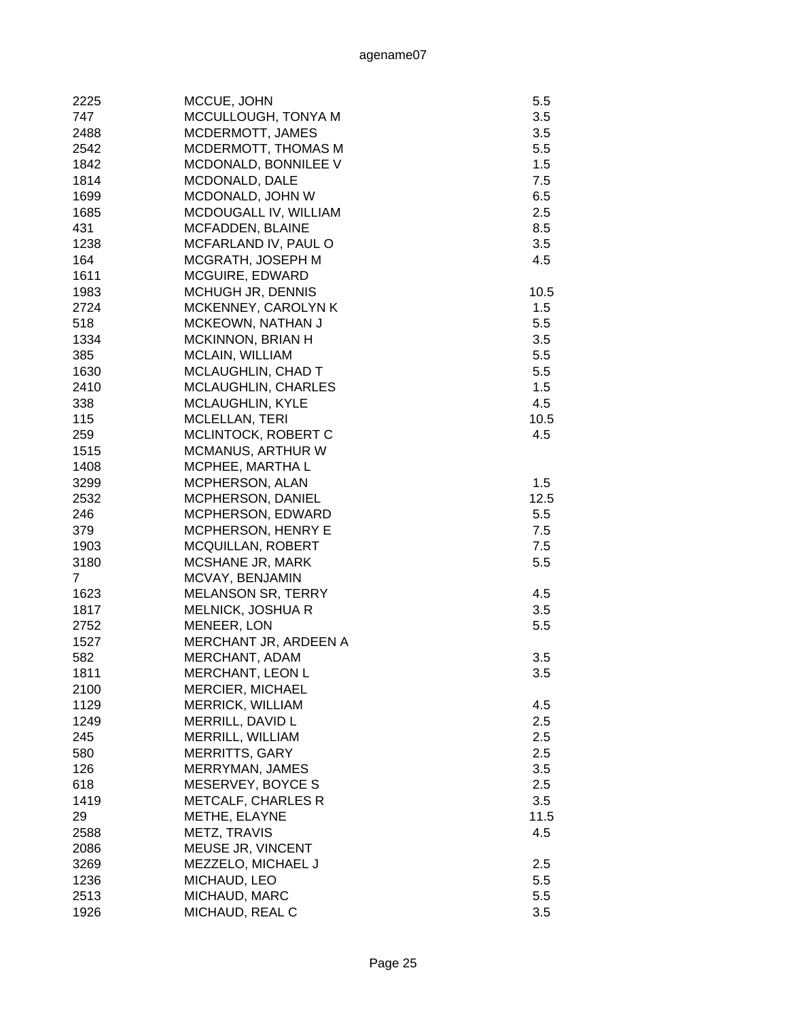| 2225           | MCCUE, JOHN                | 5.5  |
|----------------|----------------------------|------|
| 747            | MCCULLOUGH, TONYA M        | 3.5  |
| 2488           | MCDERMOTT, JAMES           | 3.5  |
| 2542           | MCDERMOTT, THOMAS M        | 5.5  |
| 1842           | MCDONALD, BONNILEE V       | 1.5  |
| 1814           | MCDONALD, DALE             | 7.5  |
| 1699           | MCDONALD, JOHN W           | 6.5  |
| 1685           | MCDOUGALL IV, WILLIAM      | 2.5  |
| 431            | MCFADDEN, BLAINE           | 8.5  |
| 1238           | MCFARLAND IV, PAUL O       | 3.5  |
| 164            | MCGRATH, JOSEPH M          | 4.5  |
| 1611           | MCGUIRE, EDWARD            |      |
| 1983           | MCHUGH JR, DENNIS          | 10.5 |
| 2724           | MCKENNEY, CAROLYN K        | 1.5  |
| 518            | MCKEOWN, NATHAN J          | 5.5  |
| 1334           | MCKINNON, BRIAN H          | 3.5  |
| 385            | MCLAIN, WILLIAM            | 5.5  |
| 1630           | <b>MCLAUGHLIN, CHAD T</b>  | 5.5  |
| 2410           | <b>MCLAUGHLIN, CHARLES</b> | 1.5  |
| 338            | <b>MCLAUGHLIN, KYLE</b>    | 4.5  |
| 115            | <b>MCLELLAN, TERI</b>      | 10.5 |
| 259            | MCLINTOCK, ROBERT C        | 4.5  |
| 1515           | MCMANUS, ARTHUR W          |      |
| 1408           | MCPHEE, MARTHA L           |      |
| 3299           | MCPHERSON, ALAN            | 1.5  |
| 2532           | MCPHERSON, DANIEL          | 12.5 |
| 246            | MCPHERSON, EDWARD          | 5.5  |
| 379            | MCPHERSON, HENRY E         | 7.5  |
| 1903           | <b>MCQUILLAN, ROBERT</b>   | 7.5  |
| 3180           | MCSHANE JR, MARK           | 5.5  |
| $\overline{7}$ | MCVAY, BENJAMIN            |      |
| 1623           | <b>MELANSON SR, TERRY</b>  | 4.5  |
| 1817           | <b>MELNICK, JOSHUA R</b>   | 3.5  |
| 2752           | MENEER, LON                | 5.5  |
| 1527           | MERCHANT JR, ARDEEN A      |      |
| 582            | MERCHANT, ADAM             | 3.5  |
| 1811           | MERCHANT, LEON L           | 3.5  |
| 2100           | <b>MERCIER, MICHAEL</b>    |      |
| 1129           | <b>MERRICK, WILLIAM</b>    | 4.5  |
| 1249           | MERRILL, DAVID L           | 2.5  |
| 245            | MERRILL, WILLIAM           | 2.5  |
| 580            | <b>MERRITTS, GARY</b>      | 2.5  |
| 126            | MERRYMAN, JAMES            | 3.5  |
| 618            | MESERVEY, BOYCE S          | 2.5  |
| 1419           | <b>METCALF, CHARLES R</b>  | 3.5  |
| 29             | METHE, ELAYNE              | 11.5 |
| 2588           | METZ, TRAVIS               | 4.5  |
| 2086           | MEUSE JR, VINCENT          |      |
| 3269           | MEZZELO, MICHAEL J         | 2.5  |
| 1236           | MICHAUD, LEO               | 5.5  |
| 2513           | MICHAUD, MARC              | 5.5  |
| 1926           |                            | 3.5  |
|                | MICHAUD, REAL C            |      |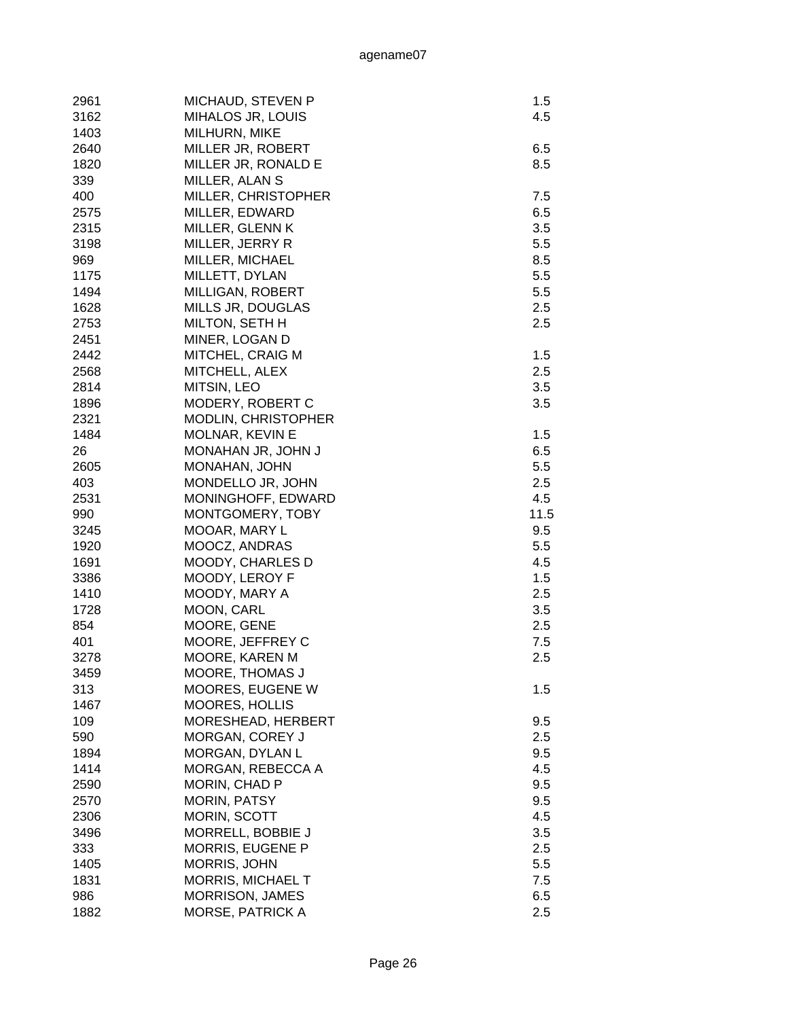| 2961 | MICHAUD, STEVEN P        | 1.5        |
|------|--------------------------|------------|
| 3162 | MIHALOS JR, LOUIS        | 4.5        |
| 1403 | MILHURN, MIKE            |            |
| 2640 | MILLER JR, ROBERT        | 6.5        |
| 1820 | MILLER JR, RONALD E      | 8.5        |
| 339  | MILLER, ALAN S           |            |
| 400  | MILLER, CHRISTOPHER      | 7.5        |
| 2575 | MILLER, EDWARD           | 6.5        |
| 2315 | MILLER, GLENN K          | 3.5        |
| 3198 | MILLER, JERRY R          | 5.5        |
| 969  | MILLER, MICHAEL          | 8.5        |
| 1175 | MILLETT, DYLAN           | 5.5        |
| 1494 | MILLIGAN, ROBERT         | 5.5        |
| 1628 | MILLS JR, DOUGLAS        | 2.5        |
| 2753 | MILTON, SETH H           | 2.5        |
| 2451 | MINER, LOGAN D           |            |
| 2442 | MITCHEL, CRAIG M         | 1.5        |
| 2568 | MITCHELL, ALEX           | 2.5        |
| 2814 | MITSIN, LEO              | 3.5        |
| 1896 | MODERY, ROBERT C         | 3.5        |
| 2321 | MODLIN, CHRISTOPHER      |            |
| 1484 | MOLNAR, KEVIN E          | 1.5        |
| 26   | MONAHAN JR, JOHN J       | 6.5        |
| 2605 | MONAHAN, JOHN            | 5.5        |
| 403  | MONDELLO JR, JOHN        | 2.5        |
| 2531 | MONINGHOFF, EDWARD       | 4.5        |
| 990  | MONTGOMERY, TOBY         | 11.5       |
| 3245 | MOOAR, MARY L            | 9.5        |
| 1920 | MOOCZ, ANDRAS            | 5.5        |
| 1691 | MOODY, CHARLES D         | 4.5        |
| 3386 | MOODY, LEROY F           | 1.5        |
| 1410 | MOODY, MARY A            | 2.5        |
| 1728 | MOON, CARL               | 3.5        |
| 854  | MOORE, GENE              | 2.5        |
| 401  | MOORE, JEFFREY C         | 7.5        |
| 3278 | MOORE, KAREN M           | 2.5        |
| 3459 | MOORE, THOMAS J          |            |
| 313  | MOORES, EUGENE W         | 1.5        |
| 1467 | MOORES, HOLLIS           |            |
| 109  | MORESHEAD, HERBERT       | 9.5        |
| 590  | MORGAN, COREY J          | 2.5        |
| 1894 | MORGAN, DYLAN L          | 9.5        |
| 1414 | MORGAN, REBECCA A        | 4.5        |
| 2590 | MORIN, CHAD P            | 9.5        |
| 2570 | MORIN, PATSY             | 9.5        |
| 2306 | MORIN, SCOTT             | 4.5        |
| 3496 |                          | 3.5        |
|      | MORRELL, BOBBIE J        |            |
| 333  | <b>MORRIS, EUGENE P</b>  | 2.5<br>5.5 |
| 1405 | <b>MORRIS, JOHN</b>      |            |
| 1831 | <b>MORRIS, MICHAEL T</b> | 7.5        |
| 986  | <b>MORRISON, JAMES</b>   | 6.5        |
| 1882 | MORSE, PATRICK A         | 2.5        |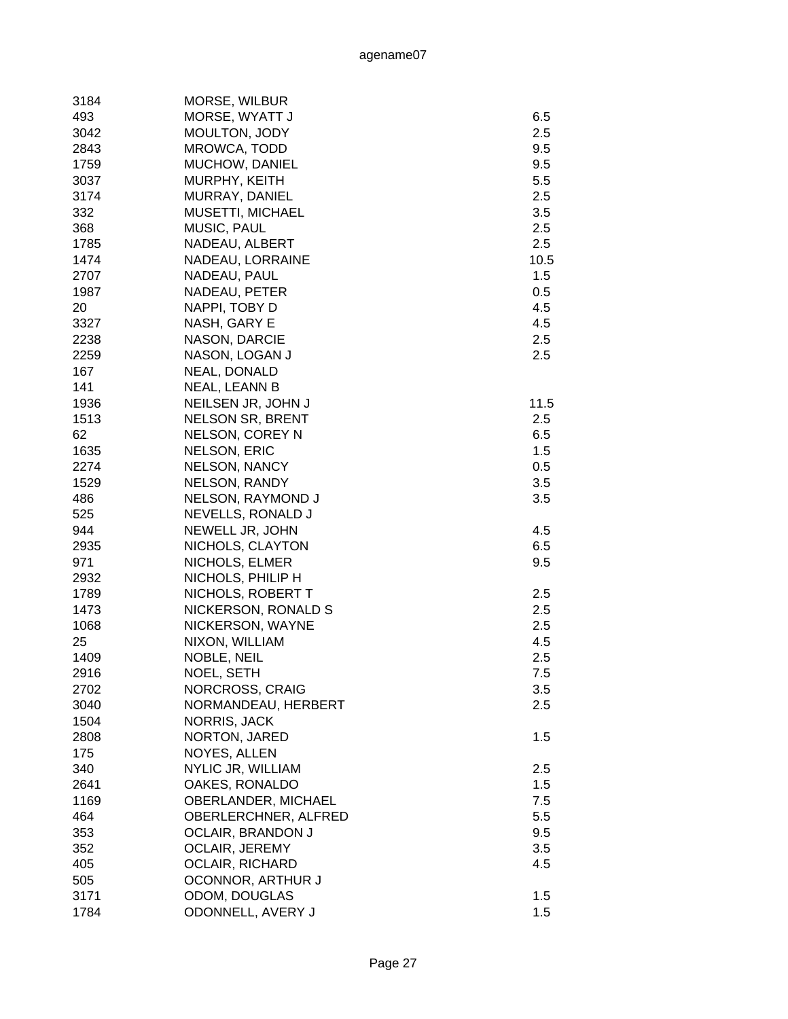| 3184 | MORSE, WILBUR            |      |
|------|--------------------------|------|
| 493  | MORSE, WYATT J           | 6.5  |
| 3042 | MOULTON, JODY            | 2.5  |
| 2843 | MROWCA, TODD             | 9.5  |
| 1759 | MUCHOW, DANIEL           | 9.5  |
| 3037 | MURPHY, KEITH            | 5.5  |
| 3174 | MURRAY, DANIEL           | 2.5  |
| 332  | <b>MUSETTI, MICHAEL</b>  | 3.5  |
| 368  | MUSIC, PAUL              | 2.5  |
| 1785 | NADEAU, ALBERT           | 2.5  |
| 1474 | NADEAU, LORRAINE         | 10.5 |
| 2707 | NADEAU, PAUL             | 1.5  |
| 1987 | NADEAU, PETER            | 0.5  |
| 20   | NAPPI, TOBY D            | 4.5  |
| 3327 | NASH, GARY E             | 4.5  |
| 2238 | NASON, DARCIE            | 2.5  |
| 2259 | NASON, LOGAN J           | 2.5  |
| 167  | NEAL, DONALD             |      |
| 141  | NEAL, LEANN B            |      |
| 1936 | NEILSEN JR, JOHN J       | 11.5 |
| 1513 | <b>NELSON SR, BRENT</b>  | 2.5  |
| 62   | NELSON, COREY N          | 6.5  |
| 1635 | <b>NELSON, ERIC</b>      | 1.5  |
| 2274 | <b>NELSON, NANCY</b>     | 0.5  |
| 1529 | <b>NELSON, RANDY</b>     | 3.5  |
| 486  | NELSON, RAYMOND J        | 3.5  |
| 525  | NEVELLS, RONALD J        |      |
| 944  | NEWELL JR, JOHN          | 4.5  |
| 2935 | NICHOLS, CLAYTON         | 6.5  |
| 971  | NICHOLS, ELMER           | 9.5  |
| 2932 | NICHOLS, PHILIP H        |      |
| 1789 | NICHOLS, ROBERT T        | 2.5  |
| 1473 | NICKERSON, RONALD S      | 2.5  |
| 1068 | NICKERSON, WAYNE         | 2.5  |
| 25   |                          | 4.5  |
| 1409 | NIXON, WILLIAM           | 2.5  |
|      | NOBLE, NEIL              |      |
| 2916 | NOEL, SETH               | 7.5  |
| 2702 | NORCROSS, CRAIG          | 3.5  |
| 3040 | NORMANDEAU, HERBERT      | 2.5  |
| 1504 | NORRIS, JACK             |      |
| 2808 | NORTON, JARED            | 1.5  |
| 175  | NOYES, ALLEN             |      |
| 340  | NYLIC JR, WILLIAM        | 2.5  |
| 2641 | OAKES, RONALDO           | 1.5  |
| 1169 | OBERLANDER, MICHAEL      | 7.5  |
| 464  | OBERLERCHNER, ALFRED     | 5.5  |
| 353  | <b>OCLAIR, BRANDON J</b> | 9.5  |
| 352  | <b>OCLAIR, JEREMY</b>    | 3.5  |
| 405  | <b>OCLAIR, RICHARD</b>   | 4.5  |
| 505  | OCONNOR, ARTHUR J        |      |
| 3171 | ODOM, DOUGLAS            | 1.5  |
| 1784 | ODONNELL, AVERY J        | 1.5  |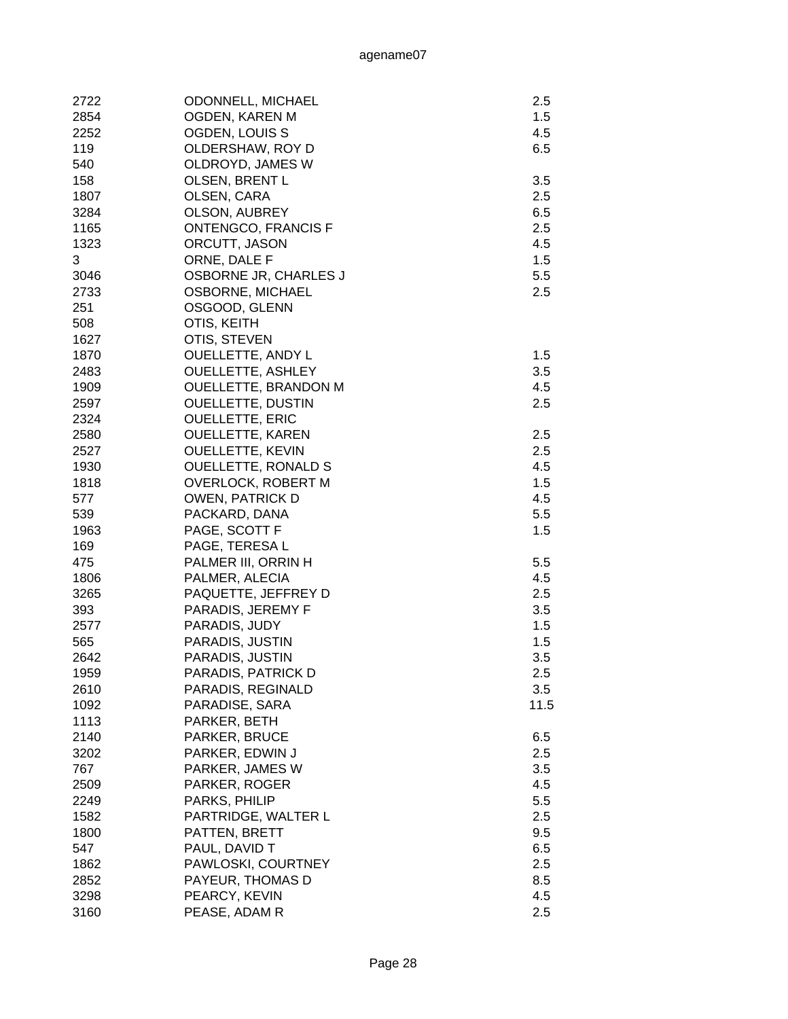| 2722 | <b>ODONNELL, MICHAEL</b>    | 2.5  |
|------|-----------------------------|------|
| 2854 | OGDEN, KAREN M              | 1.5  |
| 2252 | OGDEN, LOUIS S              | 4.5  |
| 119  | OLDERSHAW, ROY D            | 6.5  |
| 540  |                             |      |
|      | OLDROYD, JAMES W            |      |
| 158  | <b>OLSEN, BRENT L</b>       | 3.5  |
| 1807 | OLSEN, CARA                 | 2.5  |
| 3284 | OLSON, AUBREY               | 6.5  |
| 1165 | <b>ONTENGCO, FRANCIS F</b>  | 2.5  |
| 1323 | ORCUTT, JASON               | 4.5  |
| 3    | ORNE, DALE F                | 1.5  |
| 3046 | OSBORNE JR, CHARLES J       | 5.5  |
| 2733 | OSBORNE, MICHAEL            | 2.5  |
| 251  | OSGOOD, GLENN               |      |
| 508  | OTIS, KEITH                 |      |
| 1627 | OTIS, STEVEN                |      |
| 1870 | <b>OUELLETTE, ANDY L</b>    | 1.5  |
| 2483 | <b>OUELLETTE, ASHLEY</b>    | 3.5  |
| 1909 | <b>OUELLETTE, BRANDON M</b> | 4.5  |
| 2597 | <b>OUELLETTE, DUSTIN</b>    | 2.5  |
| 2324 | <b>OUELLETTE, ERIC</b>      |      |
| 2580 | <b>OUELLETTE, KAREN</b>     | 2.5  |
| 2527 | <b>OUELLETTE, KEVIN</b>     | 2.5  |
| 1930 | <b>OUELLETTE, RONALD S</b>  | 4.5  |
| 1818 | <b>OVERLOCK, ROBERT M</b>   | 1.5  |
| 577  | <b>OWEN, PATRICK D</b>      | 4.5  |
| 539  | PACKARD, DANA               | 5.5  |
| 1963 | PAGE, SCOTT F               | 1.5  |
| 169  | PAGE, TERESA L              |      |
| 475  | PALMER III, ORRIN H         | 5.5  |
| 1806 | PALMER, ALECIA              | 4.5  |
| 3265 | PAQUETTE, JEFFREY D         | 2.5  |
| 393  | PARADIS, JEREMY F           | 3.5  |
| 2577 | PARADIS, JUDY               | 1.5  |
| 565  | PARADIS, JUSTIN             | 1.5  |
| 2642 | PARADIS, JUSTIN             | 3.5  |
|      |                             |      |
| 1959 | PARADIS, PATRICK D          | 2.5  |
| 2610 | PARADIS, REGINALD           | 3.5  |
| 1092 | PARADISE, SARA              | 11.5 |
| 1113 | PARKER, BETH                |      |
| 2140 | PARKER, BRUCE               | 6.5  |
| 3202 | PARKER, EDWIN J             | 2.5  |
| 767  | PARKER, JAMES W             | 3.5  |
| 2509 | PARKER, ROGER               | 4.5  |
| 2249 | PARKS, PHILIP               | 5.5  |
| 1582 | PARTRIDGE, WALTER L         | 2.5  |
| 1800 | PATTEN, BRETT               | 9.5  |
| 547  | PAUL, DAVID T               | 6.5  |
| 1862 | PAWLOSKI, COURTNEY          | 2.5  |
| 2852 | PAYEUR, THOMAS D            | 8.5  |
| 3298 | PEARCY, KEVIN               | 4.5  |
| 3160 | PEASE, ADAM R               | 2.5  |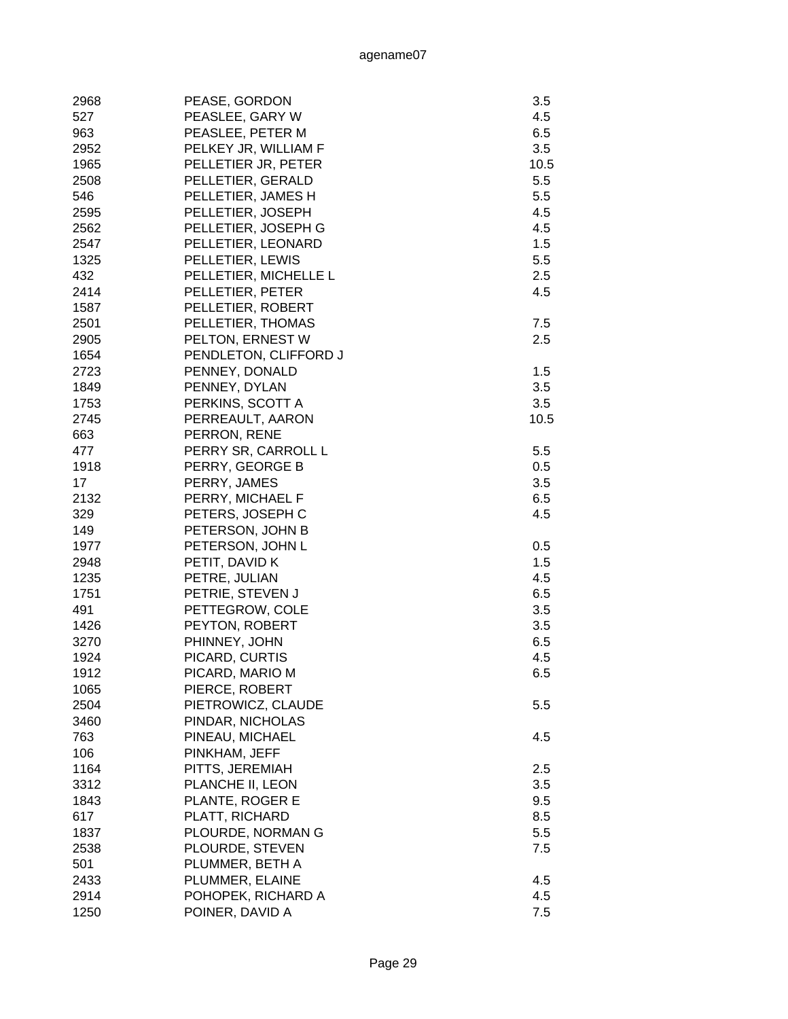| 2968 | PEASE, GORDON         | 3.5  |
|------|-----------------------|------|
| 527  | PEASLEE, GARY W       | 4.5  |
| 963  | PEASLEE, PETER M      | 6.5  |
| 2952 | PELKEY JR, WILLIAM F  | 3.5  |
| 1965 | PELLETIER JR, PETER   | 10.5 |
| 2508 | PELLETIER, GERALD     | 5.5  |
| 546  | PELLETIER, JAMES H    | 5.5  |
| 2595 | PELLETIER, JOSEPH     | 4.5  |
| 2562 | PELLETIER, JOSEPH G   | 4.5  |
| 2547 | PELLETIER, LEONARD    | 1.5  |
| 1325 | PELLETIER, LEWIS      | 5.5  |
| 432  | PELLETIER, MICHELLE L | 2.5  |
| 2414 | PELLETIER, PETER      | 4.5  |
| 1587 | PELLETIER, ROBERT     |      |
| 2501 | PELLETIER, THOMAS     | 7.5  |
| 2905 | PELTON, ERNEST W      | 2.5  |
| 1654 | PENDLETON, CLIFFORD J |      |
| 2723 | PENNEY, DONALD        | 1.5  |
| 1849 | PENNEY, DYLAN         | 3.5  |
| 1753 | PERKINS, SCOTT A      | 3.5  |
| 2745 | PERREAULT, AARON      | 10.5 |
| 663  | PERRON, RENE          |      |
| 477  | PERRY SR, CARROLL L   | 5.5  |
| 1918 | PERRY, GEORGE B       | 0.5  |
| 17   | PERRY, JAMES          | 3.5  |
| 2132 | PERRY, MICHAEL F      | 6.5  |
| 329  | PETERS, JOSEPH C      | 4.5  |
| 149  | PETERSON, JOHN B      |      |
| 1977 | PETERSON, JOHN L      | 0.5  |
| 2948 | PETIT, DAVID K        | 1.5  |
| 1235 | PETRE, JULIAN         | 4.5  |
| 1751 | PETRIE, STEVEN J      | 6.5  |
| 491  | PETTEGROW, COLE       | 3.5  |
| 1426 | PEYTON, ROBERT        | 3.5  |
| 3270 | PHINNEY, JOHN         | 6.5  |
| 1924 | PICARD, CURTIS        | 4.5  |
| 1912 | PICARD, MARIO M       | 6.5  |
| 1065 | PIERCE, ROBERT        |      |
| 2504 | PIETROWICZ, CLAUDE    | 5.5  |
| 3460 | PINDAR, NICHOLAS      |      |
| 763  | PINEAU, MICHAEL       | 4.5  |
| 106  | PINKHAM, JEFF         |      |
| 1164 | PITTS, JEREMIAH       | 2.5  |
| 3312 | PLANCHE II, LEON      | 3.5  |
| 1843 | PLANTE, ROGER E       | 9.5  |
| 617  | PLATT, RICHARD        | 8.5  |
| 1837 | PLOURDE, NORMAN G     | 5.5  |
| 2538 | PLOURDE, STEVEN       | 7.5  |
| 501  | PLUMMER, BETH A       |      |
| 2433 | PLUMMER, ELAINE       | 4.5  |
| 2914 | POHOPEK, RICHARD A    | 4.5  |
| 1250 | POINER, DAVID A       | 7.5  |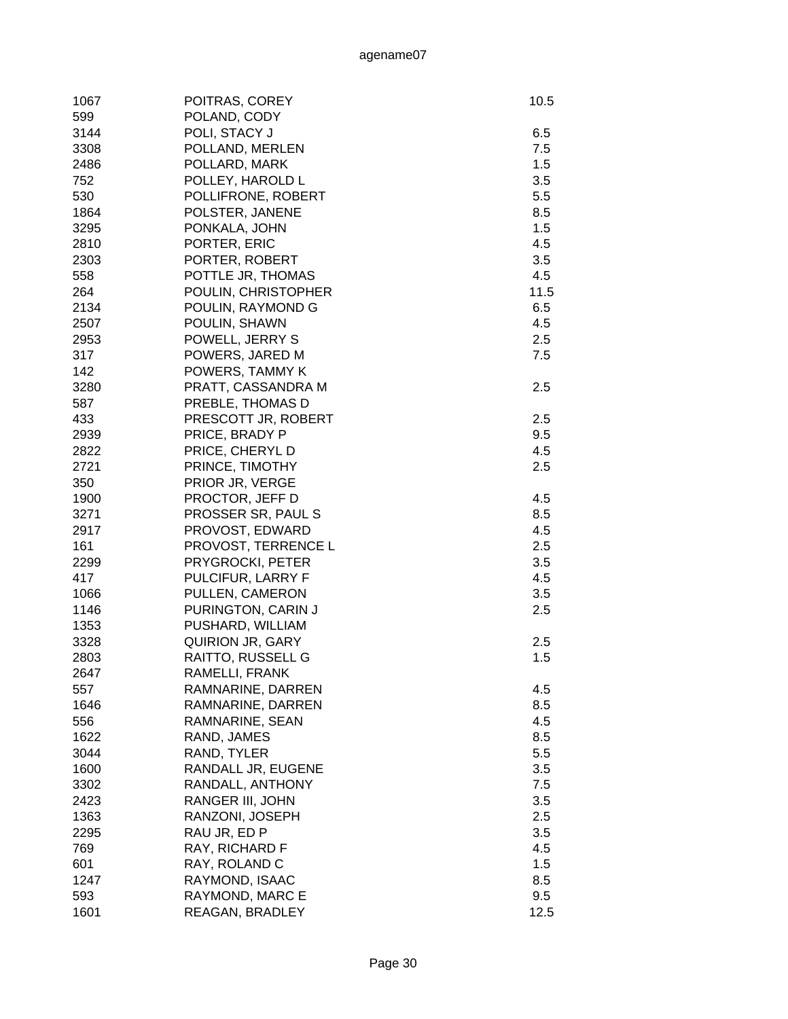| 1067 | POITRAS, COREY      | 10.5 |
|------|---------------------|------|
| 599  | POLAND, CODY        |      |
| 3144 | POLI, STACY J       | 6.5  |
| 3308 | POLLAND, MERLEN     | 7.5  |
| 2486 | POLLARD, MARK       | 1.5  |
| 752  | POLLEY, HAROLD L    | 3.5  |
| 530  | POLLIFRONE, ROBERT  | 5.5  |
| 1864 | POLSTER, JANENE     | 8.5  |
| 3295 | PONKALA, JOHN       | 1.5  |
| 2810 | PORTER, ERIC        | 4.5  |
| 2303 | PORTER, ROBERT      | 3.5  |
| 558  | POTTLE JR, THOMAS   | 4.5  |
| 264  | POULIN, CHRISTOPHER | 11.5 |
| 2134 | POULIN, RAYMOND G   | 6.5  |
| 2507 | POULIN, SHAWN       | 4.5  |
| 2953 | POWELL, JERRY S     | 2.5  |
| 317  | POWERS, JARED M     | 7.5  |
| 142  | POWERS, TAMMY K     |      |
| 3280 | PRATT, CASSANDRA M  | 2.5  |
| 587  | PREBLE, THOMAS D    |      |
| 433  | PRESCOTT JR, ROBERT | 2.5  |
| 2939 | PRICE, BRADY P      | 9.5  |
| 2822 | PRICE, CHERYL D     | 4.5  |
| 2721 | PRINCE, TIMOTHY     | 2.5  |
| 350  | PRIOR JR, VERGE     |      |
| 1900 | PROCTOR, JEFF D     | 4.5  |
| 3271 | PROSSER SR, PAUL S  | 8.5  |
| 2917 | PROVOST, EDWARD     | 4.5  |
| 161  | PROVOST, TERRENCE L | 2.5  |
| 2299 | PRYGROCKI, PETER    | 3.5  |
| 417  | PULCIFUR, LARRY F   | 4.5  |
| 1066 | PULLEN, CAMERON     | 3.5  |
| 1146 | PURINGTON, CARIN J  | 2.5  |
| 1353 | PUSHARD, WILLIAM    |      |
| 3328 | QUIRION JR, GARY    | 2.5  |
| 2803 | RAITTO, RUSSELL G   | 1.5  |
| 2647 | RAMELLI, FRANK      |      |
| 557  | RAMNARINE, DARREN   | 4.5  |
| 1646 | RAMNARINE, DARREN   | 8.5  |
| 556  | RAMNARINE, SEAN     | 4.5  |
| 1622 | RAND, JAMES         | 8.5  |
| 3044 | RAND, TYLER         | 5.5  |
| 1600 | RANDALL JR, EUGENE  | 3.5  |
| 3302 | RANDALL, ANTHONY    | 7.5  |
| 2423 | RANGER III, JOHN    | 3.5  |
| 1363 | RANZONI, JOSEPH     | 2.5  |
| 2295 | RAU JR, ED P        | 3.5  |
| 769  | RAY, RICHARD F      | 4.5  |
| 601  | RAY, ROLAND C       | 1.5  |
| 1247 | RAYMOND, ISAAC      | 8.5  |
| 593  | RAYMOND, MARC E     | 9.5  |
| 1601 | REAGAN, BRADLEY     | 12.5 |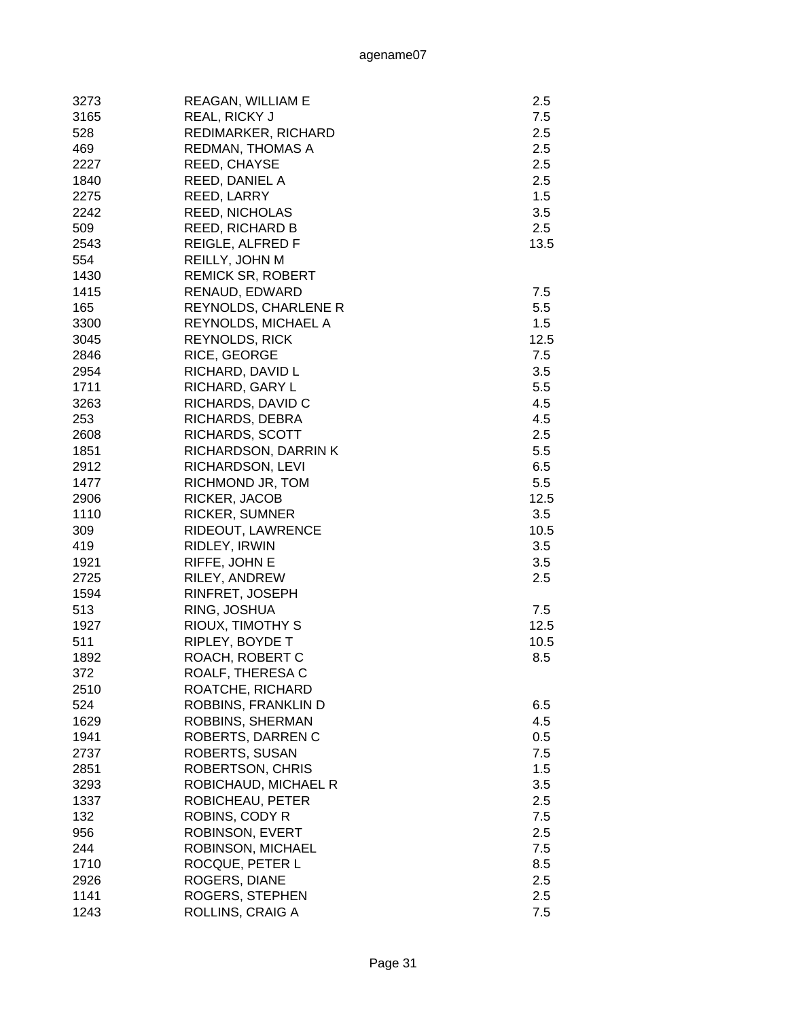| 3273 | REAGAN, WILLIAM E        | 2.5  |
|------|--------------------------|------|
| 3165 | REAL, RICKY J            | 7.5  |
| 528  | REDIMARKER, RICHARD      | 2.5  |
| 469  | REDMAN, THOMAS A         | 2.5  |
| 2227 | REED, CHAYSE             | 2.5  |
| 1840 | REED, DANIEL A           | 2.5  |
| 2275 | REED, LARRY              | 1.5  |
| 2242 | <b>REED, NICHOLAS</b>    | 3.5  |
| 509  | <b>REED, RICHARD B</b>   | 2.5  |
| 2543 | REIGLE, ALFRED F         | 13.5 |
| 554  | REILLY, JOHN M           |      |
| 1430 | <b>REMICK SR, ROBERT</b> |      |
| 1415 | RENAUD, EDWARD           | 7.5  |
| 165  |                          | 5.5  |
|      | REYNOLDS, CHARLENE R     |      |
| 3300 | REYNOLDS, MICHAEL A      | 1.5  |
| 3045 | <b>REYNOLDS, RICK</b>    | 12.5 |
| 2846 | RICE, GEORGE             | 7.5  |
| 2954 | RICHARD, DAVID L         | 3.5  |
| 1711 | RICHARD, GARY L          | 5.5  |
| 3263 | RICHARDS, DAVID C        | 4.5  |
| 253  | RICHARDS, DEBRA          | 4.5  |
| 2608 | RICHARDS, SCOTT          | 2.5  |
| 1851 | RICHARDSON, DARRINK      | 5.5  |
| 2912 | RICHARDSON, LEVI         | 6.5  |
| 1477 | RICHMOND JR, TOM         | 5.5  |
| 2906 | RICKER, JACOB            | 12.5 |
| 1110 | <b>RICKER, SUMNER</b>    | 3.5  |
| 309  | RIDEOUT, LAWRENCE        | 10.5 |
| 419  | RIDLEY, IRWIN            | 3.5  |
| 1921 | RIFFE, JOHN E            | 3.5  |
| 2725 | RILEY, ANDREW            | 2.5  |
| 1594 | RINFRET, JOSEPH          |      |
| 513  | RING, JOSHUA             | 7.5  |
| 1927 | RIOUX, TIMOTHY S         | 12.5 |
| 511  | RIPLEY, BOYDE T          | 10.5 |
| 1892 | ROACH, ROBERT C          | 8.5  |
| 372  | ROALF, THERESA C         |      |
| 2510 | ROATCHE, RICHARD         |      |
| 524  | ROBBINS, FRANKLIN D      | 6.5  |
| 1629 | ROBBINS, SHERMAN         | 4.5  |
| 1941 | ROBERTS, DARREN C        | 0.5  |
| 2737 | ROBERTS, SUSAN           | 7.5  |
| 2851 | ROBERTSON, CHRIS         | 1.5  |
| 3293 | ROBICHAUD, MICHAEL R     | 3.5  |
| 1337 | ROBICHEAU, PETER         | 2.5  |
| 132  | ROBINS, CODY R           | 7.5  |
| 956  | ROBINSON, EVERT          | 2.5  |
| 244  | ROBINSON, MICHAEL        | 7.5  |
| 1710 | ROCQUE, PETER L          | 8.5  |
| 2926 | ROGERS, DIANE            | 2.5  |
| 1141 | ROGERS, STEPHEN          | 2.5  |
| 1243 | ROLLINS, CRAIG A         | 7.5  |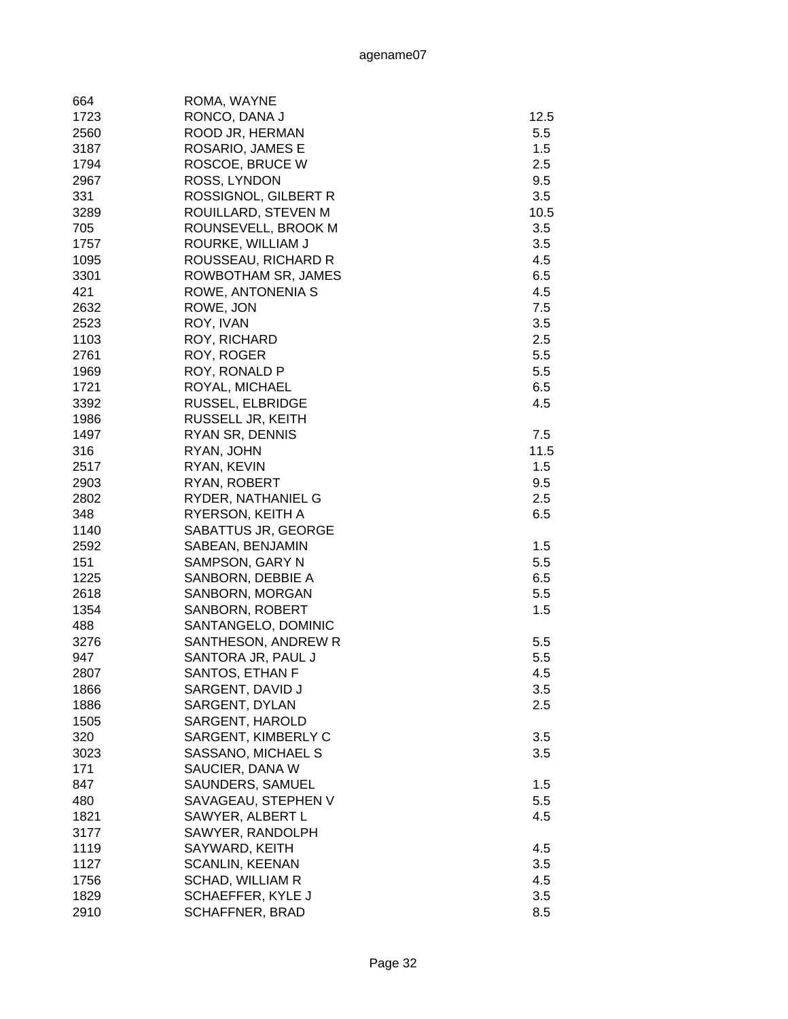| 664  | ROMA, WAYNE             |         |
|------|-------------------------|---------|
| 1723 | RONCO, DANA J           | 12.5    |
| 2560 | ROOD JR, HERMAN         | 5.5     |
| 3187 | ROSARIO, JAMES E        | 1.5     |
| 1794 | ROSCOE, BRUCE W         | 2.5     |
| 2967 | ROSS, LYNDON            | 9.5     |
| 331  | ROSSIGNOL, GILBERT R    | 3.5     |
| 3289 | ROUILLARD, STEVEN M     | 10.5    |
| 705  | ROUNSEVELL, BROOK M     | 3.5     |
| 1757 | ROURKE, WILLIAM J       | 3.5     |
| 1095 | ROUSSEAU, RICHARD R     | 4.5     |
| 3301 | ROWBOTHAM SR, JAMES     | 6.5     |
| 421  | ROWE, ANTONENIA S       | 4.5     |
| 2632 | ROWE, JON               | 7.5     |
| 2523 | ROY, IVAN               | 3.5     |
| 1103 | ROY, RICHARD            | 2.5     |
| 2761 | ROY, ROGER              | 5.5     |
|      | ROY, RONALD P           | 5.5     |
| 1969 |                         |         |
| 1721 | ROYAL, MICHAEL          | 6.5     |
| 3392 | RUSSEL, ELBRIDGE        | 4.5     |
| 1986 | RUSSELL JR, KEITH       |         |
| 1497 | RYAN SR, DENNIS         | $7.5\,$ |
| 316  | RYAN, JOHN              | 11.5    |
| 2517 | RYAN, KEVIN             | 1.5     |
| 2903 | RYAN, ROBERT            | 9.5     |
| 2802 | RYDER, NATHANIEL G      | 2.5     |
| 348  | RYERSON, KEITH A        | 6.5     |
| 1140 | SABATTUS JR, GEORGE     |         |
| 2592 | SABEAN, BENJAMIN        | 1.5     |
| 151  | SAMPSON, GARY N         | 5.5     |
| 1225 | SANBORN, DEBBIE A       | 6.5     |
| 2618 | SANBORN, MORGAN         | 5.5     |
| 1354 | SANBORN, ROBERT         | 1.5     |
| 488  | SANTANGELO, DOMINIC     |         |
| 3276 | SANTHESON, ANDREW R     | 5.5     |
| 947  | SANTORA JR, PAUL J      | 5.5     |
| 2807 | SANTOS, ETHAN F         | 4.5     |
| 1866 | SARGENT, DAVID J        | 3.5     |
| 1886 | SARGENT, DYLAN          | 2.5     |
| 1505 | SARGENT, HAROLD         |         |
| 320  | SARGENT, KIMBERLY C     | 3.5     |
| 3023 | SASSANO, MICHAEL S      | 3.5     |
| 171  | SAUCIER, DANA W         |         |
| 847  | SAUNDERS, SAMUEL        | 1.5     |
| 480  | SAVAGEAU, STEPHEN V     | 5.5     |
| 1821 | SAWYER, ALBERT L        | 4.5     |
| 3177 | SAWYER, RANDOLPH        |         |
| 1119 | SAYWARD, KEITH          | 4.5     |
| 1127 | <b>SCANLIN, KEENAN</b>  | 3.5     |
| 1756 | <b>SCHAD, WILLIAM R</b> | 4.5     |
| 1829 | SCHAEFFER, KYLE J       | 3.5     |
| 2910 | <b>SCHAFFNER, BRAD</b>  | 8.5     |
|      |                         |         |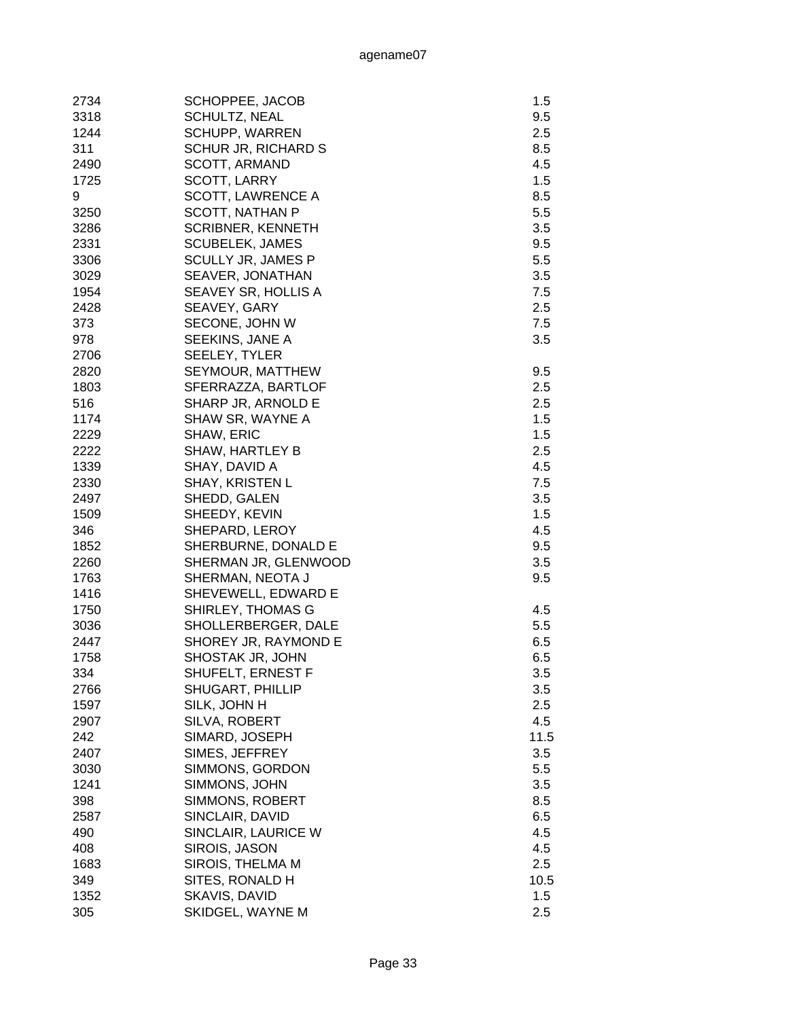| 2734 | SCHOPPEE, JACOB            | 1.5  |
|------|----------------------------|------|
| 3318 | <b>SCHULTZ, NEAL</b>       | 9.5  |
| 1244 | <b>SCHUPP, WARREN</b>      | 2.5  |
| 311  | <b>SCHUR JR, RICHARD S</b> | 8.5  |
| 2490 | SCOTT, ARMAND              | 4.5  |
| 1725 | SCOTT, LARRY               | 1.5  |
| 9    | <b>SCOTT, LAWRENCE A</b>   | 8.5  |
| 3250 | SCOTT, NATHAN P            | 5.5  |
| 3286 | <b>SCRIBNER, KENNETH</b>   | 3.5  |
| 2331 | <b>SCUBELEK, JAMES</b>     | 9.5  |
| 3306 | <b>SCULLY JR, JAMES P</b>  | 5.5  |
| 3029 | SEAVER, JONATHAN           | 3.5  |
| 1954 | SEAVEY SR, HOLLIS A        | 7.5  |
| 2428 | SEAVEY, GARY               | 2.5  |
| 373  | SECONE, JOHN W             | 7.5  |
| 978  | SEEKINS, JANE A            | 3.5  |
| 2706 | <b>SEELEY, TYLER</b>       |      |
| 2820 | SEYMOUR, MATTHEW           | 9.5  |
| 1803 | SFERRAZZA, BARTLOF         | 2.5  |
| 516  | SHARP JR, ARNOLD E         | 2.5  |
| 1174 | SHAW SR, WAYNE A           | 1.5  |
| 2229 | <b>SHAW, ERIC</b>          | 1.5  |
| 2222 | <b>SHAW, HARTLEY B</b>     | 2.5  |
| 1339 | SHAY, DAVID A              | 4.5  |
| 2330 | <b>SHAY, KRISTEN L</b>     | 7.5  |
| 2497 | SHEDD, GALEN               | 3.5  |
| 1509 | SHEEDY, KEVIN              | 1.5  |
| 346  | SHEPARD, LEROY             | 4.5  |
| 1852 | SHERBURNE, DONALD E        | 9.5  |
| 2260 | SHERMAN JR, GLENWOOD       | 3.5  |
| 1763 | SHERMAN, NEOTA J           | 9.5  |
| 1416 | SHEVEWELL, EDWARD E        |      |
| 1750 | SHIRLEY, THOMAS G          | 4.5  |
| 3036 | SHOLLERBERGER, DALE        | 5.5  |
| 2447 | SHOREY JR, RAYMOND E       | 6.5  |
| 1758 | SHOSTAK JR, JOHN           | 6.5  |
| 334  | <b>SHUFELT, ERNEST F</b>   | 3.5  |
| 2766 | SHUGART, PHILLIP           | 3.5  |
| 1597 | SILK, JOHN H               | 2.5  |
| 2907 | SILVA, ROBERT              | 4.5  |
| 242  | SIMARD, JOSEPH             | 11.5 |
| 2407 | SIMES, JEFFREY             | 3.5  |
| 3030 | SIMMONS, GORDON            | 5.5  |
| 1241 | SIMMONS, JOHN              | 3.5  |
| 398  | SIMMONS, ROBERT            | 8.5  |
| 2587 | SINCLAIR, DAVID            | 6.5  |
| 490  | SINCLAIR, LAURICE W        | 4.5  |
| 408  | SIROIS, JASON              | 4.5  |
| 1683 | SIROIS, THELMA M           | 2.5  |
| 349  | SITES, RONALD H            | 10.5 |
| 1352 | SKAVIS, DAVID              | 1.5  |
| 305  | SKIDGEL, WAYNE M           | 2.5  |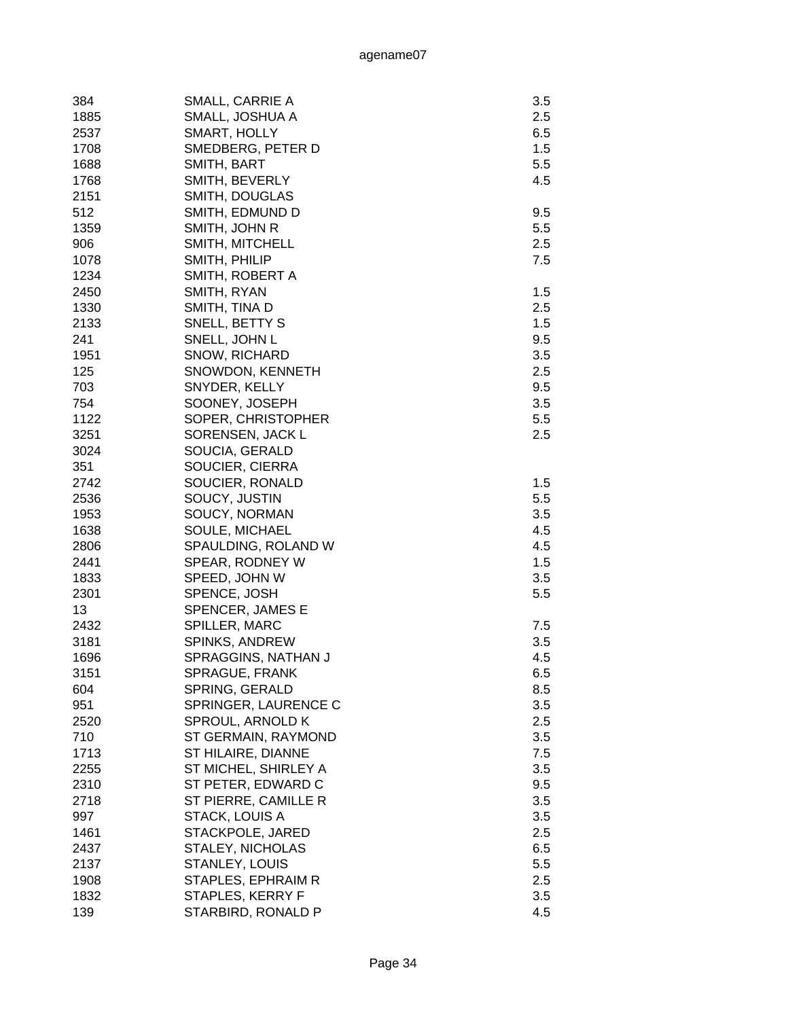| 384  | SMALL, CARRIE A         | 3.5 |
|------|-------------------------|-----|
| 1885 | SMALL, JOSHUA A         | 2.5 |
| 2537 | SMART, HOLLY            | 6.5 |
| 1708 | SMEDBERG, PETER D       | 1.5 |
| 1688 | SMITH, BART             | 5.5 |
|      |                         |     |
| 1768 | SMITH, BEVERLY          | 4.5 |
| 2151 | SMITH, DOUGLAS          |     |
| 512  | SMITH, EDMUND D         | 9.5 |
| 1359 | SMITH, JOHN R           | 5.5 |
| 906  | SMITH, MITCHELL         | 2.5 |
| 1078 | SMITH, PHILIP           | 7.5 |
| 1234 | SMITH, ROBERT A         |     |
| 2450 | SMITH, RYAN             | 1.5 |
| 1330 | SMITH, TINA D           | 2.5 |
| 2133 | SNELL, BETTY S          | 1.5 |
| 241  | SNELL, JOHN L           | 9.5 |
| 1951 | SNOW, RICHARD           | 3.5 |
| 125  | SNOWDON, KENNETH        | 2.5 |
| 703  | SNYDER, KELLY           | 9.5 |
| 754  | SOONEY, JOSEPH          | 3.5 |
| 1122 | SOPER, CHRISTOPHER      | 5.5 |
| 3251 | SORENSEN, JACK L        | 2.5 |
|      |                         |     |
| 3024 | SOUCIA, GERALD          |     |
| 351  | SOUCIER, CIERRA         |     |
| 2742 | SOUCIER, RONALD         | 1.5 |
| 2536 | SOUCY, JUSTIN           | 5.5 |
| 1953 | SOUCY, NORMAN           | 3.5 |
| 1638 | SOULE, MICHAEL          | 4.5 |
| 2806 | SPAULDING, ROLAND W     | 4.5 |
| 2441 | SPEAR, RODNEY W         | 1.5 |
| 1833 | SPEED, JOHN W           | 3.5 |
| 2301 | SPENCE, JOSH            | 5.5 |
| 13   | SPENCER, JAMES E        |     |
| 2432 | SPILLER, MARC           | 7.5 |
| 3181 | <b>SPINKS, ANDREW</b>   | 3.5 |
| 1696 | SPRAGGINS, NATHAN J     | 4.5 |
| 3151 | SPRAGUE, FRANK          | 6.5 |
| 604  | SPRING, GERALD          | 8.5 |
| 951  | SPRINGER, LAURENCE C    | 3.5 |
| 2520 | SPROUL, ARNOLD K        | 2.5 |
| 710  | ST GERMAIN, RAYMOND     | 3.5 |
| 1713 | ST HILAIRE, DIANNE      | 7.5 |
|      |                         |     |
| 2255 | ST MICHEL, SHIRLEY A    | 3.5 |
| 2310 | ST PETER, EDWARD C      | 9.5 |
| 2718 | ST PIERRE, CAMILLE R    | 3.5 |
| 997  | STACK, LOUIS A          | 3.5 |
| 1461 | STACKPOLE, JARED        | 2.5 |
| 2437 | <b>STALEY, NICHOLAS</b> | 6.5 |
| 2137 | <b>STANLEY, LOUIS</b>   | 5.5 |
| 1908 | STAPLES, EPHRAIM R      | 2.5 |
| 1832 | STAPLES, KERRY F        | 3.5 |
| 139  | STARBIRD, RONALD P      | 4.5 |
|      |                         |     |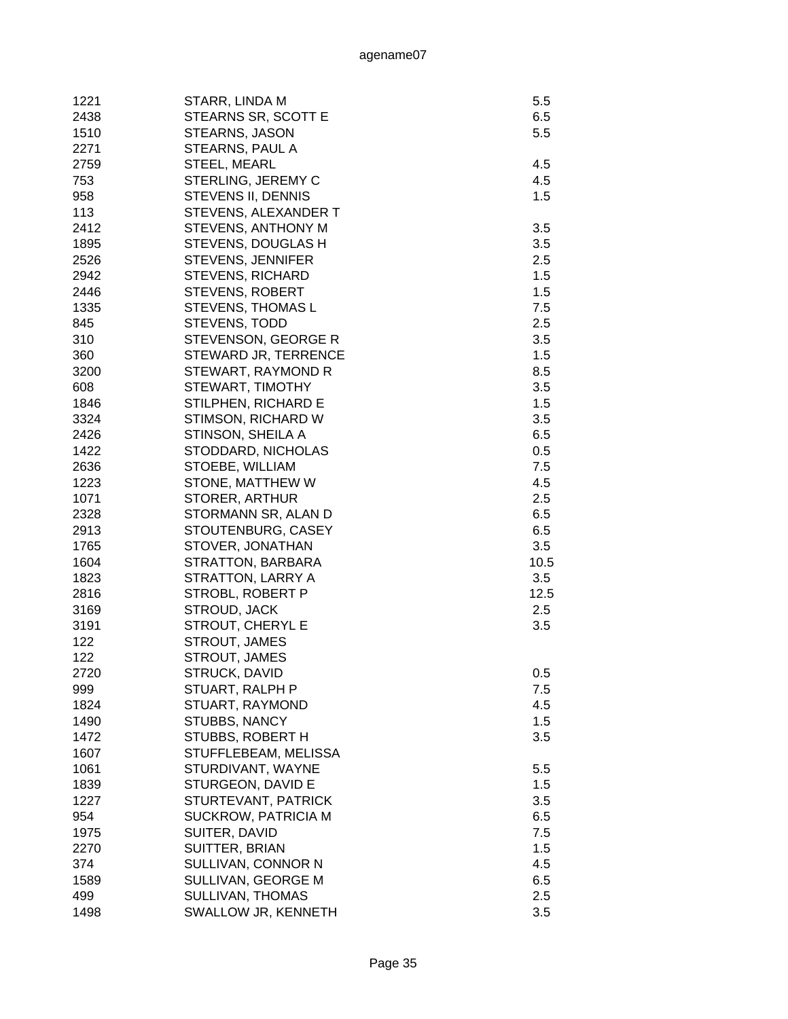| 1221         | STARR, LINDA M       | 5.5  |
|--------------|----------------------|------|
| 2438         | STEARNS SR, SCOTT E  | 6.5  |
| 1510         | STEARNS, JASON       | 5.5  |
| 2271         | STEARNS, PAUL A      |      |
| 2759         | STEEL, MEARL         | 4.5  |
| 753          | STERLING, JEREMY C   | 4.5  |
| 958          | STEVENS II, DENNIS   | 1.5  |
| 113          | STEVENS, ALEXANDER T |      |
| 2412         | STEVENS, ANTHONY M   | 3.5  |
| 1895         | STEVENS, DOUGLAS H   | 3.5  |
| 2526         | STEVENS, JENNIFER    | 2.5  |
| 2942         | STEVENS, RICHARD     | 1.5  |
| 2446         | STEVENS, ROBERT      | 1.5  |
| 1335         | STEVENS, THOMAS L    | 7.5  |
| 845          | STEVENS, TODD        | 2.5  |
| 310          | STEVENSON, GEORGE R  | 3.5  |
| 360          | STEWARD JR, TERRENCE | 1.5  |
| 3200         | STEWART, RAYMOND R   | 8.5  |
| 608          | STEWART, TIMOTHY     | 3.5  |
| 1846         | STILPHEN, RICHARD E  | 1.5  |
| 3324         | STIMSON, RICHARD W   | 3.5  |
| 2426         | STINSON, SHEILA A    | 6.5  |
| 1422         | STODDARD, NICHOLAS   | 0.5  |
| 2636         | STOEBE, WILLIAM      | 7.5  |
| 1223         | STONE, MATTHEW W     | 4.5  |
| 1071         | STORER, ARTHUR       | 2.5  |
| 2328         |                      |      |
|              | STORMANN SR, ALAN D  | 6.5  |
| 2913<br>1765 | STOUTENBURG, CASEY   | 6.5  |
|              | STOVER, JONATHAN     | 3.5  |
| 1604         | STRATTON, BARBARA    | 10.5 |
| 1823         | STRATTON, LARRY A    | 3.5  |
| 2816         | STROBL, ROBERT P     | 12.5 |
| 3169         | STROUD, JACK         | 2.5  |
| 3191         | STROUT, CHERYL E     | 3.5  |
| 122          | <b>STROUT, JAMES</b> |      |
| 122          | <b>STROUT, JAMES</b> |      |
| 2720         | STRUCK, DAVID        | 0.5  |
| 999          | STUART, RALPH P      | 7.5  |
| 1824         | STUART, RAYMOND      | 4.5  |
| 1490         | STUBBS, NANCY        | 1.5  |
| 1472         | STUBBS, ROBERT H     | 3.5  |
| 1607         | STUFFLEBEAM, MELISSA |      |
| 1061         | STURDIVANT, WAYNE    | 5.5  |
| 1839         | STURGEON, DAVID E    | 1.5  |
| 1227         | STURTEVANT, PATRICK  | 3.5  |
| 954          | SUCKROW, PATRICIA M  | 6.5  |
| 1975         | SUITER, DAVID        | 7.5  |
| 2270         | SUITTER, BRIAN       | 1.5  |
| 374          | SULLIVAN, CONNOR N   | 4.5  |
| 1589         | SULLIVAN, GEORGE M   | 6.5  |
| 499          | SULLIVAN, THOMAS     | 2.5  |
| 1498         | SWALLOW JR, KENNETH  | 3.5  |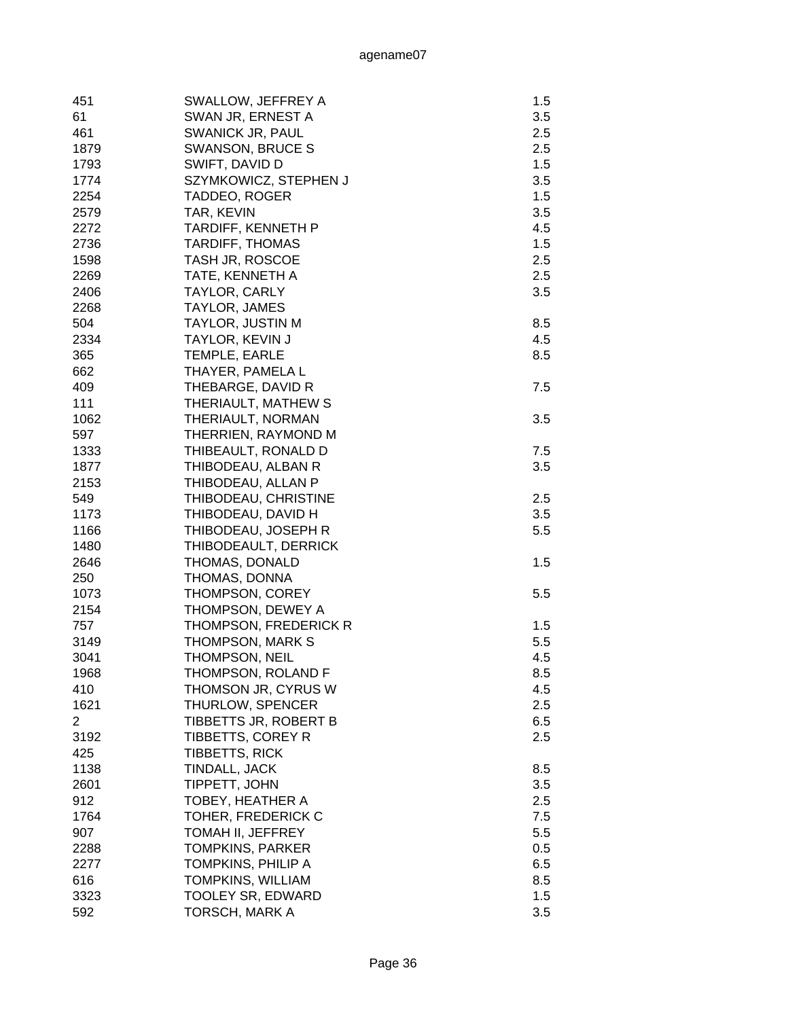| 451          | SWALLOW, JEFFREY A           | 1.5 |
|--------------|------------------------------|-----|
| 61           | SWAN JR, ERNEST A            | 3.5 |
| 461          | <b>SWANICK JR, PAUL</b>      | 2.5 |
| 1879         | <b>SWANSON, BRUCE S</b>      | 2.5 |
| 1793         | SWIFT, DAVID D               | 1.5 |
| 1774         | SZYMKOWICZ, STEPHEN J        | 3.5 |
| 2254         | TADDEO, ROGER                | 1.5 |
| 2579         | TAR, KEVIN                   | 3.5 |
| 2272         | <b>TARDIFF, KENNETH P</b>    | 4.5 |
| 2736         | <b>TARDIFF, THOMAS</b>       | 1.5 |
| 1598         | TASH JR, ROSCOE              | 2.5 |
| 2269         | TATE, KENNETH A              | 2.5 |
| 2406         | TAYLOR, CARLY                | 3.5 |
| 2268         | TAYLOR, JAMES                |     |
| 504          | <b>TAYLOR, JUSTIN M</b>      | 8.5 |
| 2334         | TAYLOR, KEVIN J              | 4.5 |
| 365          | TEMPLE, EARLE                | 8.5 |
| 662          | THAYER, PAMELA L             |     |
| 409          | THEBARGE, DAVID R            | 7.5 |
| 111          | THERIAULT, MATHEW S          |     |
| 1062         | THERIAULT, NORMAN            | 3.5 |
| 597          | THERRIEN, RAYMOND M          |     |
| 1333         | THIBEAULT, RONALD D          | 7.5 |
| 1877         | THIBODEAU, ALBAN R           | 3.5 |
| 2153         | THIBODEAU, ALLAN P           |     |
|              |                              | 2.5 |
| 549          | THIBODEAU, CHRISTINE         |     |
| 1173         | THIBODEAU, DAVID H           | 3.5 |
| 1166<br>1480 | THIBODEAU, JOSEPH R          | 5.5 |
|              | THIBODEAULT, DERRICK         |     |
| 2646         | THOMAS, DONALD               | 1.5 |
| 250<br>1073  | THOMAS, DONNA                | 5.5 |
|              | THOMPSON, COREY              |     |
| 2154         | THOMPSON, DEWEY A            |     |
| 757          | <b>THOMPSON, FREDERICK R</b> | 1.5 |
| 3149         | <b>THOMPSON, MARK S</b>      | 5.5 |
| 3041         | <b>THOMPSON, NEIL</b>        | 4.5 |
| 1968         | THOMPSON, ROLAND F           | 8.5 |
| 410          | THOMSON JR, CYRUS W          | 4.5 |
| 1621         | THURLOW, SPENCER             | 2.5 |
| 2            | TIBBETTS JR, ROBERT B        | 6.5 |
| 3192         | TIBBETTS, COREY R            | 2.5 |
| 425          | <b>TIBBETTS, RICK</b>        |     |
| 1138         | TINDALL, JACK                | 8.5 |
| 2601         | TIPPETT, JOHN                | 3.5 |
| 912          | TOBEY, HEATHER A             | 2.5 |
| 1764         | TOHER, FREDERICK C           | 7.5 |
| 907          | TOMAH II, JEFFREY            | 5.5 |
| 2288         | TOMPKINS, PARKER             | 0.5 |
| 2277         | TOMPKINS, PHILIP A           | 6.5 |
| 616          | TOMPKINS, WILLIAM            | 8.5 |
| 3323         | <b>TOOLEY SR, EDWARD</b>     | 1.5 |
| 592          | TORSCH, MARK A               | 3.5 |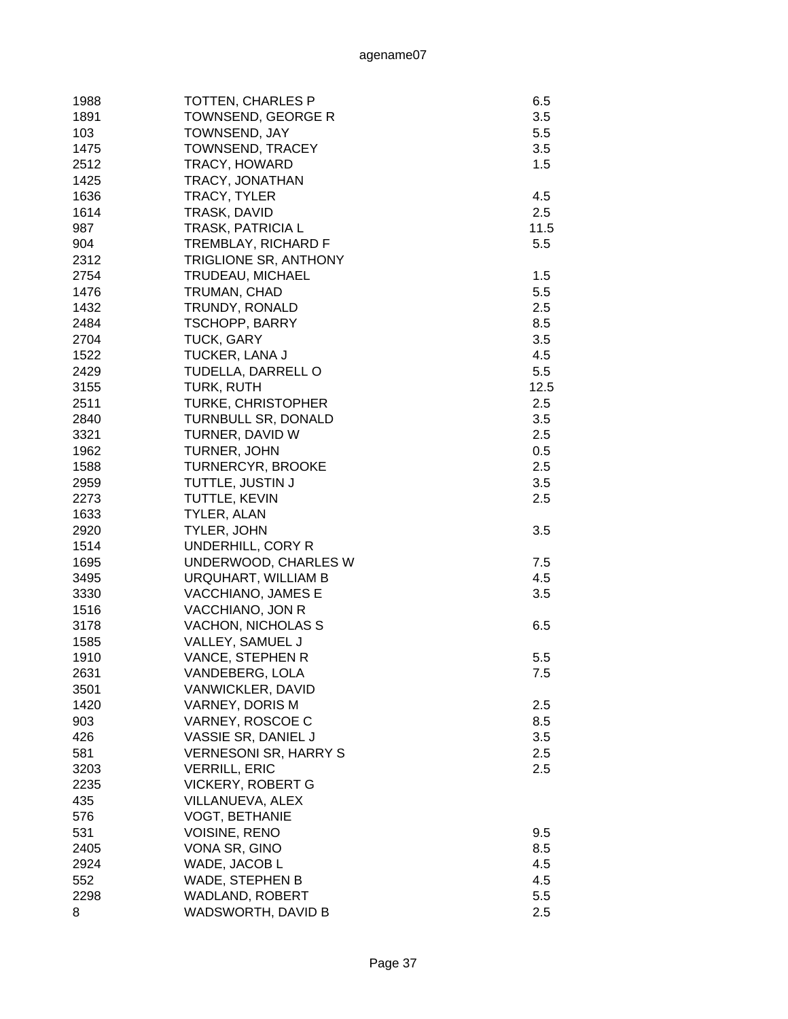| 1988        | <b>TOTTEN, CHARLES P</b>         | 6.5  |
|-------------|----------------------------------|------|
| 1891        | TOWNSEND, GEORGE R               | 3.5  |
| 103         | <b>TOWNSEND, JAY</b>             | 5.5  |
| 1475        | <b>TOWNSEND, TRACEY</b>          | 3.5  |
| 2512        | TRACY, HOWARD                    | 1.5  |
| 1425        | TRACY, JONATHAN                  |      |
| 1636        | TRACY, TYLER                     | 4.5  |
| 1614        | TRASK, DAVID                     | 2.5  |
| 987         | <b>TRASK, PATRICIA L</b>         | 11.5 |
| 904         | TREMBLAY, RICHARD F              | 5.5  |
| 2312        | <b>TRIGLIONE SR, ANTHONY</b>     |      |
| 2754        | TRUDEAU, MICHAEL                 | 1.5  |
| 1476        | TRUMAN, CHAD                     | 5.5  |
| 1432        | TRUNDY, RONALD                   | 2.5  |
| 2484        | <b>TSCHOPP, BARRY</b>            | 8.5  |
| 2704        | <b>TUCK, GARY</b>                | 3.5  |
| 1522        | <b>TUCKER, LANA J</b>            | 4.5  |
| 2429        | TUDELLA, DARRELL O               | 5.5  |
| 3155        | TURK, RUTH                       | 12.5 |
| 2511        | <b>TURKE, CHRISTOPHER</b>        | 2.5  |
| 2840        | <b>TURNBULL SR, DONALD</b>       | 3.5  |
| 3321        | TURNER, DAVID W                  | 2.5  |
| 1962        | TURNER, JOHN                     | 0.5  |
| 1588        | <b>TURNERCYR, BROOKE</b>         | 2.5  |
| 2959        | TUTTLE, JUSTIN J                 | 3.5  |
| 2273        | TUTTLE, KEVIN                    | 2.5  |
| 1633        | TYLER, ALAN                      |      |
| 2920        | TYLER, JOHN                      | 3.5  |
| 1514        | UNDERHILL, CORY R                |      |
| 1695        | UNDERWOOD, CHARLES W             | 7.5  |
| 3495        | URQUHART, WILLIAM B              | 4.5  |
| 3330        | VACCHIANO, JAMES E               | 3.5  |
| 1516        | VACCHIANO, JON R                 |      |
| 3178        | VACHON, NICHOLAS S               | 6.5  |
| 1585        | VALLEY, SAMUEL J                 |      |
| 1910        | VANCE, STEPHEN R                 | 5.5  |
| 2631        | VANDEBERG, LOLA                  | 7.5  |
| 3501        | VANWICKLER, DAVID                |      |
| 1420        | VARNEY, DORIS M                  | 2.5  |
| 903         | VARNEY, ROSCOE C                 | 8.5  |
| 426         | VASSIE SR, DANIEL J              | 3.5  |
| 581         | <b>VERNESONI SR, HARRY S</b>     | 2.5  |
| 3203        | <b>VERRILL, ERIC</b>             | 2.5  |
| 2235        | <b>VICKERY, ROBERT G</b>         |      |
| 435         | VILLANUEVA, ALEX                 |      |
| 576         | <b>VOGT, BETHANIE</b>            |      |
| 531         | <b>VOISINE, RENO</b>             | 9.5  |
| 2405        | VONA SR, GINO                    | 8.5  |
| 2924        |                                  | 4.5  |
|             | WADE, JACOB L<br>WADE, STEPHEN B | 4.5  |
| 552<br>2298 | WADLAND, ROBERT                  | 5.5  |
| 8           | WADSWORTH, DAVID B               | 2.5  |
|             |                                  |      |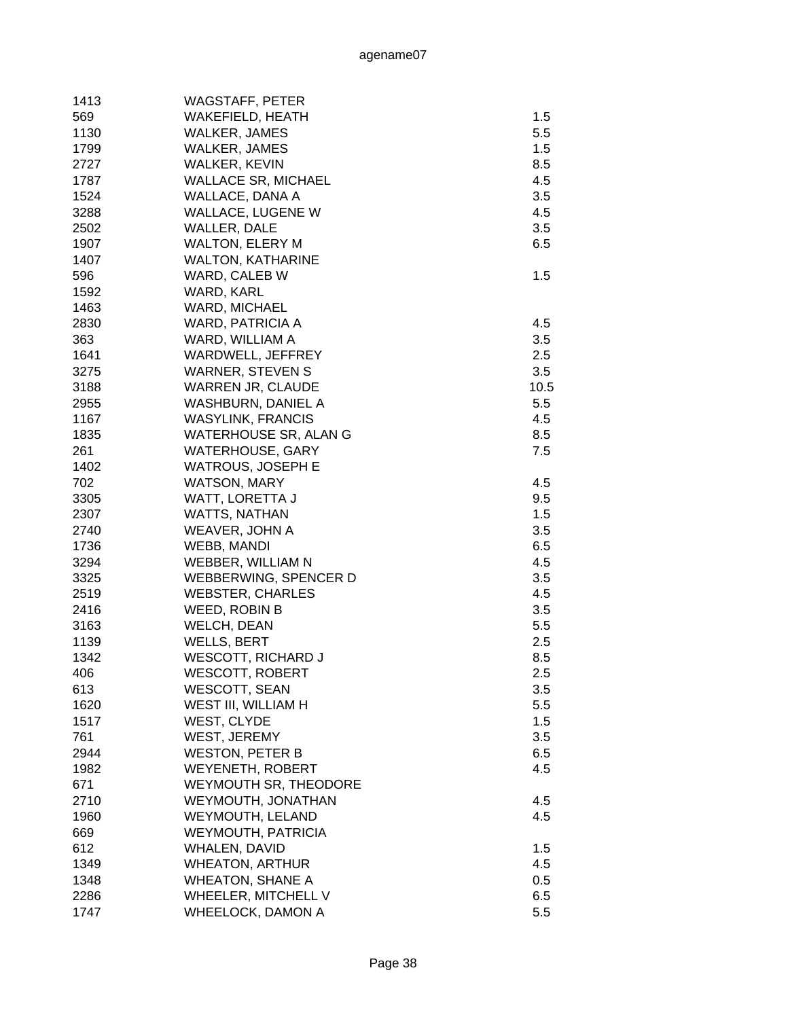| 1413 | WAGSTAFF, PETER              |      |
|------|------------------------------|------|
| 569  | WAKEFIELD, HEATH             | 1.5  |
| 1130 | WALKER, JAMES                | 5.5  |
| 1799 | WALKER, JAMES                | 1.5  |
| 2727 | WALKER, KEVIN                | 8.5  |
| 1787 | <b>WALLACE SR, MICHAEL</b>   | 4.5  |
| 1524 | WALLACE, DANA A              | 3.5  |
| 3288 | WALLACE, LUGENE W            | 4.5  |
| 2502 | WALLER, DALE                 | 3.5  |
| 1907 | <b>WALTON, ELERY M</b>       | 6.5  |
| 1407 | <b>WALTON, KATHARINE</b>     |      |
| 596  | WARD, CALEB W                | 1.5  |
| 1592 | WARD, KARL                   |      |
| 1463 | <b>WARD, MICHAEL</b>         |      |
| 2830 | WARD, PATRICIA A             | 4.5  |
| 363  | WARD, WILLIAM A              | 3.5  |
| 1641 | WARDWELL, JEFFREY            | 2.5  |
| 3275 | <b>WARNER, STEVEN S</b>      | 3.5  |
| 3188 | <b>WARREN JR, CLAUDE</b>     | 10.5 |
| 2955 | <b>WASHBURN, DANIEL A</b>    | 5.5  |
| 1167 | <b>WASYLINK, FRANCIS</b>     | 4.5  |
| 1835 | <b>WATERHOUSE SR, ALAN G</b> | 8.5  |
| 261  | <b>WATERHOUSE, GARY</b>      | 7.5  |
| 1402 | <b>WATROUS, JOSEPH E</b>     |      |
| 702  | <b>WATSON, MARY</b>          | 4.5  |
| 3305 | WATT, LORETTA J              | 9.5  |
| 2307 | <b>WATTS, NATHAN</b>         | 1.5  |
| 2740 | WEAVER, JOHN A               | 3.5  |
| 1736 | WEBB, MANDI                  | 6.5  |
| 3294 | WEBBER, WILLIAM N            | 4.5  |
| 3325 | WEBBERWING, SPENCER D        | 3.5  |
| 2519 | <b>WEBSTER, CHARLES</b>      | 4.5  |
| 2416 | WEED, ROBIN B                | 3.5  |
| 3163 | WELCH, DEAN                  | 5.5  |
| 1139 | <b>WELLS, BERT</b>           | 2.5  |
| 1342 | <b>WESCOTT, RICHARD J</b>    | 8.5  |
| 406  | <b>WESCOTT, ROBERT</b>       | 2.5  |
| 613  | <b>WESCOTT, SEAN</b>         | 3.5  |
| 1620 | WEST III, WILLIAM H          | 5.5  |
| 1517 | WEST, CLYDE                  | 1.5  |
| 761  | WEST, JEREMY                 | 3.5  |
| 2944 | <b>WESTON, PETER B</b>       | 6.5  |
| 1982 | <b>WEYENETH, ROBERT</b>      | 4.5  |
| 671  | <b>WEYMOUTH SR, THEODORE</b> |      |
| 2710 |                              | 4.5  |
|      | WEYMOUTH, JONATHAN           |      |
| 1960 | WEYMOUTH, LELAND             | 4.5  |
| 669  | <b>WEYMOUTH, PATRICIA</b>    |      |
| 612  | WHALEN, DAVID                | 1.5  |
| 1349 | <b>WHEATON, ARTHUR</b>       | 4.5  |
| 1348 | <b>WHEATON, SHANE A</b>      | 0.5  |
| 2286 | WHEELER, MITCHELL V          | 6.5  |
| 1747 | <b>WHEELOCK, DAMON A</b>     | 5.5  |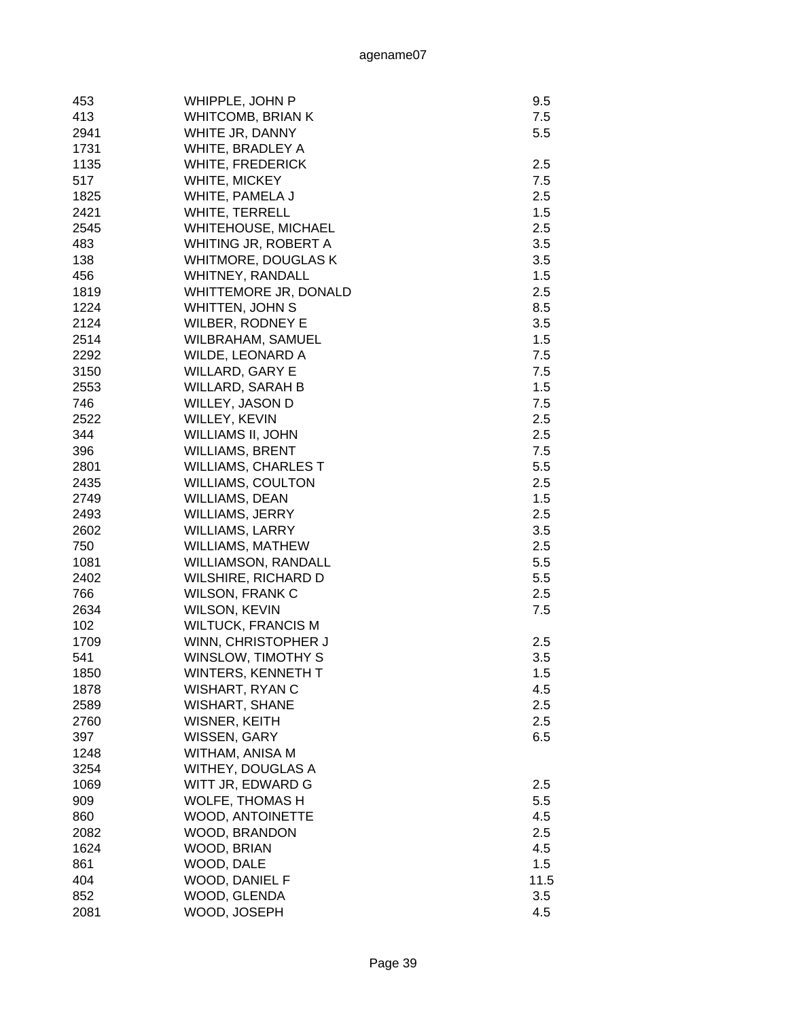| 453  | WHIPPLE, JOHN P            | 9.5  |
|------|----------------------------|------|
| 413  | <b>WHITCOMB, BRIAN K</b>   | 7.5  |
| 2941 | WHITE JR, DANNY            | 5.5  |
| 1731 | WHITE, BRADLEY A           |      |
| 1135 | <b>WHITE, FREDERICK</b>    | 2.5  |
| 517  | WHITE, MICKEY              | 7.5  |
| 1825 | WHITE, PAMELA J            | 2.5  |
| 2421 | WHITE, TERRELL             | 1.5  |
| 2545 | <b>WHITEHOUSE, MICHAEL</b> | 2.5  |
| 483  | WHITING JR, ROBERT A       | 3.5  |
| 138  | WHITMORE, DOUGLAS K        | 3.5  |
| 456  | WHITNEY, RANDALL           | 1.5  |
| 1819 | WHITTEMORE JR, DONALD      | 2.5  |
| 1224 | WHITTEN, JOHN S            | 8.5  |
| 2124 | <b>WILBER, RODNEY E</b>    | 3.5  |
| 2514 | WILBRAHAM, SAMUEL          | 1.5  |
| 2292 | <b>WILDE, LEONARD A</b>    | 7.5  |
| 3150 | <b>WILLARD, GARY E</b>     | 7.5  |
| 2553 | <b>WILLARD, SARAH B</b>    | 1.5  |
| 746  | WILLEY, JASON D            | 7.5  |
| 2522 | WILLEY, KEVIN              | 2.5  |
| 344  | WILLIAMS II, JOHN          | 2.5  |
| 396  | <b>WILLIAMS, BRENT</b>     | 7.5  |
| 2801 | <b>WILLIAMS, CHARLES T</b> | 5.5  |
| 2435 | <b>WILLIAMS, COULTON</b>   | 2.5  |
| 2749 | <b>WILLIAMS, DEAN</b>      | 1.5  |
| 2493 | WILLIAMS, JERRY            | 2.5  |
| 2602 | <b>WILLIAMS, LARRY</b>     | 3.5  |
| 750  | WILLIAMS, MATHEW           | 2.5  |
| 1081 | <b>WILLIAMSON, RANDALL</b> | 5.5  |
| 2402 | WILSHIRE, RICHARD D        | 5.5  |
| 766  | <b>WILSON, FRANK C</b>     | 2.5  |
| 2634 | WILSON, KEVIN              | 7.5  |
| 102  | <b>WILTUCK, FRANCIS M</b>  |      |
| 1709 | WINN, CHRISTOPHER J        | 2.5  |
| 541  | <b>WINSLOW, TIMOTHY S</b>  | 3.5  |
| 1850 | WINTERS, KENNETH T         | 1.5  |
| 1878 | <b>WISHART, RYAN C</b>     | 4.5  |
| 2589 | <b>WISHART, SHANE</b>      | 2.5  |
| 2760 | WISNER, KEITH              | 2.5  |
| 397  | WISSEN, GARY               | 6.5  |
| 1248 | WITHAM, ANISA M            |      |
| 3254 | WITHEY, DOUGLAS A          |      |
| 1069 | WITT JR, EDWARD G          | 2.5  |
| 909  | <b>WOLFE, THOMAS H</b>     | 5.5  |
| 860  | WOOD, ANTOINETTE           | 4.5  |
| 2082 | WOOD, BRANDON              | 2.5  |
| 1624 | WOOD, BRIAN                | 4.5  |
| 861  | WOOD, DALE                 | 1.5  |
| 404  | WOOD, DANIEL F             | 11.5 |
| 852  | WOOD, GLENDA               | 3.5  |
| 2081 | WOOD, JOSEPH               | 4.5  |